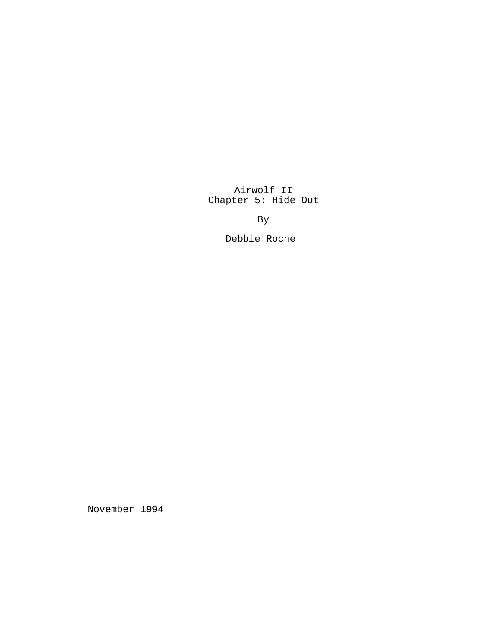Airwolf II Chapter 5: Hide Out

By

Debbie Roche

November 1994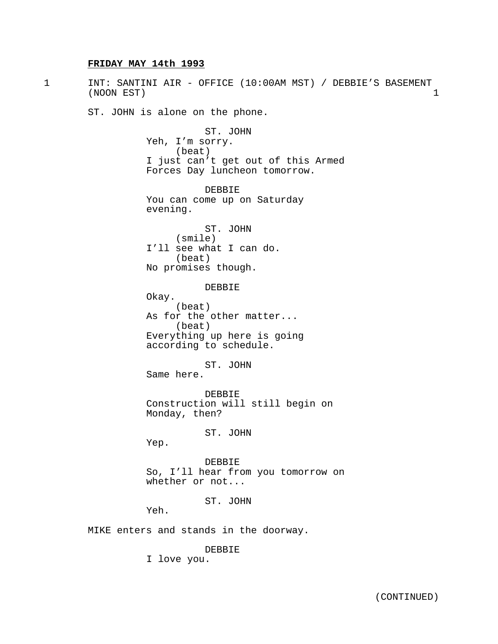# **FRIDAY MAY 14th 1993**

1 INT: SANTINI AIR - OFFICE (10:00AM MST) / DEBBIE'S BASEMENT (NOON EST) 1 ST. JOHN is alone on the phone. ST. JOHN Yeh, I'm sorry. (beat) I just can't get out of this Armed Forces Day luncheon tomorrow. DEBBIE You can come up on Saturday evening. ST. JOHN (smile) I'll see what I can do. (beat) No promises though. DEBBIE Okay. (beat) As for the other matter... (beat) Everything up here is going according to schedule. ST. JOHN Same here. DEBBIE Construction will still begin on Monday, then? ST. JOHN Yep. DEBBIE So, I'll hear from you tomorrow on whether or not... ST. JOHN Yeh. MIKE enters and stands in the doorway. DEBBIE I love you.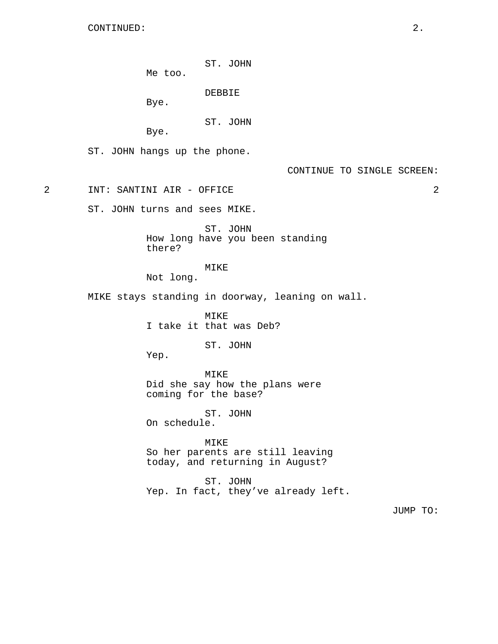CONTINUED: 2.

ST. JOHN

Me too.

DEBBIE

Bye.

ST. JOHN

Bye.

ST. JOHN hangs up the phone.

2 INT: SANTINI AIR - OFFICE 2

ST. JOHN turns and sees MIKE.

ST. JOHN How long have you been standing there?

MIKE

Not long.

MIKE stays standing in doorway, leaning on wall.

MIKE I take it that was Deb?

ST. JOHN

Yep.

MIKE Did she say how the plans were coming for the base?

ST. JOHN On schedule.

MIKE So her parents are still leaving today, and returning in August?

ST. JOHN Yep. In fact, they've already left.

JUMP TO: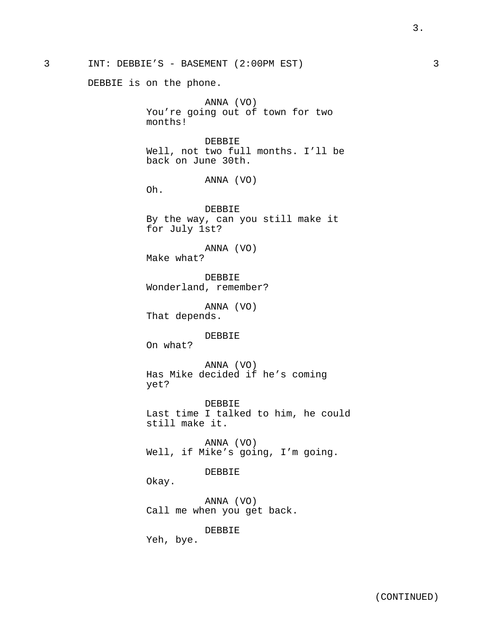DEBBIE is on the phone.

ANNA (VO) You're going out of town for two months!

DEBBIE Well, not two full months. I'll be back on June 30th.

ANNA (VO)

Oh.

DEBBIE By the way, can you still make it for July 1st?

ANNA (VO) Make what?

DEBBIE Wonderland, remember?

ANNA (VO) That depends.

DEBBIE

On what?

ANNA (VO) Has Mike decided if he's coming yet?

DEBBIE Last time I talked to him, he could still make it.

ANNA (VO) Well, if Mike's going, I'm going.

#### DEBBIE

Okay.

ANNA (VO) Call me when you get back.

DEBBIE

Yeh, bye.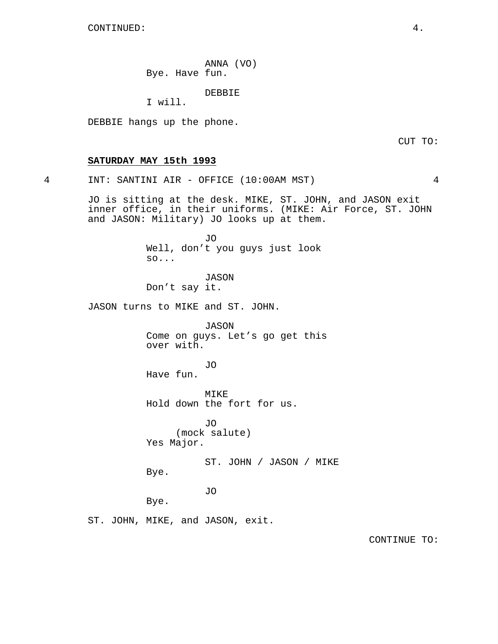CONTINUED: 4.

ANNA (VO) Bye. Have fun.

DEBBIE

I will.

DEBBIE hangs up the phone.

CUT TO:

## **SATURDAY MAY 15th 1993**

4 INT: SANTINI AIR - OFFICE (10:00AM MST) 4

JO is sitting at the desk. MIKE, ST. JOHN, and JASON exit inner office, in their uniforms. (MIKE: Air Force, ST. JOHN and JASON: Military) JO looks up at them.

> JO Well, don't you guys just look so...

JASON Don't say it.

JASON turns to MIKE and ST. JOHN.

JASON Come on guys. Let's go get this over with.

JO

Have fun.

MIKE Hold down the fort for us.

JO (mock salute) Yes Major.

ST. JOHN / JASON / MIKE Bye.

JO

Bye.

ST. JOHN, MIKE, and JASON, exit.

CONTINUE TO: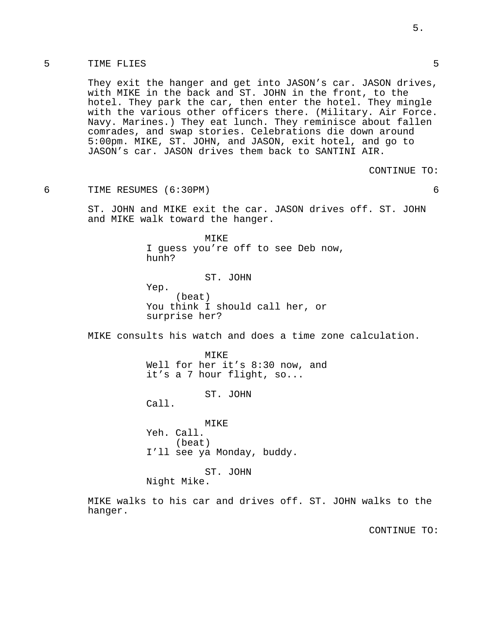## 5 TIME FLIES 5

They exit the hanger and get into JASON's car. JASON drives, with MIKE in the back and ST. JOHN in the front, to the hotel. They park the car, then enter the hotel. They mingle with the various other officers there. (Military. Air Force. Navy. Marines.) They eat lunch. They reminisce about fallen comrades, and swap stories. Celebrations die down around 5:00pm. MIKE, ST. JOHN, and JASON, exit hotel, and go to JASON's car. JASON drives them back to SANTINI AIR.

CONTINUE TO:

6 TIME RESUMES (6:30PM) 6

ST. JOHN and MIKE exit the car. JASON drives off. ST. JOHN and MIKE walk toward the hanger.

> MIKE I guess you're off to see Deb now, hunh?

> > ST. JOHN

Yep. (beat) You think I should call her, or surprise her?

MIKE consults his watch and does a time zone calculation.

MTKE<sup>®</sup> Well for her it's 8:30 now, and it's a 7 hour flight, so...

ST. JOHN

Call.

**MTKE** Yeh. Call. (beat) I'll see ya Monday, buddy.

ST. JOHN

Night Mike.

MIKE walks to his car and drives off. ST. JOHN walks to the hanger.

CONTINUE TO: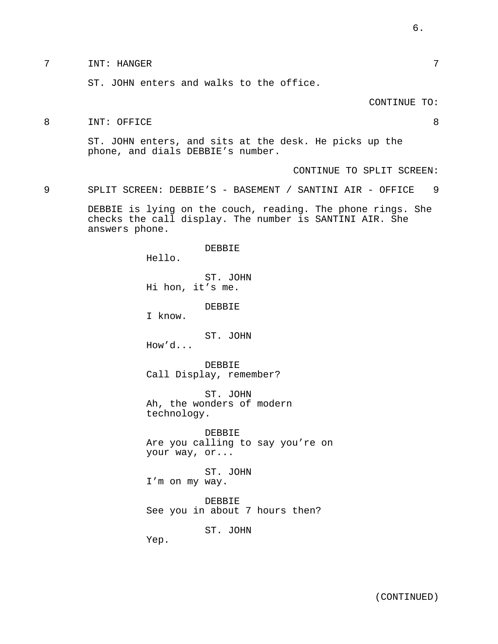# 7 INT: HANGER 7

ST. JOHN enters and walks to the office.

#### CONTINUE TO:

8 INT: OFFICE 8

ST. JOHN enters, and sits at the desk. He picks up the phone, and dials DEBBIE's number.

CONTINUE TO SPLIT SCREEN:

9 SPLIT SCREEN: DEBBIE'S - BASEMENT / SANTINI AIR - OFFICE 9

DEBBIE is lying on the couch, reading. The phone rings. She checks the call display. The number is SANTINI AIR. She answers phone.

> DEBBIE Hello. ST. JOHN Hi hon, it's me. DEBBIE I know. ST. JOHN How'd... DEBBIE Call Display, remember? ST. JOHN Ah, the wonders of modern technology. DEBBIE Are you calling to say you're on your way, or... ST. JOHN I'm on my way. DEBBIE See you in about 7 hours then? ST. JOHN

Yep.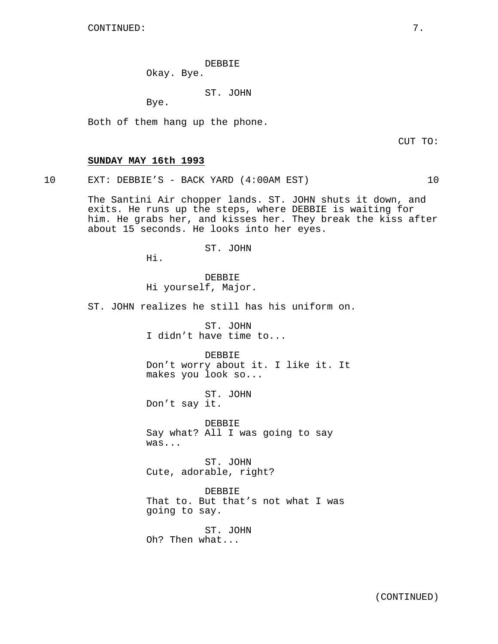DEBBIE

Okay. Bye.

ST. JOHN

Bye.

Both of them hang up the phone.

CUT TO:

## **SUNDAY MAY 16th 1993**

10 EXT: DEBBIE'S - BACK YARD (4:00AM EST) 10

The Santini Air chopper lands. ST. JOHN shuts it down, and exits. He runs up the steps, where DEBBIE is waiting for him. He grabs her, and kisses her. They break the kiss after about 15 seconds. He looks into her eyes.

## ST. JOHN

Hi.

DEBBIE Hi yourself, Major.

ST. JOHN realizes he still has his uniform on.

ST. JOHN I didn't have time to...

DEBBIE Don't worry about it. I like it. It makes you look so...

ST. JOHN Don't say it.

DEBBIE Say what? All I was going to say was...

ST. JOHN Cute, adorable, right?

DEBBIE That to. But that's not what I was going to say.

ST. JOHN Oh? Then what...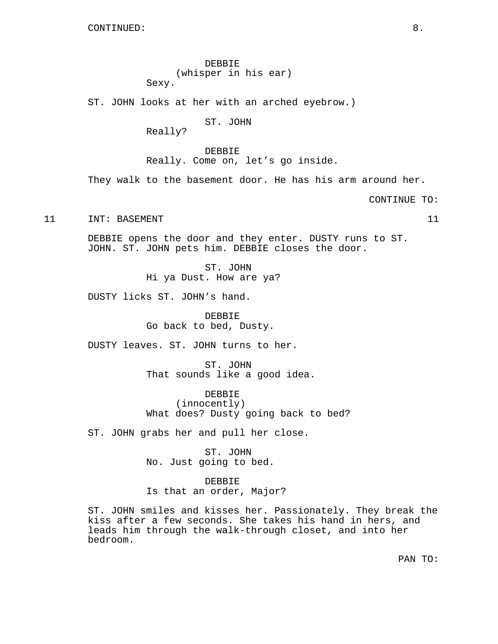DEBBIE (whisper in his ear) Sexy.

ST. JOHN looks at her with an arched eyebrow.)

ST. JOHN

Really?

DEBBIE Really. Come on, let's go inside.

They walk to the basement door. He has his arm around her.

CONTINUE TO:

11 INT: BASEMENT 11 11

DEBBIE opens the door and they enter. DUSTY runs to ST. JOHN. ST. JOHN pets him. DEBBIE closes the door.

> ST. JOHN Hi ya Dust. How are ya?

DUSTY licks ST. JOHN's hand.

DEBBIE Go back to bed, Dusty.

DUSTY leaves. ST. JOHN turns to her.

ST. JOHN That sounds like a good idea.

DEBBIE (innocently) What does? Dusty going back to bed?

ST. JOHN grabs her and pull her close.

ST. JOHN No. Just going to bed.

DEBBIE Is that an order, Major?

ST. JOHN smiles and kisses her. Passionately. They break the kiss after a few seconds. She takes his hand in hers, and leads him through the walk-through closet, and into her bedroom.

PAN TO: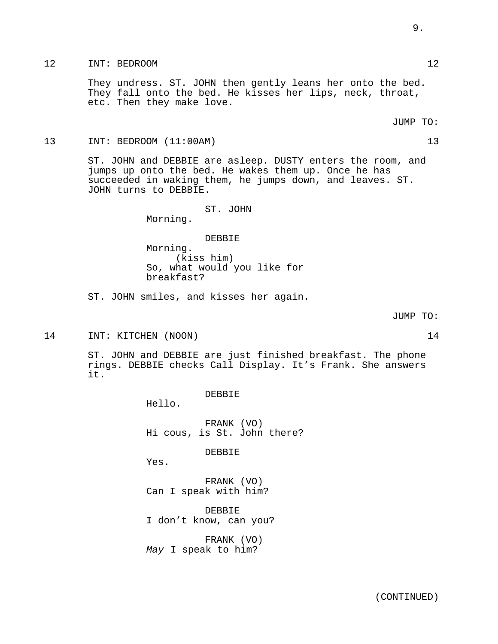# 12 INT: BEDROOM 12

They undress. ST. JOHN then gently leans her onto the bed. They fall onto the bed. He kisses her lips, neck, throat, etc. Then they make love.

JUMP TO:

# 13 INT: BEDROOM (11:00AM) 13

ST. JOHN and DEBBIE are asleep. DUSTY enters the room, and jumps up onto the bed. He wakes them up. Once he has succeeded in waking them, he jumps down, and leaves. ST. JOHN turns to DEBBIE.

ST. JOHN

Morning.

DEBBIE

Morning. (kiss him) So, what would you like for breakfast?

ST. JOHN smiles, and kisses her again.

JUMP TO:

14 INT: KITCHEN (NOON) 14

ST. JOHN and DEBBIE are just finished breakfast. The phone rings. DEBBIE checks Call Display. It's Frank. She answers it.

DEBBIE

Hello.

FRANK (VO) Hi cous, is St. John there?

DEBBIE

Yes.

FRANK (VO) Can I speak with him?

DEBBIE I don't know, can you?

FRANK (VO) May I speak to him?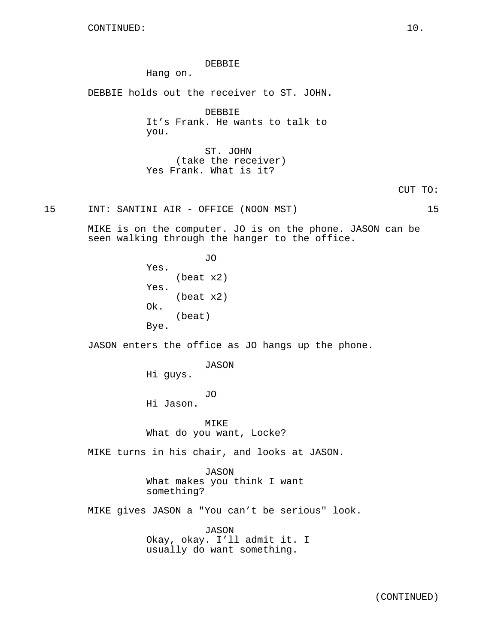DEBBIE

Hang on.

DEBBIE holds out the receiver to ST. JOHN.

DEBBIE It's Frank. He wants to talk to you.

ST. JOHN (take the receiver) Yes Frank. What is it?

15 INT: SANTINI AIR - OFFICE (NOON MST) 15

MIKE is on the computer. JO is on the phone. JASON can be seen walking through the hanger to the office.

> JO Yes. (beat x2) Yes. (beat x2) Ok. (beat) Bye.

JASON enters the office as JO hangs up the phone.

JASON

Hi guys.

JO

Hi Jason.

MIKE What do you want, Locke?

MIKE turns in his chair, and looks at JASON.

JASON What makes you think I want something?

MIKE gives JASON a "You can't be serious" look.

JASON Okay, okay. I'll admit it. I usually do want something.

(CONTINUED)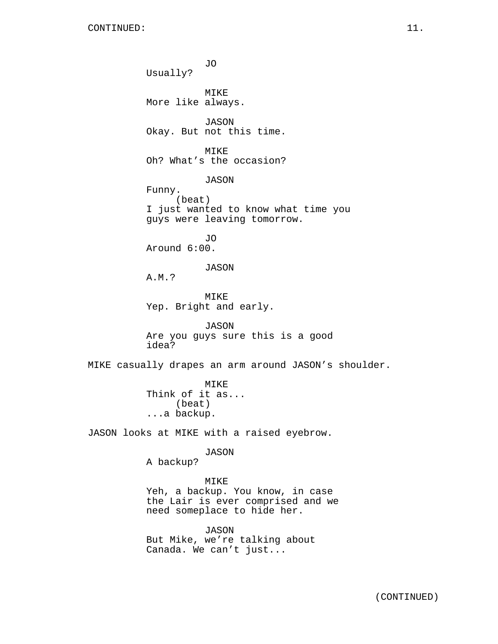JO Usually? MIKE More like always. JASON Okay. But not this time. MIKE Oh? What's the occasion? JASON Funny. (beat) I just wanted to know what time you guys were leaving tomorrow. JO Around 6:00. JASON A.M.? MIKE Yep. Bright and early. JASON Are you guys sure this is a good idea? MIKE casually drapes an arm around JASON's shoulder. MIKE Think of it as... (beat) ...a backup. JASON looks at MIKE with a raised eyebrow. JASON A backup? MIKE

Yeh, a backup. You know, in case the Lair is ever comprised and we need someplace to hide her.

JASON But Mike, we're talking about Canada. We can't just...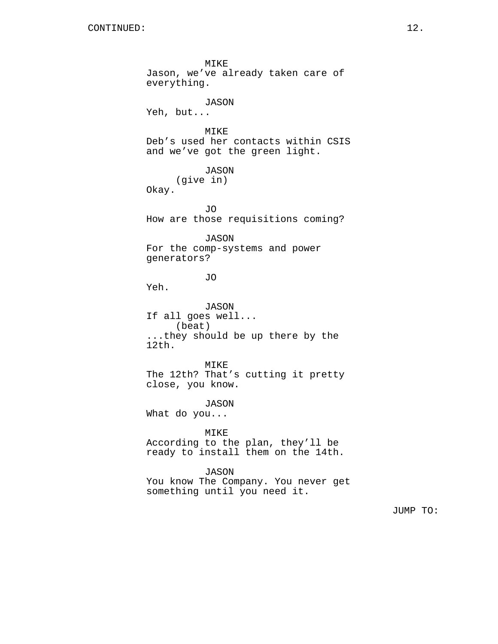MIKE Jason, we've already taken care of everything. JASON Yeh, but... MIKE Deb's used her contacts within CSIS and we've got the green light. JASON (give in) Okay. JO How are those requisitions coming? JASON For the comp-systems and power generators? JO Yeh. JASON If all goes well... (beat) ...they should be up there by the 12th. MIKE The 12th? That's cutting it pretty close, you know. JASON What do you... MIKE According to the plan, they'll be ready to install them on the 14th. JASON You know The Company. You never get something until you need it.

JUMP TO: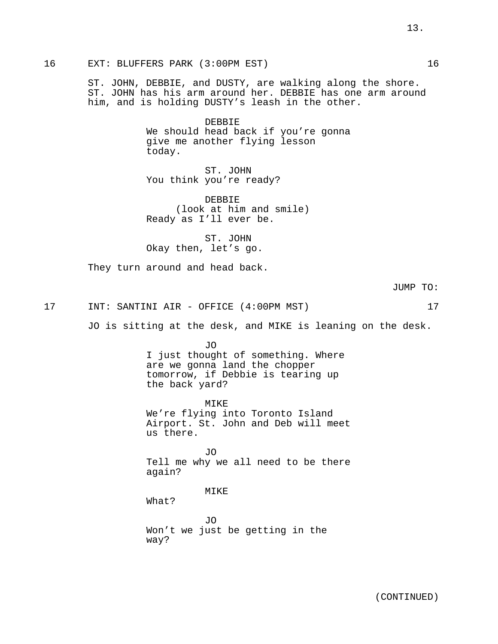ST. JOHN, DEBBIE, and DUSTY, are walking along the shore. ST. JOHN has his arm around her. DEBBIE has one arm around him, and is holding DUSTY's leash in the other.

> DEBBIE We should head back if you're gonna give me another flying lesson today.

ST. JOHN You think you're ready?

DEBBIE (look at him and smile) Ready as I'll ever be.

ST. JOHN Okay then, let's go.

They turn around and head back.

JUMP TO:

#### 17 INT: SANTINI AIR - OFFICE (4:00PM MST) 17

JO is sitting at the desk, and MIKE is leaning on the desk.

JO I just thought of something. Where are we gonna land the chopper tomorrow, if Debbie is tearing up the back yard?

MIKE We're flying into Toronto Island Airport. St. John and Deb will meet us there.

JO Tell me why we all need to be there again?

MIKE

What?

JO Won't we just be getting in the way?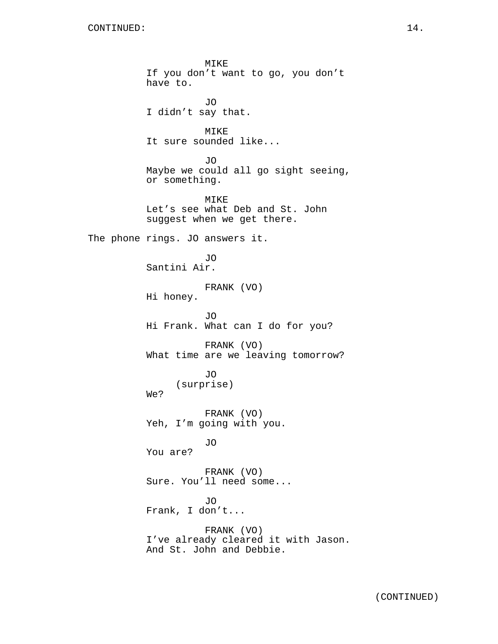MIKE If you don't want to go, you don't have to. JO I didn't say that. MIKE It sure sounded like... JO Maybe we could all go sight seeing, or something. MIKE Let's see what Deb and St. John suggest when we get there. The phone rings. JO answers it. JO Santini Air. FRANK (VO) Hi honey. JO Hi Frank. What can I do for you? FRANK (VO) What time are we leaving tomorrow? JO (surprise) We? FRANK (VO) Yeh, I'm going with you. JO You are? FRANK (VO) Sure. You'll need some... JO Frank, I don't... FRANK (VO) I've already cleared it with Jason. And St. John and Debbie.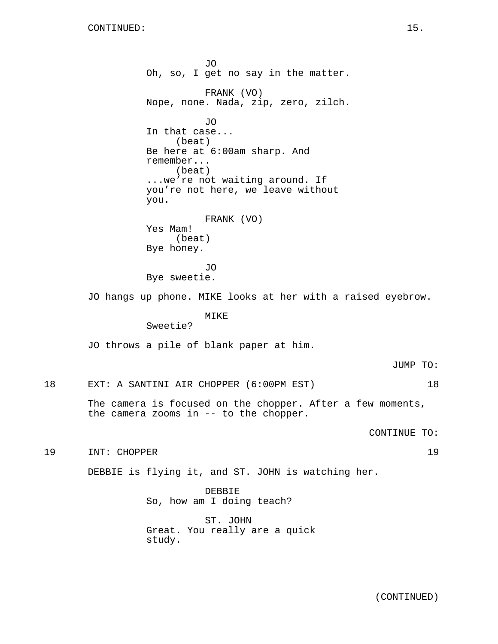JO Oh, so, I get no say in the matter. FRANK (VO) Nope, none. Nada, zip, zero, zilch. JO In that case... (beat) Be here at 6:00am sharp. And remember... (beat) ...we're not waiting around. If you're not here, we leave without you. FRANK (VO) Yes Mam! (beat) Bye honey. JO Bye sweetie. JO hangs up phone. MIKE looks at her with a raised eyebrow. MIKE Sweetie? JO throws a pile of blank paper at him. JUMP TO: 18 EXT: A SANTINI AIR CHOPPER (6:00PM EST) 18 The camera is focused on the chopper. After a few moments, the camera zooms in -- to the chopper. CONTINUE TO: 19 INT: CHOPPER 19 DEBBIE is flying it, and ST. JOHN is watching her. DEBBIE So, how am I doing teach? ST. JOHN Great. You really are a quick

study.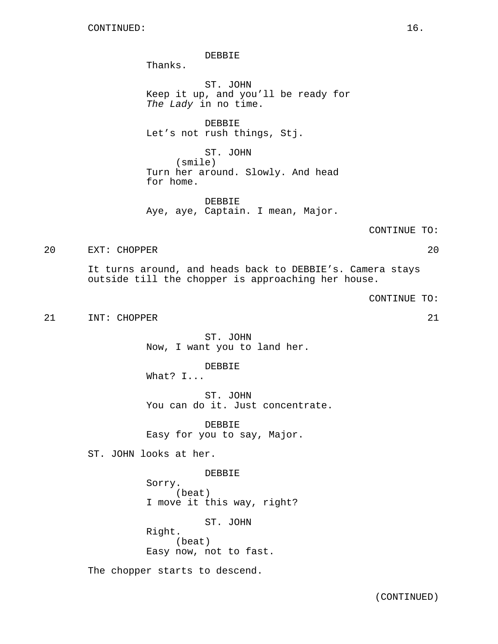DEBBIE

Thanks.

ST. JOHN Keep it up, and you'll be ready for The Lady in no time.

DEBBIE Let's not rush things, Stj.

ST. JOHN (smile) Turn her around. Slowly. And head for home.

DEBBIE Aye, aye, Captain. I mean, Major.

CONTINUE TO:

20 EXT: CHOPPER 20

It turns around, and heads back to DEBBIE's. Camera stays outside till the chopper is approaching her house.

CONTINUE TO:

21 INT: CHOPPER 21 21

ST. JOHN Now, I want you to land her.

DEBBIE What? I...

ST. JOHN You can do it. Just concentrate.

DEBBIE Easy for you to say, Major.

ST. JOHN looks at her.

DEBBIE Sorry. (beat) I move it this way, right? ST. JOHN

Right. (beat) Easy now, not to fast.

The chopper starts to descend.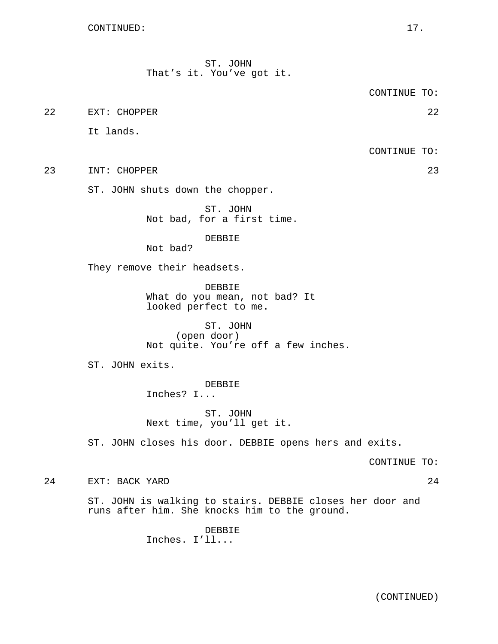ST. JOHN That's it. You've got it.

CONTINUE TO:

22 EXT: CHOPPER 22

It lands.

CONTINUE TO:

23 INT: CHOPPER 23

ST. JOHN shuts down the chopper.

ST. JOHN Not bad, for a first time.

DEBBIE

Not bad?

They remove their headsets.

DEBBIE What do you mean, not bad? It looked perfect to me.

ST. JOHN (open door) Not quite. You're off a few inches.

ST. JOHN exits.

DEBBIE Inches? I...

ST. JOHN Next time, you'll get it.

ST. JOHN closes his door. DEBBIE opens hers and exits.

CONTINUE TO:

24 EXT: BACK YARD 24

ST. JOHN is walking to stairs. DEBBIE closes her door and runs after him. She knocks him to the ground.

> DEBBIE Inches. I'll...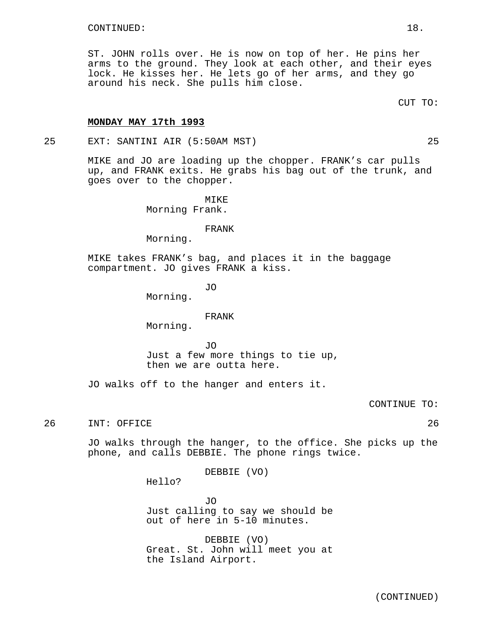ST. JOHN rolls over. He is now on top of her. He pins her arms to the ground. They look at each other, and their eyes lock. He kisses her. He lets go of her arms, and they go around his neck. She pulls him close.

#### **MONDAY MAY 17th 1993**

25 EXT: SANTINI AIR (5:50AM MST) 25

MIKE and JO are loading up the chopper. FRANK's car pulls up, and FRANK exits. He grabs his bag out of the trunk, and goes over to the chopper.

> MIKE Morning Frank.

> > FRANK

Morning.

MIKE takes FRANK's bag, and places it in the baggage compartment. JO gives FRANK a kiss.

JO

Morning.

#### FRANK

Morning.

JO

Just a few more things to tie up, then we are outta here.

JO walks off to the hanger and enters it.

CONTINUE TO:

26 INT: OFFICE 26

JO walks through the hanger, to the office. She picks up the phone, and calls DEBBIE. The phone rings twice.

DEBBIE (VO)

Hello?

JO Just calling to say we should be out of here in 5-10 minutes.

DEBBIE (VO) Great. St. John will meet you at the Island Airport.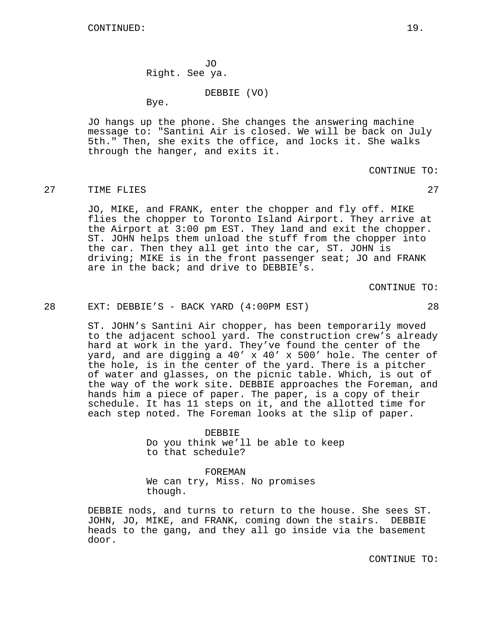JO Right. See ya.

DEBBIE (VO)

Bye.

JO hangs up the phone. She changes the answering machine message to: "Santini Air is closed. We will be back on July 5th." Then, she exits the office, and locks it. She walks through the hanger, and exits it.

CONTINUE TO:

#### 27 TIME FLIES 27 27

JO, MIKE, and FRANK, enter the chopper and fly off. MIKE flies the chopper to Toronto Island Airport. They arrive at the Airport at 3:00 pm EST. They land and exit the chopper. ST. JOHN helps them unload the stuff from the chopper into the car. Then they all get into the car, ST. JOHN is driving; MIKE is in the front passenger seat; JO and FRANK are in the back; and drive to DEBBIE's.

CONTINUE TO:

## 28 EXT: DEBBIE'S - BACK YARD (4:00PM EST) 28

ST. JOHN's Santini Air chopper, has been temporarily moved to the adjacent school yard. The construction crew's already hard at work in the yard. They've found the center of the yard, and are digging a 40' x 40' x 500' hole. The center of the hole, is in the center of the yard. There is a pitcher of water and glasses, on the picnic table. Which, is out of the way of the work site. DEBBIE approaches the Foreman, and hands him a piece of paper. The paper, is a copy of their schedule. It has 11 steps on it, and the allotted time for each step noted. The Foreman looks at the slip of paper.

> DEBBIE Do you think we'll be able to keep to that schedule?

FOREMAN We can try, Miss. No promises though.

DEBBIE nods, and turns to return to the house. She sees ST. JOHN, JO, MIKE, and FRANK, coming down the stairs. DEBBIE heads to the gang, and they all go inside via the basement door.

CONTINUE TO: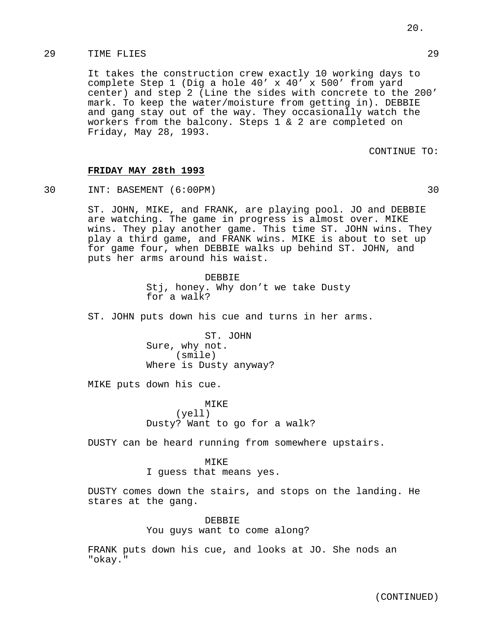# 29 TIME FLIES 29

It takes the construction crew exactly 10 working days to complete Step 1 (Dig a hole 40' x 40' x 500' from yard center) and step 2 (Line the sides with concrete to the 200' mark. To keep the water/moisture from getting in). DEBBIE and gang stay out of the way. They occasionally watch the workers from the balcony. Steps 1 & 2 are completed on Friday, May 28, 1993.

CONTINUE TO:

# **FRIDAY MAY 28th 1993**

30 INT: BASEMENT (6:00PM) 30

ST. JOHN, MIKE, and FRANK, are playing pool. JO and DEBBIE are watching. The game in progress is almost over. MIKE wins. They play another game. This time ST. JOHN wins. They play a third game, and FRANK wins. MIKE is about to set up for game four, when DEBBIE walks up behind ST. JOHN, and puts her arms around his waist.

> DEBBIE Stj, honey. Why don't we take Dusty for a walk?

ST. JOHN puts down his cue and turns in her arms.

ST. JOHN Sure, why not. (smile) Where is Dusty anyway?

MIKE puts down his cue.

MIKE (yell) Dusty? Want to go for a walk?

DUSTY can be heard running from somewhere upstairs.

#### MTKE.

I guess that means yes.

DUSTY comes down the stairs, and stops on the landing. He stares at the gang.

> DEBBIE You guys want to come along?

FRANK puts down his cue, and looks at JO. She nods an "okay."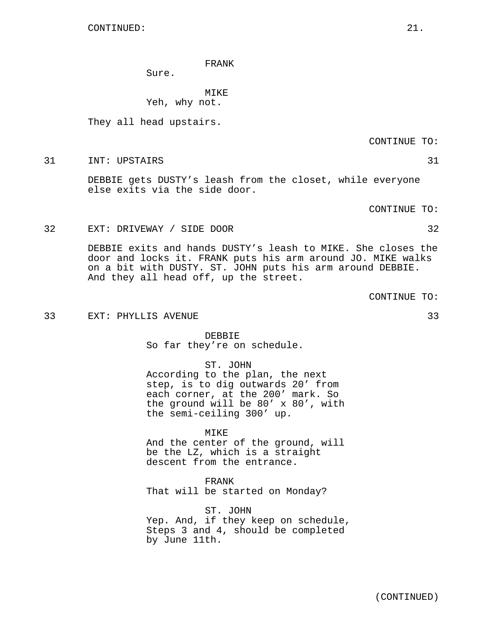#### FRANK

Sure.

MIKE Yeh, why not.

They all head upstairs.

CONTINUE TO:

31 INT: UPSTAIRS 31

DEBBIE gets DUSTY's leash from the closet, while everyone else exits via the side door.

CONTINUE TO:

32 EXT: DRIVEWAY / SIDE DOOR 32

DEBBIE exits and hands DUSTY's leash to MIKE. She closes the door and locks it. FRANK puts his arm around JO. MIKE walks on a bit with DUSTY. ST. JOHN puts his arm around DEBBIE. And they all head off, up the street.

CONTINUE TO:

33 EXT: PHYLLIS AVENUE 33

DEBBIE So far they're on schedule.

ST. JOHN According to the plan, the next step, is to dig outwards 20' from each corner, at the 200' mark. So the ground will be 80' x 80', with the semi-ceiling 300' up.

MIKE And the center of the ground, will be the LZ, which is a straight descent from the entrance.

FRANK That will be started on Monday?

ST. JOHN Yep. And, if they keep on schedule, Steps 3 and 4, should be completed by June 11th.

(CONTINUED)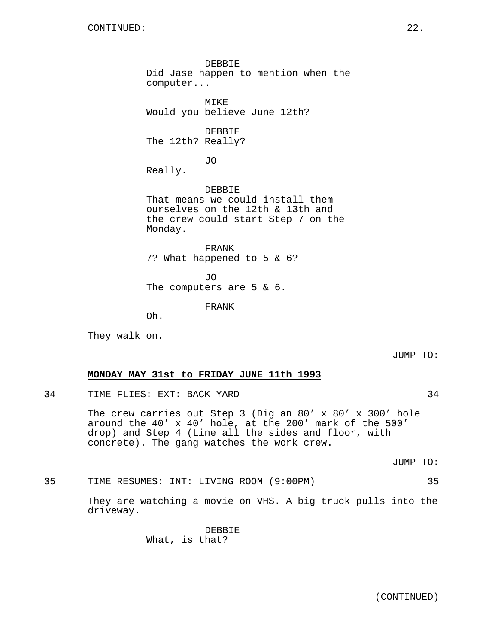DEBBIE Did Jase happen to mention when the computer... MIKE Would you believe June 12th? DEBBIE The 12th? Really? JO Really. DEBBIE That means we could install them ourselves on the 12th & 13th and the crew could start Step 7 on the Monday. FRANK 7? What happened to 5 & 6?

JO The computers are 5 & 6.

FRANK

Oh.

They walk on.

JUMP TO:

## **MONDAY MAY 31st to FRIDAY JUNE 11th 1993**

34 TIME FLIES: EXT: BACK YARD 34

The crew carries out Step 3 (Dig an 80' x 80' x 300' hole around the 40' x 40' hole, at the 200' mark of the 500' drop) and Step 4 (Line all the sides and floor, with concrete). The gang watches the work crew.

JUMP TO:

35 TIME RESUMES: INT: LIVING ROOM (9:00PM) 35

They are watching a movie on VHS. A big truck pulls into the driveway.

> DEBBIE What, is that?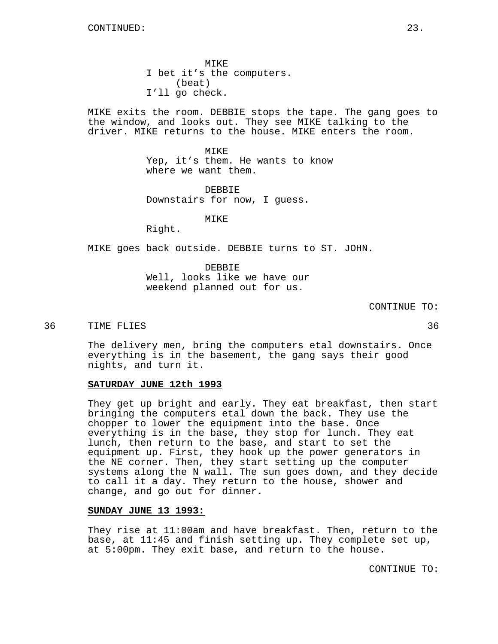MIKE I bet it's the computers. (beat) I'll go check.

MIKE exits the room. DEBBIE stops the tape. The gang goes to the window, and looks out. They see MIKE talking to the driver. MIKE returns to the house. MIKE enters the room.

> MTKE. Yep, it's them. He wants to know where we want them.

DEBBIE Downstairs for now, I guess.

MIKE

Right.

MIKE goes back outside. DEBBIE turns to ST. JOHN.

DEBBIE Well, looks like we have our weekend planned out for us.

CONTINUE TO:

#### 36 TIME FLIES 36

The delivery men, bring the computers etal downstairs. Once everything is in the basement, the gang says their good nights, and turn it.

## **SATURDAY JUNE 12th 1993**

They get up bright and early. They eat breakfast, then start bringing the computers etal down the back. They use the chopper to lower the equipment into the base. Once everything is in the base, they stop for lunch. They eat lunch, then return to the base, and start to set the equipment up. First, they hook up the power generators in the NE corner. Then, they start setting up the computer systems along the N wall. The sun goes down, and they decide to call it a day. They return to the house, shower and change, and go out for dinner.

# **SUNDAY JUNE 13 1993:**

They rise at 11:00am and have breakfast. Then, return to the base, at 11:45 and finish setting up. They complete set up, at 5:00pm. They exit base, and return to the house.

CONTINUE TO: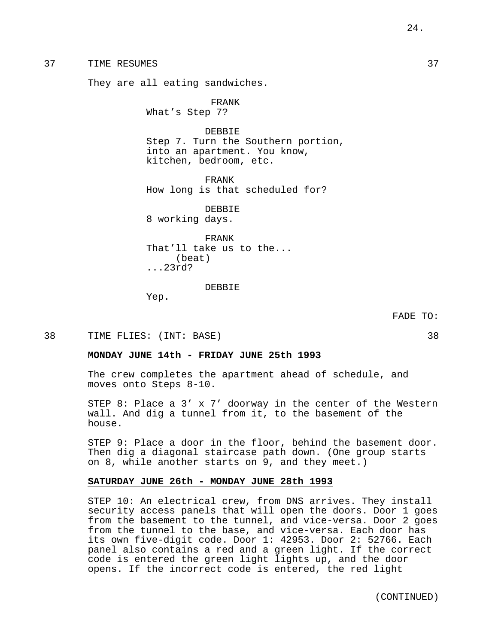37 TIME RESUMES 37

They are all eating sandwiches.

FRANK

What's Step 7?

DEBBIE Step 7. Turn the Southern portion, into an apartment. You know, kitchen, bedroom, etc.

FRANK How long is that scheduled for?

DEBBIE 8 working days.

FRANK That'll take us to the... (beat) ...23rd?

DEBBIE

Yep.

FADE TO:

38 TIME FLIES: (INT: BASE) 38

## **MONDAY JUNE 14th - FRIDAY JUNE 25th 1993**

The crew completes the apartment ahead of schedule, and moves onto Steps 8-10.

STEP 8: Place a 3' x 7' doorway in the center of the Western wall. And dig a tunnel from it, to the basement of the house.

STEP 9: Place a door in the floor, behind the basement door. Then dig a diagonal staircase path down. (One group starts on 8, while another starts on 9, and they meet.)

## **SATURDAY JUNE 26th - MONDAY JUNE 28th 1993**

STEP 10: An electrical crew, from DNS arrives. They install security access panels that will open the doors. Door 1 goes from the basement to the tunnel, and vice-versa. Door 2 goes from the tunnel to the base, and vice-versa. Each door has its own five-digit code. Door 1: 42953. Door 2: 52766. Each panel also contains a red and a green light. If the correct code is entered the green light lights up, and the door opens. If the incorrect code is entered, the red light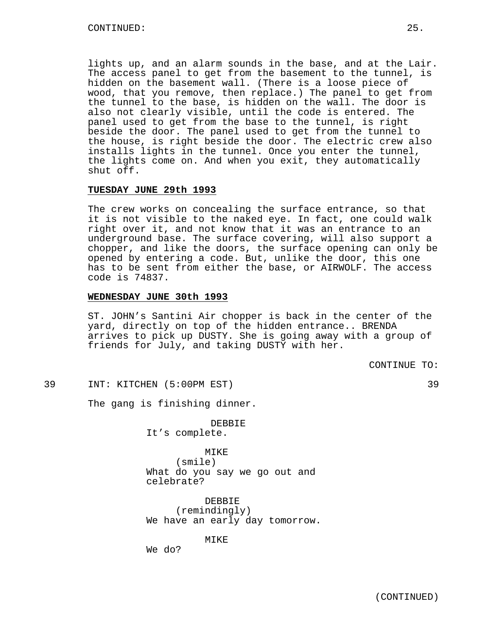lights up, and an alarm sounds in the base, and at the Lair. The access panel to get from the basement to the tunnel, is hidden on the basement wall. (There is a loose piece of wood, that you remove, then replace.) The panel to get from the tunnel to the base, is hidden on the wall. The door is also not clearly visible, until the code is entered. The panel used to get from the base to the tunnel, is right beside the door. The panel used to get from the tunnel to the house, is right beside the door. The electric crew also installs lights in the tunnel. Once you enter the tunnel, the lights come on. And when you exit, they automatically shut off.

## **TUESDAY JUNE 29th 1993**

The crew works on concealing the surface entrance, so that it is not visible to the naked eye. In fact, one could walk right over it, and not know that it was an entrance to an underground base. The surface covering, will also support a chopper, and like the doors, the surface opening can only be opened by entering a code. But, unlike the door, this one has to be sent from either the base, or AIRWOLF. The access code is 74837.

# **WEDNESDAY JUNE 30th 1993**

ST. JOHN's Santini Air chopper is back in the center of the yard, directly on top of the hidden entrance.. BRENDA arrives to pick up DUSTY. She is going away with a group of friends for July, and taking DUSTY with her.

CONTINUE TO:

## 39 INT: KITCHEN (5:00PM EST) 39

The gang is finishing dinner.

DEBBIE It's complete.

MIKE (smile) What do you say we go out and celebrate?

DEBBIE (remindingly) We have an early day tomorrow.

MIKE

We do?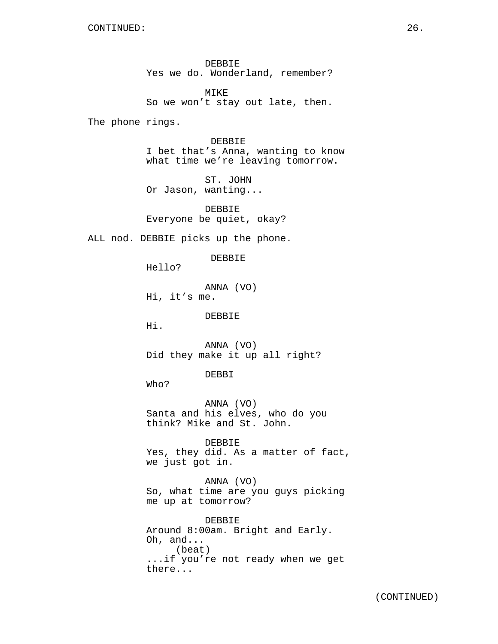DEBBIE Yes we do. Wonderland, remember?

MIKE So we won't stay out late, then.

The phone rings.

DEBBIE I bet that's Anna, wanting to know what time we're leaving tomorrow.

ST. JOHN Or Jason, wanting...

DEBBIE Everyone be quiet, okay?

ALL nod. DEBBIE picks up the phone.

DEBBIE

Hello?

ANNA (VO) Hi, it's me.

DEBBIE

Hi.

ANNA (VO) Did they make it up all right?

DEBBI

Who?

ANNA (VO) Santa and his elves, who do you think? Mike and St. John.

DEBBIE Yes, they did. As a matter of fact, we just got in.

ANNA (VO) So, what time are you guys picking me up at tomorrow?

DEBBIE Around 8:00am. Bright and Early. Oh, and... (beat) ...if you're not ready when we get there...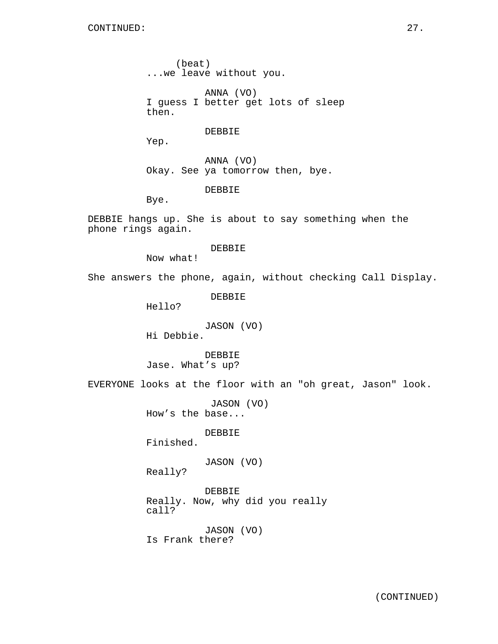(beat) ...we leave without you.

ANNA (VO) I guess I better get lots of sleep then.

DEBBIE

Yep.

ANNA (VO) Okay. See ya tomorrow then, bye.

DEBBIE

Bye.

DEBBIE hangs up. She is about to say something when the phone rings again.

DEBBIE

Now what!

She answers the phone, again, without checking Call Display.

DEBBIE

Hello?

JASON (VO) Hi Debbie.

DEBBIE Jase. What's up?

EVERYONE looks at the floor with an "oh great, Jason" look.

JASON (VO) How's the base...

DEBBIE

Finished.

JASON (VO)

Really?

DEBBIE Really. Now, why did you really call?

JASON (VO) Is Frank there?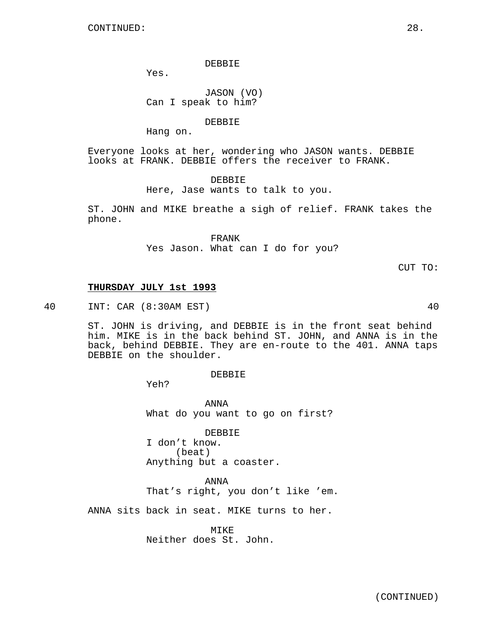DEBBIE

Yes.

JASON (VO) Can I speak to him?

DEBBIE

Hang on.

Everyone looks at her, wondering who JASON wants. DEBBIE looks at FRANK. DEBBIE offers the receiver to FRANK.

DEBBIE

Here, Jase wants to talk to you.

ST. JOHN and MIKE breathe a sigh of relief. FRANK takes the phone.

> FRANK Yes Jason. What can I do for you?

> > CUT TO:

## **THURSDAY JULY 1st 1993**

40 INT: CAR (8:30AM EST) 40

ST. JOHN is driving, and DEBBIE is in the front seat behind him. MIKE is in the back behind ST. JOHN, and ANNA is in the back, behind DEBBIE. They are en-route to the 401. ANNA taps DEBBIE on the shoulder.

DEBBIE

Yeh?

ANNA What do you want to go on first?

DEBBIE I don't know. (beat) Anything but a coaster.

ANNA That's right, you don't like 'em.

ANNA sits back in seat. MIKE turns to her.

MIKE Neither does St. John.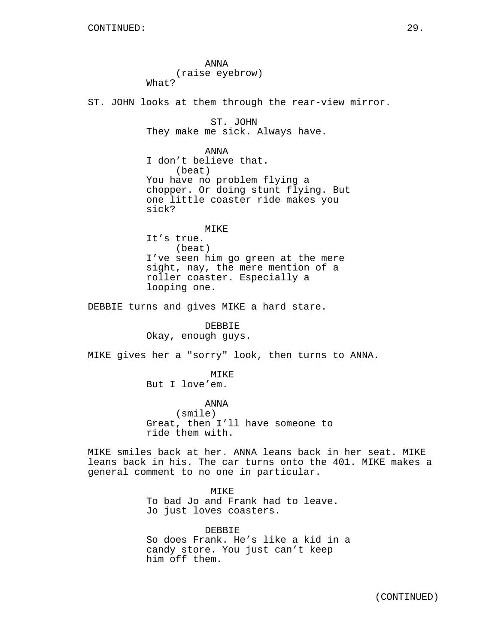ANNA (raise eyebrow) What? ST. JOHN looks at them through the rear-view mirror. ST. JOHN They make me sick. Always have. ANNA I don't believe that. (beat) You have no problem flying a chopper. Or doing stunt flying. But one little coaster ride makes you sick? MIKE It's true. (beat) I've seen him go green at the mere sight, nay, the mere mention of a roller coaster. Especially a looping one. DEBBIE turns and gives MIKE a hard stare. DEBBIE Okay, enough guys. MIKE gives her a "sorry" look, then turns to ANNA. MIKE But I love'em. ANNA (smile) Great, then I'll have someone to ride them with. MIKE smiles back at her. ANNA leans back in her seat. MIKE leans back in his. The car turns onto the 401. MIKE makes a general comment to no one in particular. MIKE To bad Jo and Frank had to leave. Jo just loves coasters. DEBBIE So does Frank. He's like a kid in a candy store. You just can't keep

him off them.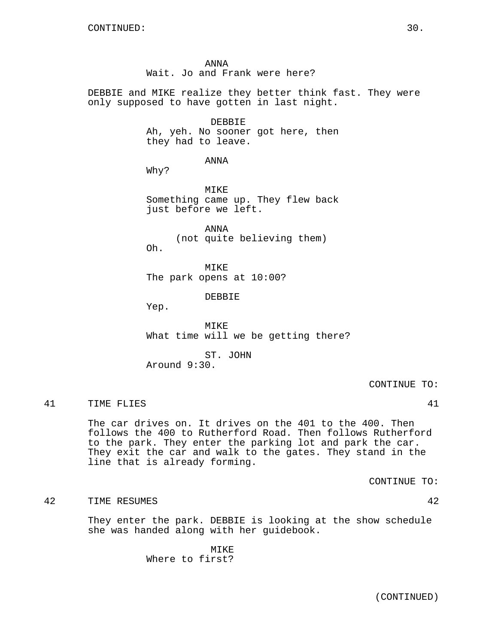ANNA Wait. Jo and Frank were here?

DEBBIE and MIKE realize they better think fast. They were only supposed to have gotten in last night.

# DEBBIE

Ah, yeh. No sooner got here, then they had to leave.

ANNA

Why?

MIKE Something came up. They flew back just before we left.

ANNA (not quite believing them) Oh.

MIKE The park opens at 10:00?

DEBBIE

Yep.

MIKE What time will we be getting there?

ST. JOHN Around 9:30.

CONTINUE TO:

41 TIME FLIES 41

The car drives on. It drives on the 401 to the 400. Then follows the 400 to Rutherford Road. Then follows Rutherford to the park. They enter the parking lot and park the car. They exit the car and walk to the gates. They stand in the line that is already forming.

CONTINUE TO:

42 TIME RESUMES 42

They enter the park. DEBBIE is looking at the show schedule she was handed along with her guidebook.

> MIKE Where to first?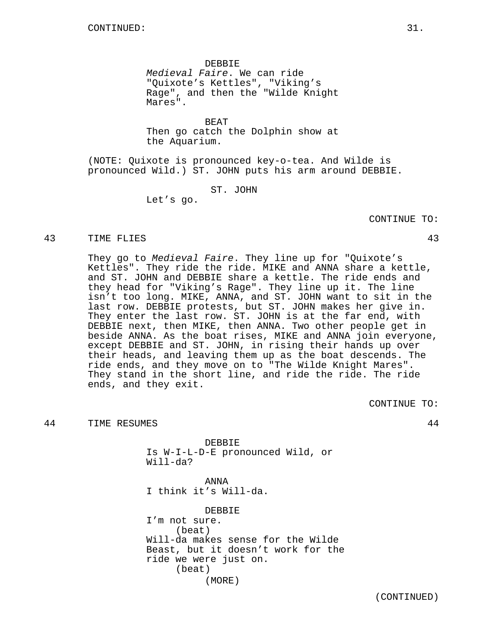DEBBIE Medieval Faire. We can ride "Quixote's Kettles", "Viking's Rage", and then the "Wilde Knight Mares".

BEAT Then go catch the Dolphin show at the Aquarium.

(NOTE: Quixote is pronounced key-o-tea. And Wilde is pronounced Wild.) ST. JOHN puts his arm around DEBBIE.

ST. JOHN

Let's go.

## CONTINUE TO:

#### 43 TIME FLIES 43

They go to Medieval Faire. They line up for "Quixote's Kettles". They ride the ride. MIKE and ANNA share a kettle, and ST. JOHN and DEBBIE share a kettle. The ride ends and they head for "Viking's Rage". They line up it. The line isn't too long. MIKE, ANNA, and ST. JOHN want to sit in the last row. DEBBIE protests, but ST. JOHN makes her give in. They enter the last row. ST. JOHN is at the far end, with DEBBIE next, then MIKE, then ANNA. Two other people get in beside ANNA. As the boat rises, MIKE and ANNA join everyone, except DEBBIE and ST. JOHN, in rising their hands up over their heads, and leaving them up as the boat descends. The ride ends, and they move on to "The Wilde Knight Mares". They stand in the short line, and ride the ride. The ride ends, and they exit.

CONTINUE TO:

44 TIME RESUMES 44

DEBBIE Is W-I-L-D-E pronounced Wild, or Will-da?

ANNA I think it's Will-da.

DEBBIE I'm not sure. (beat) Will-da makes sense for the Wilde Beast, but it doesn't work for the ride we were just on. (beat) (MORE)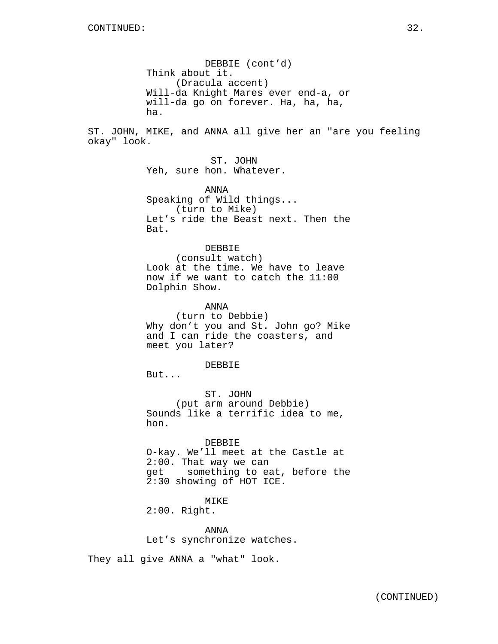DEBBIE (cont'd) Think about it. (Dracula accent) Will-da Knight Mares ever end-a, or will-da go on forever. Ha, ha, ha, ha.

ST. JOHN, MIKE, and ANNA all give her an "are you feeling okay" look.

> ST. JOHN Yeh, sure hon. Whatever.

ANNA Speaking of Wild things... (turn to Mike) Let's ride the Beast next. Then the Bat.

### DEBBIE

(consult watch) Look at the time. We have to leave now if we want to catch the 11:00 Dolphin Show.

ANNA (turn to Debbie) Why don't you and St. John go? Mike and I can ride the coasters, and meet you later?

#### DEBBIE

But...

ST. JOHN (put arm around Debbie) Sounds like a terrific idea to me, hon.

## DEBBIE

O-kay. We'll meet at the Castle at 2:00. That way we can get something to eat, before the 2:30 showing of HOT ICE.

# MIKE

2:00. Right.

ANNA Let's synchronize watches.

They all give ANNA a "what" look.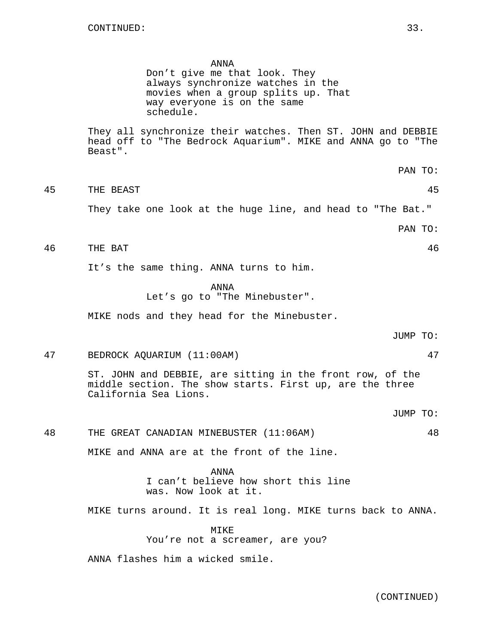#### ANNA

Don't give me that look. They always synchronize watches in the movies when a group splits up. That way everyone is on the same schedule.

They all synchronize their watches. Then ST. JOHN and DEBBIE head off to "The Bedrock Aquarium". MIKE and ANNA go to "The Beast".

- PAN TO:
- 45 THE BEAST 45 They take one look at the huge line, and head to "The Bat."

PAN TO:

# 46 THE BAT 46

It's the same thing. ANNA turns to him.

ANNA Let's go to "The Minebuster".

MIKE nods and they head for the Minebuster.

JUMP TO:

JUMP TO:

#### 47 BEDROCK AQUARIUM (11:00AM) 47

ST. JOHN and DEBBIE, are sitting in the front row, of the middle section. The show starts. First up, are the three California Sea Lions.

48 THE GREAT CANADIAN MINEBUSTER (11:06AM) 48

MIKE and ANNA are at the front of the line.

ANNA I can't believe how short this line was. Now look at it.

MIKE turns around. It is real long. MIKE turns back to ANNA.

MIKE You're not a screamer, are you?

ANNA flashes him a wicked smile.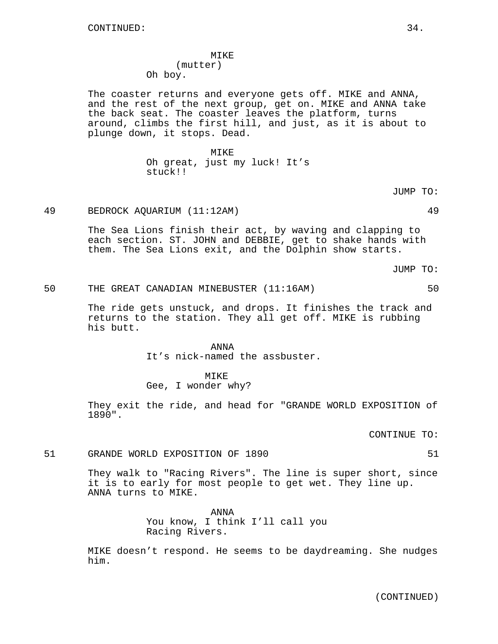# MIKE (mutter) Oh boy.

The coaster returns and everyone gets off. MIKE and ANNA, and the rest of the next group, get on. MIKE and ANNA take the back seat. The coaster leaves the platform, turns around, climbs the first hill, and just, as it is about to plunge down, it stops. Dead.

> MIKE Oh great, just my luck! It's stuck!!

> > JUMP TO:

# 49 BEDROCK AQUARIUM (11:12AM) 49

The Sea Lions finish their act, by waving and clapping to each section. ST. JOHN and DEBBIE, get to shake hands with them. The Sea Lions exit, and the Dolphin show starts.

JUMP TO:

# 50 THE GREAT CANADIAN MINEBUSTER (11:16AM) 50

The ride gets unstuck, and drops. It finishes the track and returns to the station. They all get off. MIKE is rubbing his butt.

> ANNA It's nick-named the assbuster.

MIKE Gee, I wonder why?

They exit the ride, and head for "GRANDE WORLD EXPOSITION of 1890".

CONTINUE TO:

# 51 GRANDE WORLD EXPOSITION OF 1890 51

They walk to "Racing Rivers". The line is super short, since it is to early for most people to get wet. They line up. ANNA turns to MIKE.

> ANNA You know, I think I'll call you Racing Rivers.

MIKE doesn't respond. He seems to be daydreaming. She nudges him.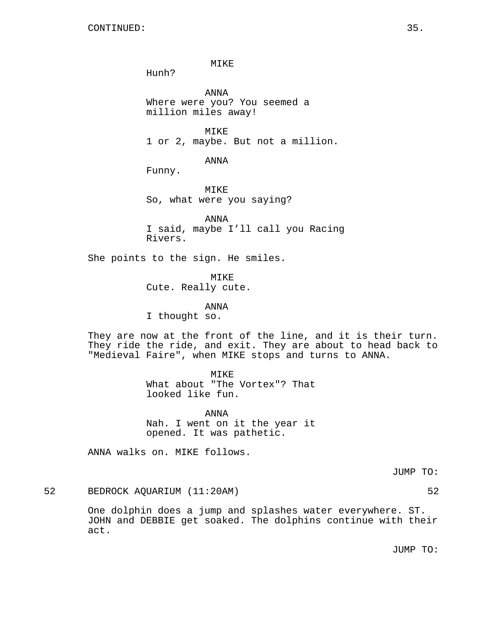MIKE

Hunh?

ANNA Where were you? You seemed a million miles away!

MTKF. 1 or 2, maybe. But not a million.

ANNA

Funny.

MIKE So, what were you saying?

ANNA I said, maybe I'll call you Racing Rivers.

She points to the sign. He smiles.

MIKE

Cute. Really cute.

ANNA

I thought so.

They are now at the front of the line, and it is their turn. They ride the ride, and exit. They are about to head back to "Medieval Faire", when MIKE stops and turns to ANNA.

MIKE

What about "The Vortex"? That looked like fun.

ANNA Nah. I went on it the year it opened. It was pathetic.

ANNA walks on. MIKE follows.

JUMP TO:

52 BEDROCK AQUARIUM (11:20AM) 52

One dolphin does a jump and splashes water everywhere. ST. JOHN and DEBBIE get soaked. The dolphins continue with their act.

JUMP TO: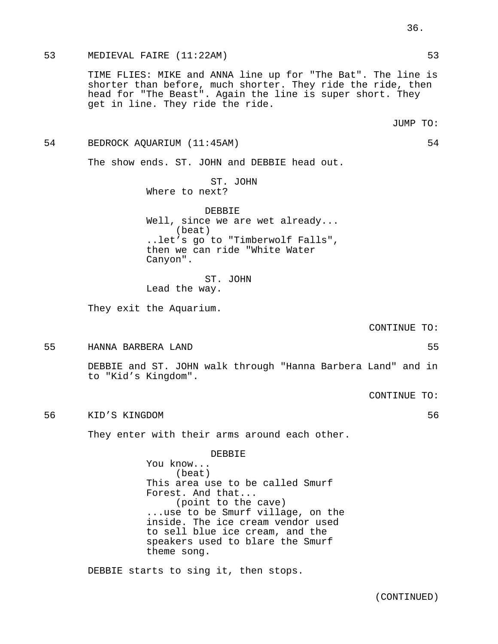## 53 MEDIEVAL FAIRE (11:22AM) 53

TIME FLIES: MIKE and ANNA line up for "The Bat". The line is shorter than before, much shorter. They ride the ride, then head for "The Beast". Again the line is super short. They get in line. They ride the ride.

## 54 BEDROCK AQUARIUM (11:45AM) 54

The show ends. ST. JOHN and DEBBIE head out.

ST. JOHN Where to next?

DEBBIE Well, since we are wet already... (beat) ..let's go to "Timberwolf Falls", then we can ride "White Water Canyon".

ST. JOHN Lead the way.

They exit the Aquarium.

CONTINUE TO:

55 HANNA BARBERA LAND 55

DEBBIE and ST. JOHN walk through "Hanna Barbera Land" and in to "Kid's Kingdom".

CONTINUE TO:

56 KID'S KINGDOM 56

They enter with their arms around each other.

DEBBIE You know... (beat) This area use to be called Smurf Forest. And that... (point to the cave) ...use to be Smurf village, on the inside. The ice cream vendor used to sell blue ice cream, and the speakers used to blare the Smurf theme song.

DEBBIE starts to sing it, then stops.

36.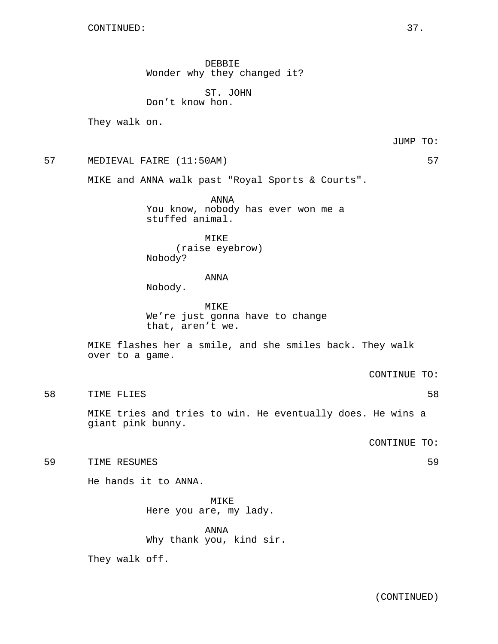DEBBIE Wonder why they changed it?

ST. JOHN Don't know hon.

They walk on.

JUMP TO:

57 MEDIEVAL FAIRE (11:50AM) 57

MIKE and ANNA walk past "Royal Sports & Courts".

ANNA You know, nobody has ever won me a stuffed animal.

MIKE (raise eyebrow) Nobody?

## ANNA

Nobody.

MIKE We're just gonna have to change that, aren't we.

MIKE flashes her a smile, and she smiles back. They walk over to a game.

CONTINUE TO:

58 TIME FLIES 58

MIKE tries and tries to win. He eventually does. He wins a giant pink bunny.

CONTINUE TO:

59 TIME RESUMES 59

He hands it to ANNA.

MIKE Here you are, my lady.

ANNA Why thank you, kind sir.

They walk off.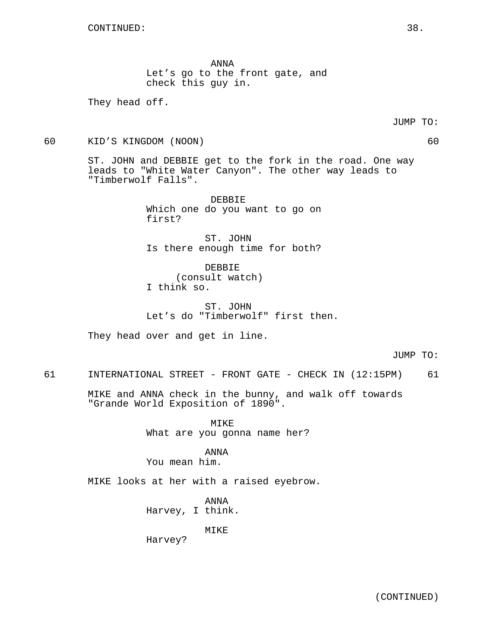ANNA Let's go to the front gate, and check this guy in.

They head off.

60 KID'S KINGDOM (NOON) 60

ST. JOHN and DEBBIE get to the fork in the road. One way leads to "White Water Canyon". The other way leads to "Timberwolf Falls".

> DEBBIE Which one do you want to go on first?

> ST. JOHN Is there enough time for both?

DEBBIE (consult watch) I think so.

ST. JOHN Let's do "Timberwolf" first then.

They head over and get in line.

JUMP TO:

61 INTERNATIONAL STREET - FRONT GATE - CHECK IN (12:15PM) 61

MIKE and ANNA check in the bunny, and walk off towards "Grande World Exposition of 1890".

> MIKE What are you gonna name her?

ANNA You mean him.

MIKE looks at her with a raised eyebrow.

ANNA Harvey, I think.

MIKE

Harvey?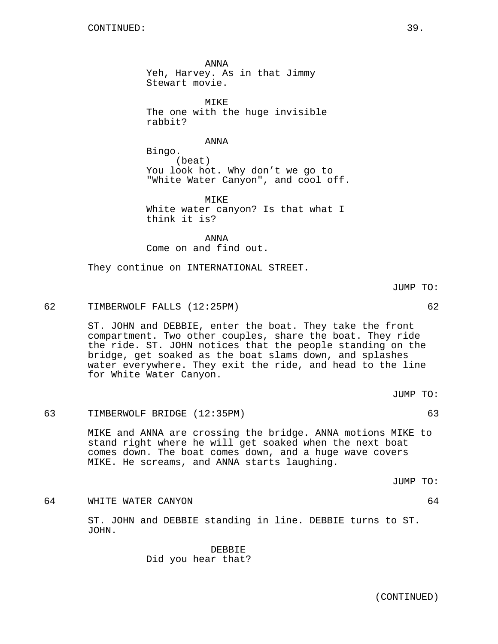ANNA Yeh, Harvey. As in that Jimmy Stewart movie.

MIKE The one with the huge invisible rabbit?

ANNA

Bingo. (beat) You look hot. Why don't we go to "White Water Canyon", and cool off.

MIKE White water canyon? Is that what I think it is?

ANNA Come on and find out.

They continue on INTERNATIONAL STREET.

JUMP TO:

62 TIMBERWOLF FALLS (12:25PM) 62

ST. JOHN and DEBBIE, enter the boat. They take the front compartment. Two other couples, share the boat. They ride the ride. ST. JOHN notices that the people standing on the bridge, get soaked as the boat slams down, and splashes water everywhere. They exit the ride, and head to the line for White Water Canyon.

JUMP TO:

63 TIMBERWOLF BRIDGE (12:35PM) 63

MIKE and ANNA are crossing the bridge. ANNA motions MIKE to stand right where he will get soaked when the next boat comes down. The boat comes down, and a huge wave covers MIKE. He screams, and ANNA starts laughing.

JUMP TO:

64 WHITE WATER CANYON 64

ST. JOHN and DEBBIE standing in line. DEBBIE turns to ST. JOHN.

> DEBBIE Did you hear that?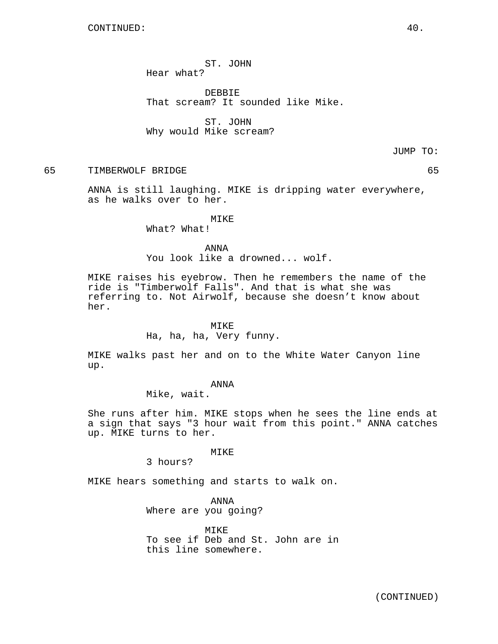ST. JOHN Hear what?

DEBBIE That scream? It sounded like Mike.

ST. JOHN Why would Mike scream?

JUMP TO:

## 65 TIMBERWOLF BRIDGE 65

ANNA is still laughing. MIKE is dripping water everywhere, as he walks over to her.

## MIKE

What? What!

#### ANNA

You look like a drowned... wolf.

MIKE raises his eyebrow. Then he remembers the name of the ride is "Timberwolf Falls". And that is what she was referring to. Not Airwolf, because she doesn't know about her.

#### MIKE

Ha, ha, ha, Very funny.

MIKE walks past her and on to the White Water Canyon line up.

#### ANNA

Mike, wait.

She runs after him. MIKE stops when he sees the line ends at a sign that says "3 hour wait from this point." ANNA catches up. MIKE turns to her.

#### MIKE

3 hours?

MIKE hears something and starts to walk on.

ANNA Where are you going?

MTKE<sup>1</sup> To see if Deb and St. John are in this line somewhere.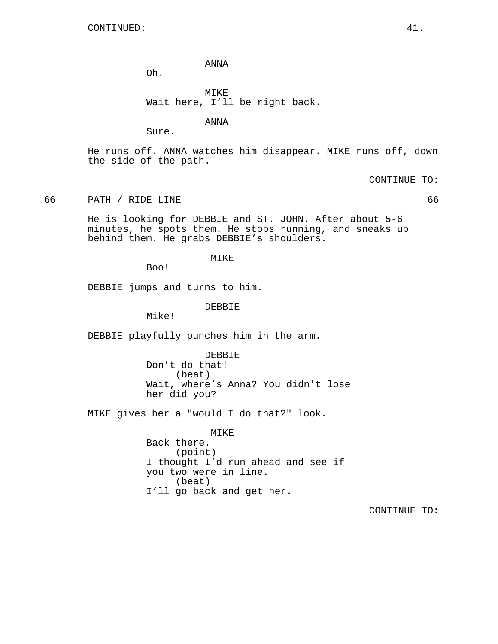ANNA

Oh.

MIKE Wait here, I'll be right back.

ANNA

Sure.

He runs off. ANNA watches him disappear. MIKE runs off, down the side of the path.

CONTINUE TO:

66 PATH / RIDE LINE 66

He is looking for DEBBIE and ST. JOHN. After about 5-6 minutes, he spots them. He stops running, and sneaks up behind them. He grabs DEBBIE's shoulders.

MIKE

Boo!

DEBBIE jumps and turns to him.

DEBBIE

Mike!

DEBBIE playfully punches him in the arm.

DEBBIE Don't do that! (beat) Wait, where's Anna? You didn't lose her did you?

MIKE gives her a "would I do that?" look.

MIKE Back there. (point) I thought I'd run ahead and see if you two were in line. (beat) I'll go back and get her.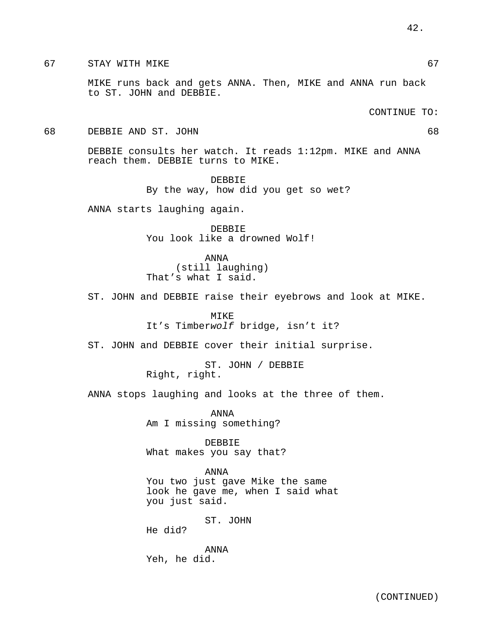MIKE runs back and gets ANNA. Then, MIKE and ANNA run back to ST. JOHN and DEBBIE.

## CONTINUE TO:

#### 68 DEBBIE AND ST. JOHN 68

DEBBIE consults her watch. It reads 1:12pm. MIKE and ANNA reach them. DEBBIE turns to MIKE.

> DEBBIE By the way, how did you get so wet?

ANNA starts laughing again.

DEBBIE You look like a drowned Wolf!

ANNA (still laughing) That's what I said.

ST. JOHN and DEBBIE raise their eyebrows and look at MIKE.

MIKE It's Timberwolf bridge, isn't it?

ST. JOHN and DEBBIE cover their initial surprise.

ST. JOHN / DEBBIE Right, right.

ANNA stops laughing and looks at the three of them.

ANNA Am I missing something?

DEBBIE What makes you say that?

ANNA You two just gave Mike the same look he gave me, when I said what you just said.

ST. JOHN

He did?

ANNA Yeh, he did.

42.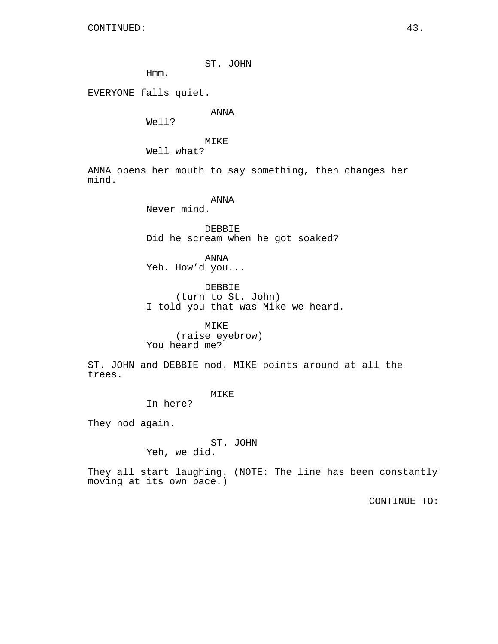ST. JOHN

Hmm.

EVERYONE falls quiet.

ANNA

Well?

MIKE

Well what?

ANNA opens her mouth to say something, then changes her mind.

ANNA

Never mind.

DEBBIE Did he scream when he got soaked?

ANNA Yeh. How'd you...

DEBBIE (turn to St. John) I told you that was Mike we heard.

MIKE (raise eyebrow) You heard me?

ST. JOHN and DEBBIE nod. MIKE points around at all the trees.

MIKE

In here?

They nod again.

ST. JOHN

Yeh, we did.

They all start laughing. (NOTE: The line has been constantly moving at its own pace.)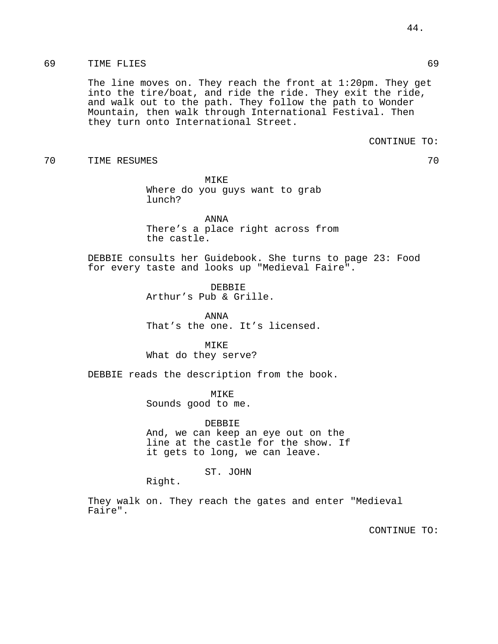## 69 TIME FLIES 69

The line moves on. They reach the front at 1:20pm. They get into the tire/boat, and ride the ride. They exit the ride, and walk out to the path. They follow the path to Wonder Mountain, then walk through International Festival. Then they turn onto International Street.

CONTINUE TO:

70 TIME RESUMES 70

MIKE Where do you guys want to grab lunch?

ANNA There's a place right across from the castle.

DEBBIE consults her Guidebook. She turns to page 23: Food for every taste and looks up "Medieval Faire".

> DEBBIE Arthur's Pub & Grille.

ANNA That's the one. It's licensed.

MIKE What do they serve?

DEBBIE reads the description from the book.

MIKE Sounds good to me.

DEBBIE And, we can keep an eye out on the line at the castle for the show. If it gets to long, we can leave.

ST. JOHN

Right.

They walk on. They reach the gates and enter "Medieval Faire".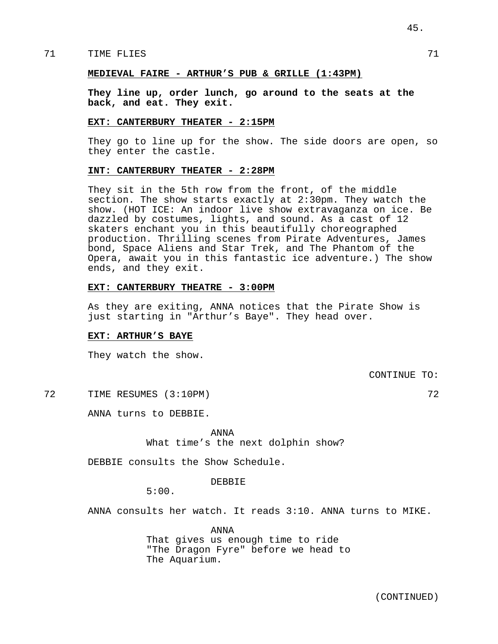## TIME FLIES 71

## **MEDIEVAL FAIRE - ARTHUR'S PUB & GRILLE (1:43PM)**

**They line up, order lunch, go around to the seats at the back, and eat. They exit.**

#### **EXT: CANTERBURY THEATER - 2:15PM**

They go to line up for the show. The side doors are open, so they enter the castle.

## **INT: CANTERBURY THEATER - 2:28PM**

They sit in the 5th row from the front, of the middle section. The show starts exactly at 2:30pm. They watch the show. (HOT ICE: An indoor live show extravaganza on ice. Be dazzled by costumes, lights, and sound. As a cast of 12 skaters enchant you in this beautifully choreographed production. Thrilling scenes from Pirate Adventures, James bond, Space Aliens and Star Trek, and The Phantom of the Opera, await you in this fantastic ice adventure.) The show ends, and they exit.

#### **EXT: CANTERBURY THEATRE - 3:00PM**

As they are exiting, ANNA notices that the Pirate Show is just starting in "Arthur's Baye". They head over.

#### **EXT: ARTHUR'S BAYE**

They watch the show.

CONTINUE TO:

72 TIME RESUMES (3:10PM) 72

ANNA turns to DEBBIE.

ANNA

What time's the next dolphin show?

DEBBIE consults the Show Schedule.

DEBBIE

5:00.

ANNA consults her watch. It reads 3:10. ANNA turns to MIKE.

ANNA That gives us enough time to ride "The Dragon Fyre" before we head to The Aquarium.

45.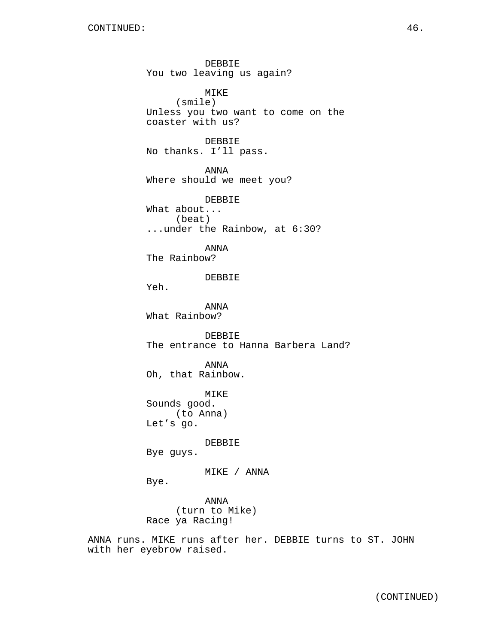DEBBIE You two leaving us again? MIKE (smile) Unless you two want to come on the coaster with us? DEBBIE No thanks. I'll pass. ANNA Where should we meet you? DEBBIE What about... (beat) ...under the Rainbow, at 6:30? ANNA The Rainbow? DEBBIE Yeh. ANNA What Rainbow? DEBBIE The entrance to Hanna Barbera Land? ANNA Oh, that Rainbow. MIKE Sounds good. (to Anna) Let's go. DEBBIE Bye guys. MIKE / ANNA Bye. ANNA (turn to Mike) Race ya Racing! ANNA runs. MIKE runs after her. DEBBIE turns to ST. JOHN with her eyebrow raised.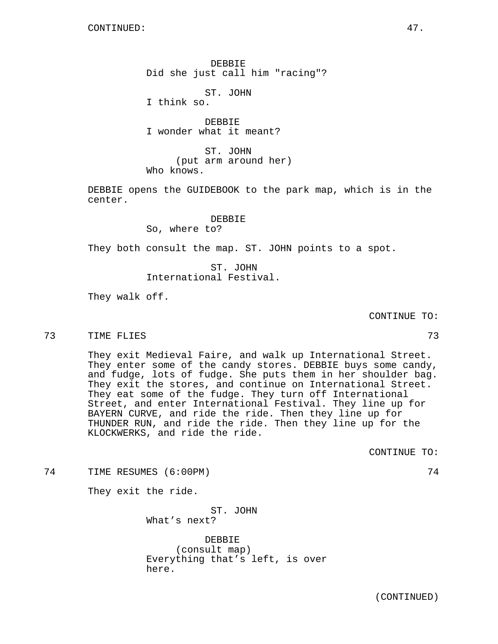(CONTINUED)

DEBBIE Did she just call him "racing"?

ST. JOHN I think so.

DEBBIE I wonder what it meant?

ST. JOHN (put arm around her) Who knows.

DEBBIE opens the GUIDEBOOK to the park map, which is in the center.

## DEBBIE

So, where to?

They both consult the map. ST. JOHN points to a spot.

ST. JOHN International Festival.

They walk off.

CONTINUE TO:

TIME FLIES 73

They exit Medieval Faire, and walk up International Street. They enter some of the candy stores. DEBBIE buys some candy, and fudge, lots of fudge. She puts them in her shoulder bag. They exit the stores, and continue on International Street. They eat some of the fudge. They turn off International Street, and enter International Festival. They line up for BAYERN CURVE, and ride the ride. Then they line up for THUNDER RUN, and ride the ride. Then they line up for the KLOCKWERKS, and ride the ride.

CONTINUE TO:

74 TIME RESUMES (6:00PM) 74

They exit the ride.

ST. JOHN What's next?

DEBBIE (consult map) Everything that's left, is over here.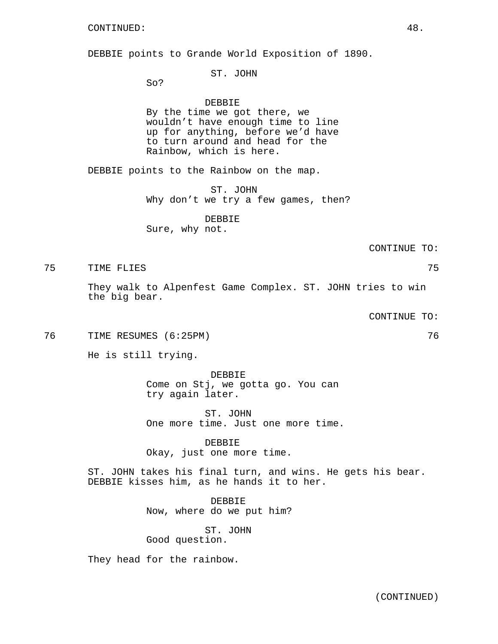DEBBIE points to Grande World Exposition of 1890.

ST. JOHN

So?

#### DEBBIE

By the time we got there, we wouldn't have enough time to line up for anything, before we'd have to turn around and head for the Rainbow, which is here.

DEBBIE points to the Rainbow on the map.

ST. JOHN Why don't we try a few games, then?

DEBBIE Sure, why not.

CONTINUE TO:

TIME FLIES 75

They walk to Alpenfest Game Complex. ST. JOHN tries to win the big bear.

CONTINUE TO:

76 TIME RESUMES (6:25PM) 76

He is still trying.

DEBBIE Come on Stj, we gotta go. You can try again later.

ST. JOHN One more time. Just one more time.

DEBBIE Okay, just one more time.

ST. JOHN takes his final turn, and wins. He gets his bear. DEBBIE kisses him, as he hands it to her.

> DEBBIE Now, where do we put him?

ST. JOHN Good question.

They head for the rainbow.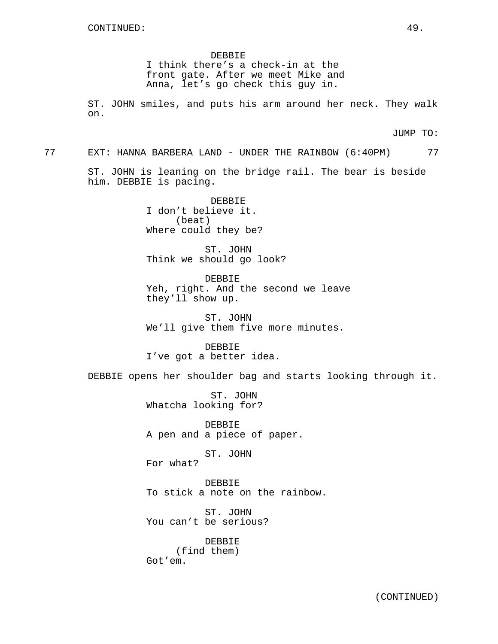DEBBIE I think there's a check-in at the front gate. After we meet Mike and Anna, let's go check this guy in.

ST. JOHN smiles, and puts his arm around her neck. They walk on.

JUMP TO:

77 EXT: HANNA BARBERA LAND - UNDER THE RAINBOW (6:40PM) 77

ST. JOHN is leaning on the bridge rail. The bear is beside him. DEBBIE is pacing.

> DEBBIE I don't believe it. (beat) Where could they be?

ST. JOHN Think we should go look?

DEBBIE Yeh, right. And the second we leave they'll show up.

ST. JOHN We'll give them five more minutes.

DEBBIE I've got a better idea.

DEBBIE opens her shoulder bag and starts looking through it.

ST. JOHN Whatcha looking for?

DEBBIE A pen and a piece of paper.

ST. JOHN For what?

DEBBIE To stick a note on the rainbow.

ST. JOHN You can't be serious?

DEBBIE (find them) Got'em.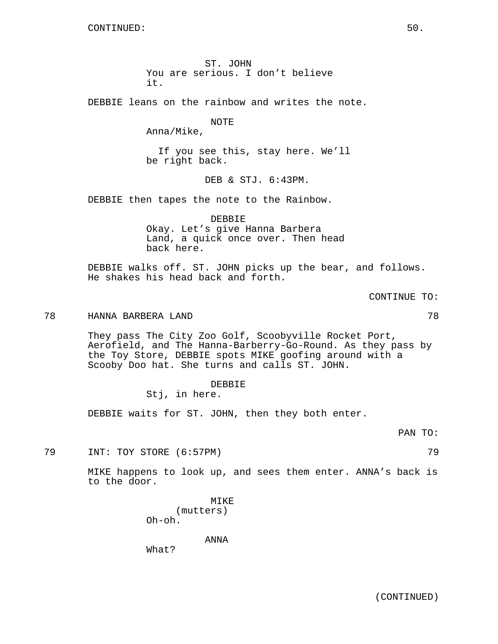ST. JOHN You are serious. I don't believe it.

DEBBIE leans on the rainbow and writes the note.

NOTE

Anna/Mike,

If you see this, stay here. We'll be right back.

DEB & STJ. 6:43PM.

DEBBIE then tapes the note to the Rainbow.

DEBBIE Okay. Let's give Hanna Barbera Land, a quick once over. Then head back here.

DEBBIE walks off. ST. JOHN picks up the bear, and follows. He shakes his head back and forth.

CONTINUE TO:

## 78 HANNA BARBERA LAND 78

They pass The City Zoo Golf, Scoobyville Rocket Port, Aerofield, and The Hanna-Barberry-Go-Round. As they pass by the Toy Store, DEBBIE spots MIKE goofing around with a Scooby Doo hat. She turns and calls ST. JOHN.

# DEBBIE

Stj, in here.

DEBBIE waits for ST. JOHN, then they both enter.

PAN TO:

79 INT: TOY STORE (6:57PM) 79

MIKE happens to look up, and sees them enter. ANNA's back is to the door.

> MIKE (mutters) Oh-oh.

> > ANNA

What?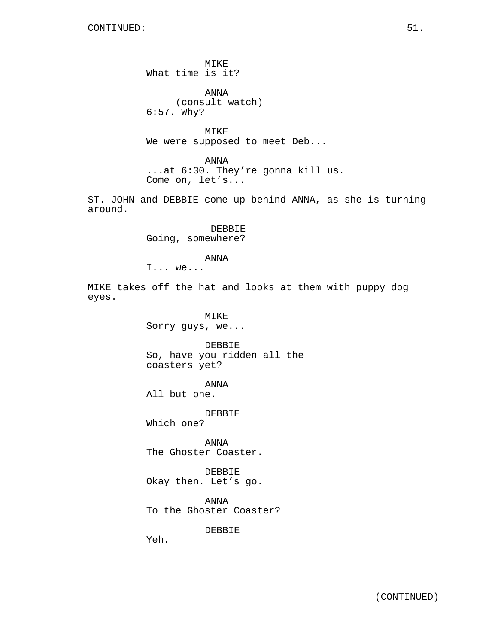MIKE What time is it?

ANNA (consult watch) 6:57. Why?

MIKE We were supposed to meet Deb...

ANNA ...at 6:30. They're gonna kill us. Come on, let's...

ST. JOHN and DEBBIE come up behind ANNA, as she is turning around.

> DEBBIE Going, somewhere?

> > ANNA

I... we...

MIKE takes off the hat and looks at them with puppy dog eyes.

> MIKE Sorry guys, we...

DEBBIE So, have you ridden all the coasters yet?

ANNA

All but one.

DEBBIE

Which one?

ANNA The Ghoster Coaster.

DEBBIE Okay then. Let's go.

ANNA To the Ghoster Coaster?

DEBBIE

Yeh.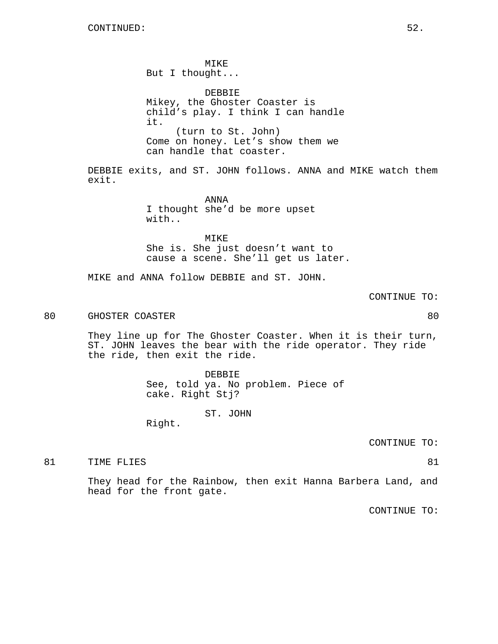MIKE But I thought... DEBBIE Mikey, the Ghoster Coaster is child's play. I think I can handle it. (turn to St. John) Come on honey. Let's show them we can handle that coaster.

DEBBIE exits, and ST. JOHN follows. ANNA and MIKE watch them exit.

> ANNA I thought she'd be more upset with..

MIKE She is. She just doesn't want to cause a scene. She'll get us later.

MIKE and ANNA follow DEBBIE and ST. JOHN.

CONTINUE TO:

80 GHOSTER COASTER **BUSINESS** 80

They line up for The Ghoster Coaster. When it is their turn, ST. JOHN leaves the bear with the ride operator. They ride the ride, then exit the ride.

> DEBBIE See, told ya. No problem. Piece of cake. Right Stj?

> > ST. JOHN

Right.

CONTINUE TO:

81 TIME FLIES 81 and 81 and 81 and 81 and 81 and 81 and 81 and 81 and 81 and 81 and 81 and 81

They head for the Rainbow, then exit Hanna Barbera Land, and head for the front gate.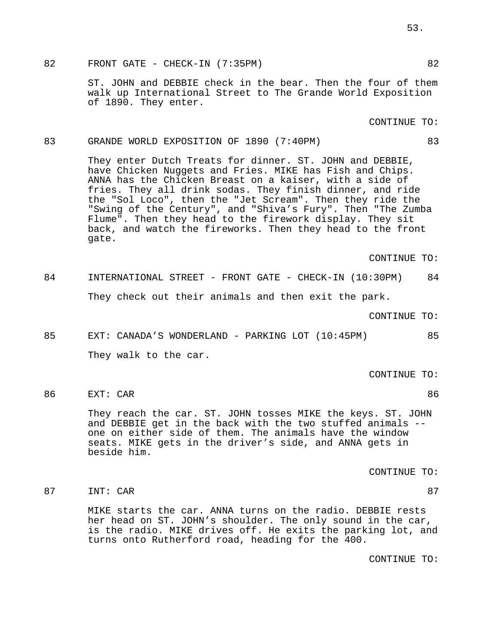82 FRONT GATE - CHECK-IN (7:35PM) 82

ST. JOHN and DEBBIE check in the bear. Then the four of them walk up International Street to The Grande World Exposition of 1890. They enter.

CONTINUE TO:

#### 83 GRANDE WORLD EXPOSITION OF 1890 (7:40PM) 83

They enter Dutch Treats for dinner. ST. JOHN and DEBBIE, have Chicken Nuggets and Fries. MIKE has Fish and Chips. ANNA has the Chicken Breast on a kaiser, with a side of fries. They all drink sodas. They finish dinner, and ride the "Sol Loco", then the "Jet Scream". Then they ride the "Swing of the Century", and "Shiva's Fury". Then "The Zumba Flume". Then they head to the firework display. They sit back, and watch the fireworks. Then they head to the front gate.

CONTINUE TO:

84 INTERNATIONAL STREET - FRONT GATE - CHECK-IN (10:30PM) 84 They check out their animals and then exit the park.

CONTINUE TO:

85 EXT: CANADA'S WONDERLAND - PARKING LOT (10:45PM) 85 They walk to the car.

CONTINUE TO:

86 EXT: CAR 86

They reach the car. ST. JOHN tosses MIKE the keys. ST. JOHN and DEBBIE get in the back with the two stuffed animals - one on either side of them. The animals have the window seats. MIKE gets in the driver's side, and ANNA gets in beside him.

CONTINUE TO:

87 INT: CAR 87

MIKE starts the car. ANNA turns on the radio. DEBBIE rests her head on ST. JOHN's shoulder. The only sound in the car, is the radio. MIKE drives off. He exits the parking lot, and turns onto Rutherford road, heading for the 400.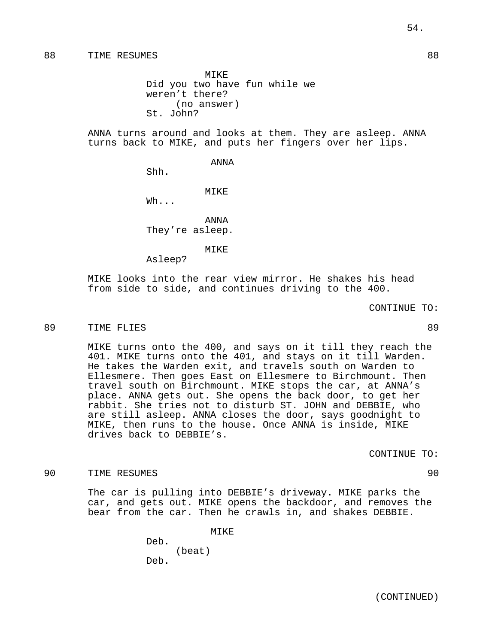MIKE Did you two have fun while we weren't there? (no answer) St. John?

ANNA turns around and looks at them. They are asleep. ANNA turns back to MIKE, and puts her fingers over her lips.

ANNA

Shh.

MIKE

Wh...

ANNA They're asleep.

MIKE

Asleep?

MIKE looks into the rear view mirror. He shakes his head from side to side, and continues driving to the 400.

CONTINUE TO:

#### 89 TIME FLIES 89

MIKE turns onto the 400, and says on it till they reach the 401. MIKE turns onto the 401, and stays on it till Warden. He takes the Warden exit, and travels south on Warden to Ellesmere. Then goes East on Ellesmere to Birchmount. Then travel south on Birchmount. MIKE stops the car, at ANNA's place. ANNA gets out. She opens the back door, to get her rabbit. She tries not to disturb ST. JOHN and DEBBIE, who are still asleep. ANNA closes the door, says goodnight to MIKE, then runs to the house. Once ANNA is inside, MIKE drives back to DEBBIE's.

CONTINUE TO:

#### 90 TIME RESUMES 90

The car is pulling into DEBBIE's driveway. MIKE parks the car, and gets out. MIKE opens the backdoor, and removes the bear from the car. Then he crawls in, and shakes DEBBIE.

> MIKE Deb. (beat) Deb.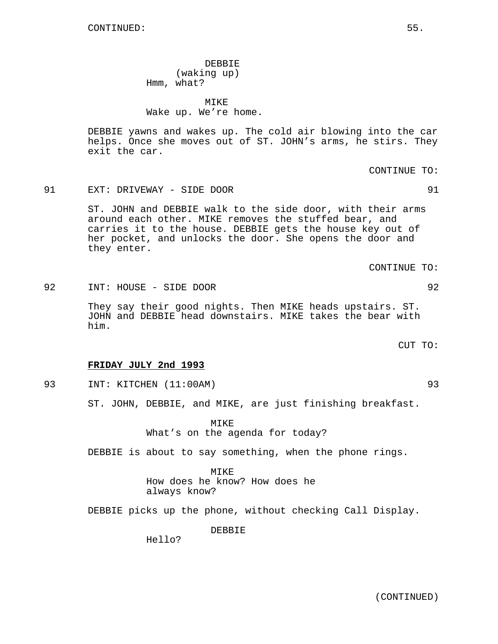DEBBIE (waking up) Hmm, what?

MIKE Wake up. We're home.

DEBBIE yawns and wakes up. The cold air blowing into the car helps. Once she moves out of ST. JOHN's arms, he stirs. They exit the car.

91 EXT: DRIVEWAY - SIDE DOOR 91

ST. JOHN and DEBBIE walk to the side door, with their arms around each other. MIKE removes the stuffed bear, and carries it to the house. DEBBIE gets the house key out of her pocket, and unlocks the door. She opens the door and they enter.

92 INT: HOUSE - SIDE DOOR 92

They say their good nights. Then MIKE heads upstairs. ST. JOHN and DEBBIE head downstairs. MIKE takes the bear with him.

CUT TO:

#### **FRIDAY JULY 2nd 1993**

93 INT: KITCHEN (11:00AM) 93

ST. JOHN, DEBBIE, and MIKE, are just finishing breakfast.

MTK<sub>E</sub> What's on the agenda for today?

DEBBIE is about to say something, when the phone rings.

MIKE How does he know? How does he always know?

DEBBIE picks up the phone, without checking Call Display.

DEBBIE

Hello?

(CONTINUED)

CONTINUE TO: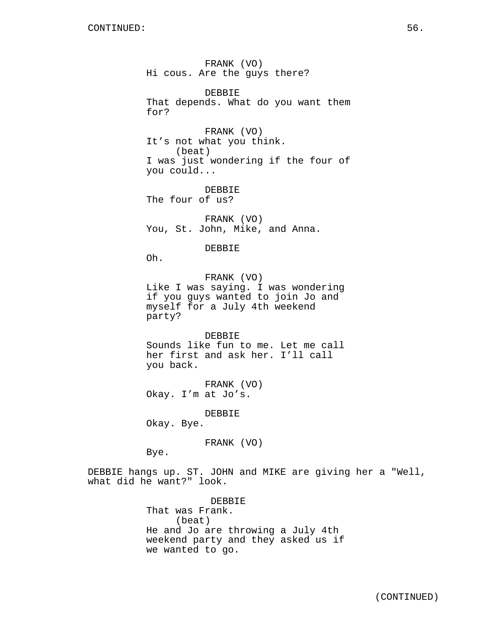FRANK (VO) Hi cous. Are the guys there? DEBBIE That depends. What do you want them for? FRANK (VO) It's not what you think. (beat) I was just wondering if the four of you could... DEBBIE The four of us? FRANK (VO) You, St. John, Mike, and Anna. DEBBIE Oh. FRANK (VO) Like I was saying. I was wondering if you guys wanted to join Jo and myself for a July 4th weekend party? DEBBIE Sounds like fun to me. Let me call her first and ask her. I'll call you back. FRANK (VO) Okay. I'm at Jo's. DEBBIE

Okay. Bye.

FRANK (VO)

Bye.

DEBBIE hangs up. ST. JOHN and MIKE are giving her a "Well, what did he want?" look.

> DEBBIE That was Frank. (beat) He and Jo are throwing a July 4th weekend party and they asked us if we wanted to go.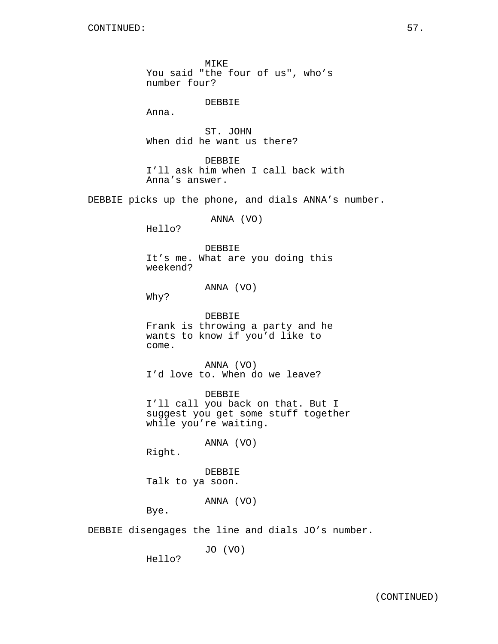MIKE You said "the four of us", who's number four?

### DEBBIE

Anna.

ST. JOHN When did he want us there?

DEBBIE I'll ask him when I call back with Anna's answer.

DEBBIE picks up the phone, and dials ANNA's number.

ANNA (VO)

Hello?

DEBBIE It's me. What are you doing this weekend?

ANNA (VO)

Why?

DEBBIE Frank is throwing a party and he wants to know if you'd like to come.

ANNA (VO) I'd love to. When do we leave?

DEBBIE I'll call you back on that. But I suggest you get some stuff together while you're waiting.

ANNA (VO)

Right.

DEBBIE Talk to ya soon.

ANNA (VO)

Bye.

DEBBIE disengages the line and dials JO's number.

JO (VO)

Hello?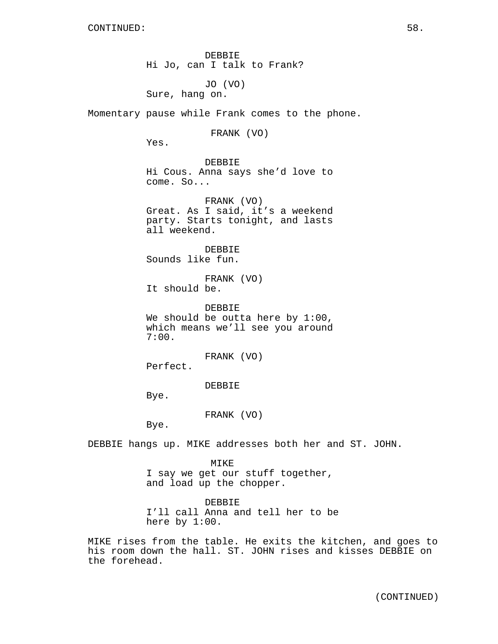DEBBIE Hi Jo, can I talk to Frank? JO (VO) Sure, hang on. Momentary pause while Frank comes to the phone. FRANK (VO) Yes. DEBBIE Hi Cous. Anna says she'd love to come. So... FRANK (VO) Great. As I said, it's a weekend party. Starts tonight, and lasts all weekend. DEBBIE Sounds like fun. FRANK (VO) It should be. DEBBIE We should be outta here by 1:00, which means we'll see you around 7:00. FRANK (VO)

Perfect.

DEBBIE

Bye.

FRANK (VO)

Bye.

DEBBIE hangs up. MIKE addresses both her and ST. JOHN.

MIKE I say we get our stuff together, and load up the chopper.

DEBBIE I'll call Anna and tell her to be here by 1:00.

MIKE rises from the table. He exits the kitchen, and goes to his room down the hall. ST. JOHN rises and kisses DEBBIE on the forehead.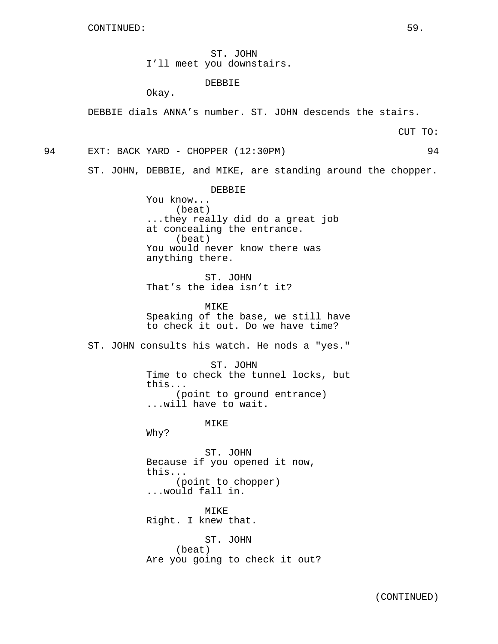ST. JOHN I'll meet you downstairs.

### DEBBIE

Okay.

DEBBIE dials ANNA's number. ST. JOHN descends the stairs.

CUT TO:

94 EXT: BACK YARD - CHOPPER (12:30PM) 94

ST. JOHN, DEBBIE, and MIKE, are standing around the chopper.

DEBBIE You know... (beat) ...they really did do a great job at concealing the entrance. (beat) You would never know there was anything there.

ST. JOHN That's the idea isn't it?

MIKE Speaking of the base, we still have to check it out. Do we have time?

ST. JOHN consults his watch. He nods a "yes."

ST. JOHN Time to check the tunnel locks, but this... (point to ground entrance) ...will have to wait.

**MTKE** 

Why?

ST. JOHN Because if you opened it now, this... (point to chopper) ...would fall in.

MIKE Right. I knew that.

ST. JOHN (beat) Are you going to check it out?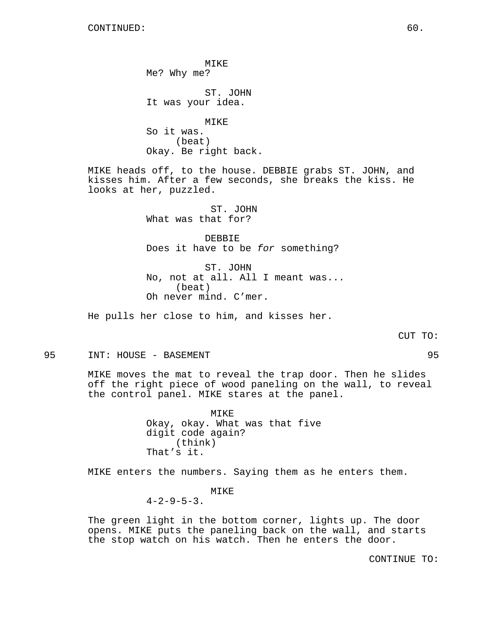MIKE Me? Why me? ST. JOHN It was your idea. MIKE So it was. (beat) Okay. Be right back.

MIKE heads off, to the house. DEBBIE grabs ST. JOHN, and kisses him. After a few seconds, she breaks the kiss. He looks at her, puzzled.

> ST. JOHN What was that for?

DEBBIE Does it have to be for something?

ST. JOHN No, not at all. All I meant was... (beat) Oh never mind. C'mer.

He pulls her close to him, and kisses her.

CUT TO:

95 INT: HOUSE - BASEMENT 95

MIKE moves the mat to reveal the trap door. Then he slides off the right piece of wood paneling on the wall, to reveal the control panel. MIKE stares at the panel.

> MIKE Okay, okay. What was that five digit code again? (think) That's it.

MIKE enters the numbers. Saying them as he enters them.

MIKE  $4-2-9-5-3$ .

The green light in the bottom corner, lights up. The door opens. MIKE puts the paneling back on the wall, and starts the stop watch on his watch. Then he enters the door.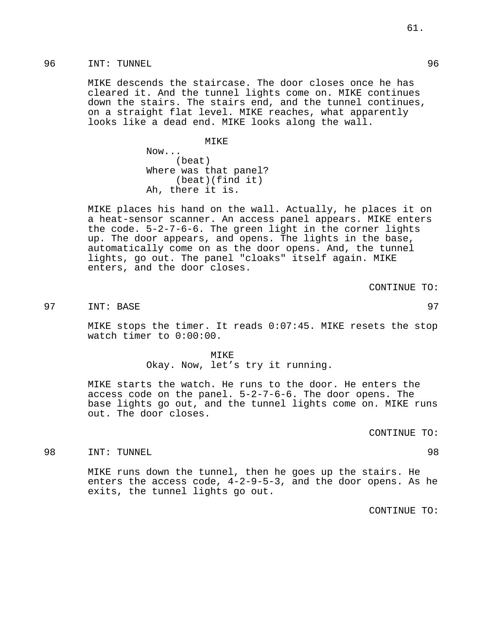96 INT: TUNNEL 96

MIKE descends the staircase. The door closes once he has cleared it. And the tunnel lights come on. MIKE continues down the stairs. The stairs end, and the tunnel continues, on a straight flat level. MIKE reaches, what apparently looks like a dead end. MIKE looks along the wall.

MIKE

Now... (beat) Where was that panel? (beat)(find it) Ah, there it is.

MIKE places his hand on the wall. Actually, he places it on a heat-sensor scanner. An access panel appears. MIKE enters the code. 5-2-7-6-6. The green light in the corner lights up. The door appears, and opens. The lights in the base, automatically come on as the door opens. And, the tunnel lights, go out. The panel "cloaks" itself again. MIKE enters, and the door closes.

CONTINUE TO:

97 INT: BASE 97

MIKE stops the timer. It reads 0:07:45. MIKE resets the stop watch timer to 0:00:00.

> MTKE<sup>®</sup> Okay. Now, let's try it running.

MIKE starts the watch. He runs to the door. He enters the access code on the panel. 5-2-7-6-6. The door opens. The base lights go out, and the tunnel lights come on. MIKE runs out. The door closes.

CONTINUE TO:

98 INT: TUNNEL 98

MIKE runs down the tunnel, then he goes up the stairs. He enters the access code, 4-2-9-5-3, and the door opens. As he exits, the tunnel lights go out.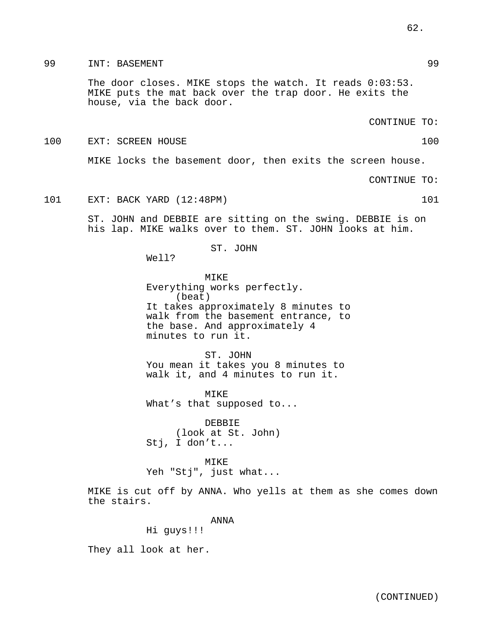99 INT: BASEMENT 99

The door closes. MIKE stops the watch. It reads 0:03:53. MIKE puts the mat back over the trap door. He exits the house, via the back door.

CONTINUE TO:

100 EXT: SCREEN HOUSE 100

MIKE locks the basement door, then exits the screen house.

CONTINUE TO:

101 EXT: BACK YARD (12:48PM) 101

ST. JOHN and DEBBIE are sitting on the swing. DEBBIE is on his lap. MIKE walks over to them. ST. JOHN looks at him.

ST. JOHN

Well?

MIKE Everything works perfectly. (beat) It takes approximately 8 minutes to walk from the basement entrance, to the base. And approximately 4 minutes to run it.

ST. JOHN You mean it takes you 8 minutes to walk it, and 4 minutes to run it.

MIKE What's that supposed to...

DEBBIE (look at St. John) Stj, I don't...

MIKE Yeh "Stj", just what...

MIKE is cut off by ANNA. Who yells at them as she comes down the stairs.

ANNA

Hi guys!!!

They all look at her.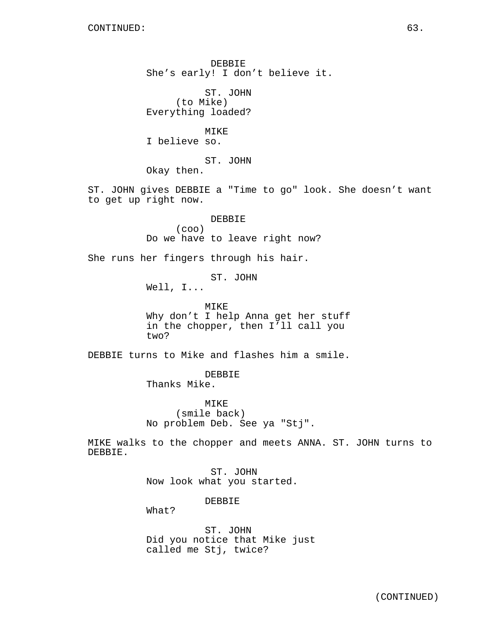DEBBIE She's early! I don't believe it.

ST. JOHN (to Mike) Everything loaded?

MIKE I believe so.

ST. JOHN

Okay then.

ST. JOHN gives DEBBIE a "Time to go" look. She doesn't want to get up right now.

> DEBBIE (coo) Do we have to leave right now?

She runs her fingers through his hair.

ST. JOHN

Well, I...

MIKE Why don't I help Anna get her stuff in the chopper, then I'll call you two?

DEBBIE turns to Mike and flashes him a smile.

DEBBIE Thanks Mike.

MIKE (smile back) No problem Deb. See ya "Stj".

MIKE walks to the chopper and meets ANNA. ST. JOHN turns to DEBBIE.

> ST. JOHN Now look what you started.

> > DEBBIE

What?

ST. JOHN Did you notice that Mike just called me Stj, twice?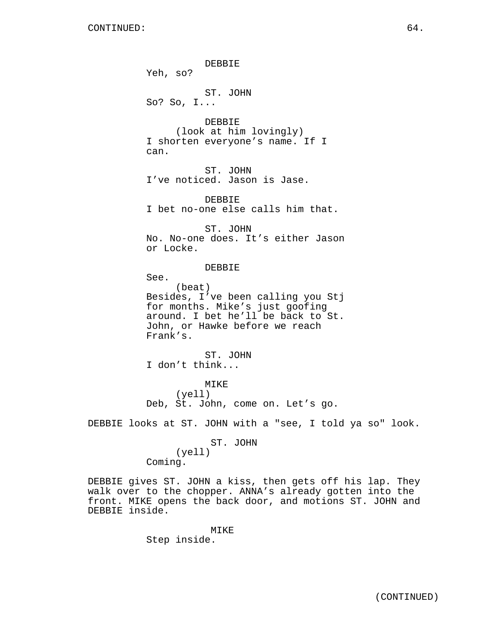DEBBIE Yeh, so? ST. JOHN So? So, I... DEBBIE (look at him lovingly) I shorten everyone's name. If I can. ST. JOHN I've noticed. Jason is Jase. DEBBIE I bet no-one else calls him that. ST. JOHN No. No-one does. It's either Jason or Locke. DEBBIE See. (beat) Besides, I've been calling you Stj for months. Mike's just goofing around. I bet he'll be back to St. John, or Hawke before we reach Frank's. ST. JOHN I don't think... MIKE (yell) Deb, St. John, come on. Let's go. DEBBIE looks at ST. JOHN with a "see, I told ya so" look. ST. JOHN (yell) Coming.

DEBBIE gives ST. JOHN a kiss, then gets off his lap. They walk over to the chopper. ANNA's already gotten into the front. MIKE opens the back door, and motions ST. JOHN and DEBBIE inside.

> MIKE Step inside.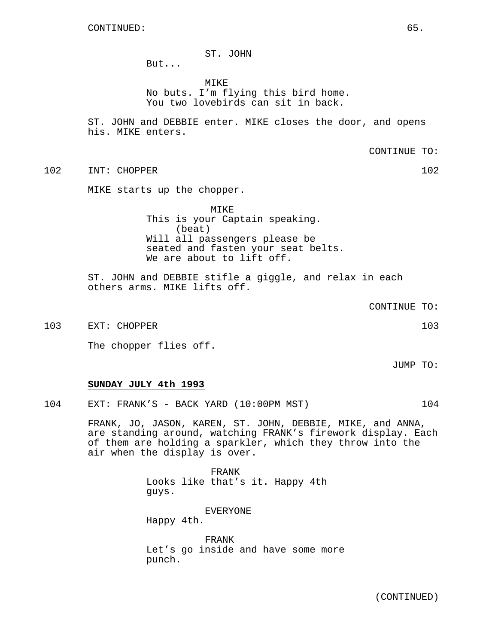## ST. JOHN

But...

MIKE No buts. I'm flying this bird home. You two lovebirds can sit in back.

ST. JOHN and DEBBIE enter. MIKE closes the door, and opens his. MIKE enters.

CONTINUE TO:

102 INT: CHOPPER 102

MIKE starts up the chopper.

MIKE This is your Captain speaking. (beat) Will all passengers please be seated and fasten your seat belts. We are about to lift off.

ST. JOHN and DEBBIE stifle a giggle, and relax in each others arms. MIKE lifts off.

CONTINUE TO:

103 EXT: CHOPPER 103

The chopper flies off.

JUMP TO:

### **SUNDAY JULY 4th 1993**

104 EXT: FRANK'S - BACK YARD (10:00PM MST) 104

FRANK, JO, JASON, KAREN, ST. JOHN, DEBBIE, MIKE, and ANNA, are standing around, watching FRANK's firework display. Each of them are holding a sparkler, which they throw into the air when the display is over.

> FRANK Looks like that's it. Happy 4th guys.

EVERYONE Happy 4th.

FRANK Let's go inside and have some more punch.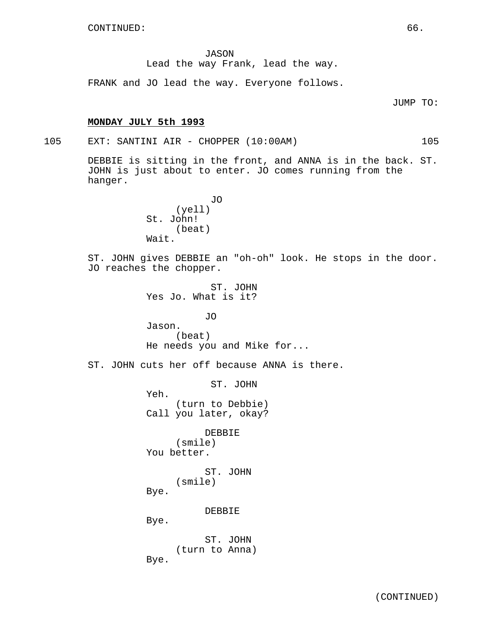JASON Lead the way Frank, lead the way.

FRANK and JO lead the way. Everyone follows.

JUMP TO:

## **MONDAY JULY 5th 1993**

105 EXT: SANTINI AIR - CHOPPER (10:00AM) 105

DEBBIE is sitting in the front, and ANNA is in the back. ST. JOHN is just about to enter. JO comes running from the hanger.

> JO (yell) St. John! (beat) Wait.

ST. JOHN gives DEBBIE an "oh-oh" look. He stops in the door. JO reaches the chopper.

> ST. JOHN Yes Jo. What is it? JO Jason. (beat)

He needs you and Mike for...

ST. JOHN cuts her off because ANNA is there.

ST. JOHN Yeh. (turn to Debbie) Call you later, okay? DEBBIE (smile) You better. ST. JOHN (smile) Bye. DEBBIE Bye. ST. JOHN (turn to Anna) Bye.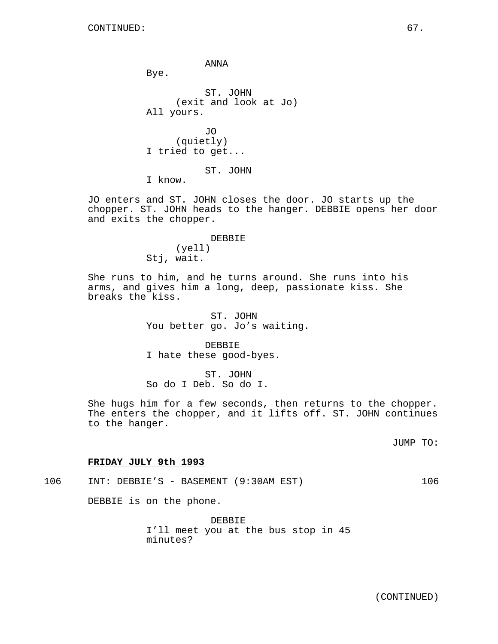ANNA

Bye.

ST. JOHN (exit and look at Jo) All yours. JO (quietly) I tried to get...

ST. JOHN

I know.

JO enters and ST. JOHN closes the door. JO starts up the chopper. ST. JOHN heads to the hanger. DEBBIE opens her door and exits the chopper.

> DEBBIE (yell) Stj, wait.

She runs to him, and he turns around. She runs into his arms, and gives him a long, deep, passionate kiss. She breaks the kiss.

> ST. JOHN You better go. Jo's waiting.

DEBBIE I hate these good-byes.

ST. JOHN So do I Deb. So do I.

She hugs him for a few seconds, then returns to the chopper. The enters the chopper, and it lifts off. ST. JOHN continues to the hanger.

JUMP TO:

## **FRIDAY JULY 9th 1993**

106 INT: DEBBIE'S - BASEMENT (9:30AM EST) 106

DEBBIE is on the phone.

DEBBIE I'll meet you at the bus stop in 45 minutes?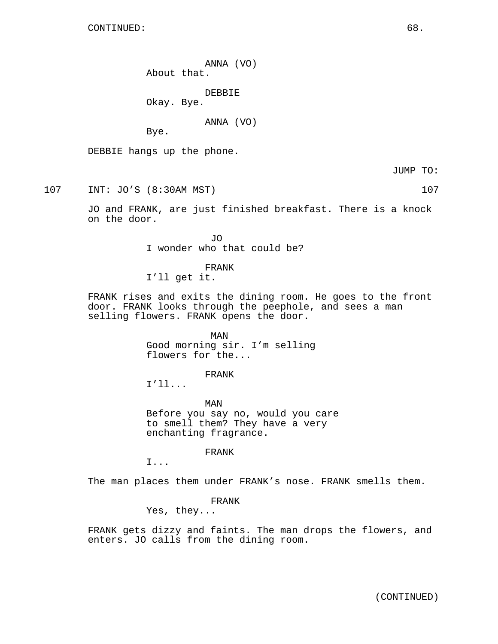ANNA (VO) About that.

DEBBIE

Okay. Bye.

ANNA (VO)

Bye.

DEBBIE hangs up the phone.

JUMP TO:

107 INT: JO'S (8:30AM MST) 107

JO and FRANK, are just finished breakfast. There is a knock on the door.

> JO I wonder who that could be?

FRANK I'll get it.

FRANK rises and exits the dining room. He goes to the front door. FRANK looks through the peephole, and sees a man selling flowers. FRANK opens the door.

> MAN Good morning sir. I'm selling flowers for the...

> > FRANK

I'll...

MAN Before you say no, would you care to smell them? They have a very enchanting fragrance.

FRANK

I...

The man places them under FRANK's nose. FRANK smells them.

FRANK

Yes, they...

FRANK gets dizzy and faints. The man drops the flowers, and enters. JO calls from the dining room.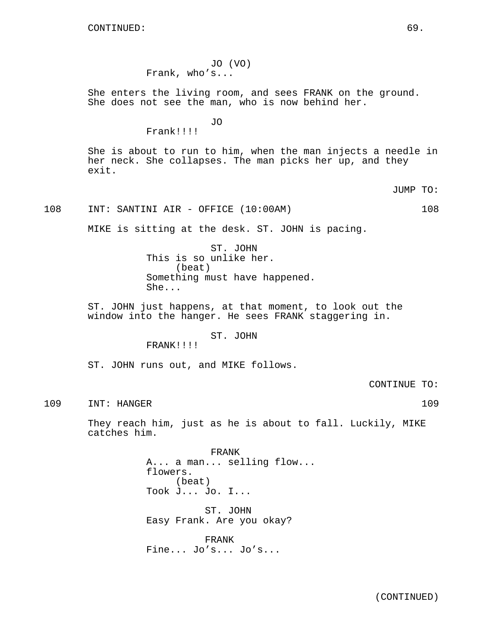## JO (VO) Frank, who's...

She enters the living room, and sees FRANK on the ground. She does not see the man, who is now behind her.

JO

Frank!!!!

She is about to run to him, when the man injects a needle in her neck. She collapses. The man picks her up, and they exit.

JUMP TO:

## 108 INT: SANTINI AIR - OFFICE (10:00AM) 108

MIKE is sitting at the desk. ST. JOHN is pacing.

ST. JOHN This is so unlike her. (beat) Something must have happened. She...

ST. JOHN just happens, at that moment, to look out the window into the hanger. He sees FRANK staggering in.

ST. JOHN

FRANK!!!!

ST. JOHN runs out, and MIKE follows.

CONTINUE TO:

109 INT: HANGER 109

They reach him, just as he is about to fall. Luckily, MIKE catches him.

> FRANK A... a man... selling flow... flowers. (beat) Took J... Jo. I...

ST. JOHN Easy Frank. Are you okay?

FRANK Fine... Jo's... Jo's...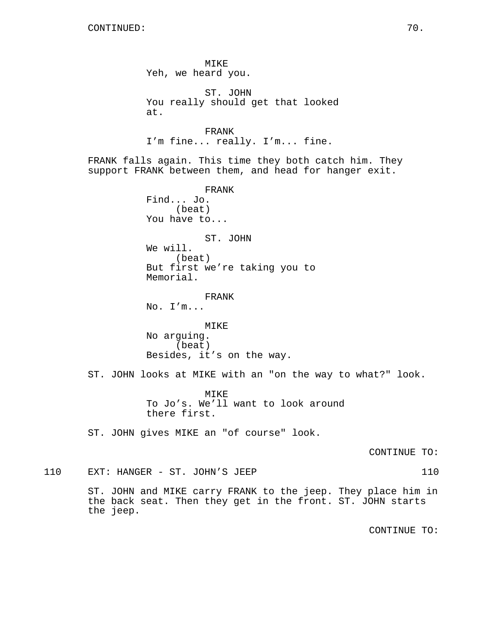MIKE Yeh, we heard you. ST. JOHN You really should get that looked at. FRANK I'm fine... really. I'm... fine. FRANK falls again. This time they both catch him. They support FRANK between them, and head for hanger exit. FRANK Find... Jo. (beat) You have to... ST. JOHN We will. (beat) But first we're taking you to Memorial. FRANK No. I'm... MIKE No arguing. (beat) Besides, it's on the way. ST. JOHN looks at MIKE with an "on the way to what?" look. MIKE To Jo's. We'll want to look around there first. ST. JOHN gives MIKE an "of course" look. CONTINUE TO: 110 EXT: HANGER - ST. JOHN'S JEEP 110 ST. JOHN and MIKE carry FRANK to the jeep. They place him in the back seat. Then they get in the front. ST. JOHN starts the jeep.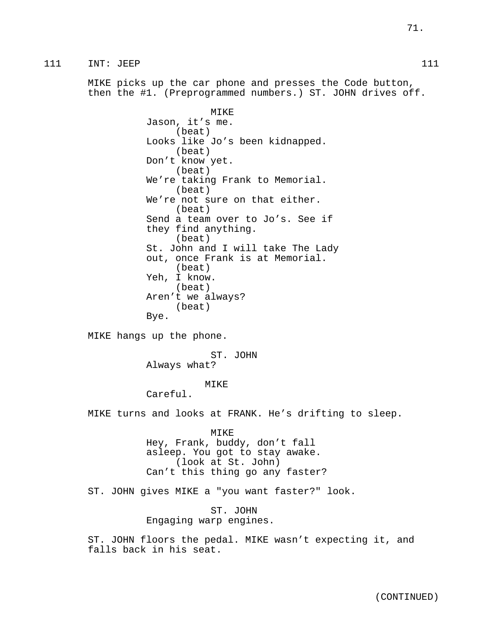MIKE picks up the car phone and presses the Code button, then the #1. (Preprogrammed numbers.) ST. JOHN drives off.

> MIKE Jason, it's me. (beat) Looks like Jo's been kidnapped. (beat) Don't know yet. (beat) We're taking Frank to Memorial. (beat) We're not sure on that either. (beat) Send a team over to Jo's. See if they find anything. (beat) St. John and I will take The Lady out, once Frank is at Memorial. (beat) Yeh, I know. (beat) Aren't we always? (beat) Bye.

MIKE hangs up the phone.

ST. JOHN Always what?

## MIKE

Careful.

MIKE turns and looks at FRANK. He's drifting to sleep.

MIKE Hey, Frank, buddy, don't fall asleep. You got to stay awake. (look at St. John) Can't this thing go any faster?

ST. JOHN gives MIKE a "you want faster?" look.

ST. JOHN Engaging warp engines.

ST. JOHN floors the pedal. MIKE wasn't expecting it, and falls back in his seat.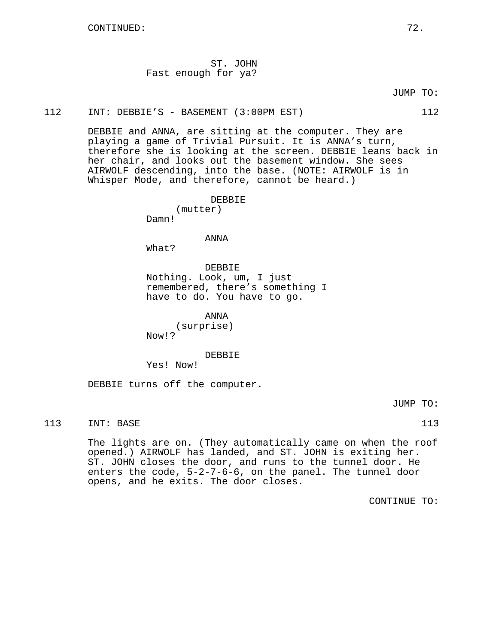ST. JOHN Fast enough for ya?

JUMP TO:

#### 112 INT: DEBBIE'S - BASEMENT (3:00PM EST) 112

DEBBIE and ANNA, are sitting at the computer. They are playing a game of Trivial Pursuit. It is ANNA's turn, therefore she is looking at the screen. DEBBIE leans back in her chair, and looks out the basement window. She sees AIRWOLF descending, into the base. (NOTE: AIRWOLF is in Whisper Mode, and therefore, cannot be heard.)

> DEBBIE (mutter)

Damn!

ANNA

What?

DEBBIE Nothing. Look, um, I just remembered, there's something I have to do. You have to go.

ANNA

(surprise) Now!?

DEBBIE

Yes! Now!

DEBBIE turns off the computer.

JUMP TO:

113 INT: BASE 113

The lights are on. (They automatically came on when the roof opened.) AIRWOLF has landed, and ST. JOHN is exiting her. ST. JOHN closes the door, and runs to the tunnel door. He enters the code, 5-2-7-6-6, on the panel. The tunnel door opens, and he exits. The door closes.

CONTINUE TO: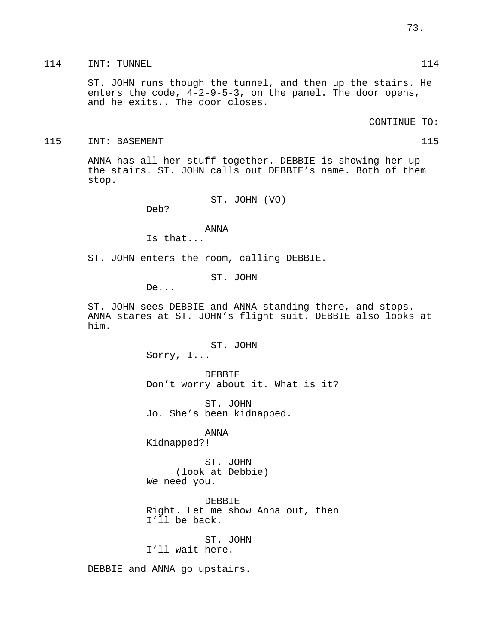114 INT: TUNNEL 114 114

ST. JOHN runs though the tunnel, and then up the stairs. He enters the code, 4-2-9-5-3, on the panel. The door opens, and he exits.. The door closes.

CONTINUE TO:

115 INT: BASEMENT 115 115

ANNA has all her stuff together. DEBBIE is showing her up the stairs. ST. JOHN calls out DEBBIE's name. Both of them stop.

ST. JOHN (VO)

Deb?

ANNA

Is that...

ST. JOHN enters the room, calling DEBBIE.

ST. JOHN

De...

ST. JOHN sees DEBBIE and ANNA standing there, and stops. ANNA stares at ST. JOHN's flight suit. DEBBIE also looks at him.

> ST. JOHN Sorry, I...

DEBBIE Don't worry about it. What is it?

ST. JOHN Jo. She's been kidnapped.

ANNA Kidnapped?!

ST. JOHN (look at Debbie) We need you.

DEBBIE Right. Let me show Anna out, then I'll be back.

ST. JOHN I'll wait here.

DEBBIE and ANNA go upstairs.

73.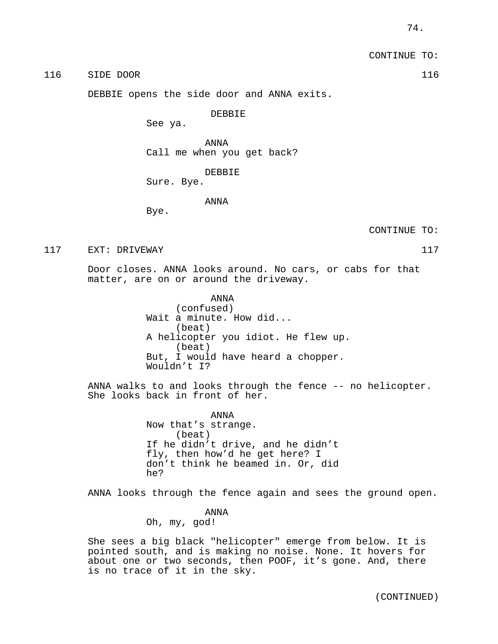CONTINUE TO:

116 SIDE DOOR 116 SIDE ROOP.

DEBBIE opens the side door and ANNA exits.

DEBBIE

See ya.

ANNA Call me when you get back?

DEBBIE

Sure. Bye.

ANNA

Bye.

CONTINUE TO:

117 EXT: DRIVEWAY 117

Door closes. ANNA looks around. No cars, or cabs for that matter, are on or around the driveway.

> ANNA (confused) Wait a minute. How did... (beat) A helicopter you idiot. He flew up. (beat) But, I would have heard a chopper. Wouldn't I?

ANNA walks to and looks through the fence -- no helicopter. She looks back in front of her.

> ANNA Now that's strange. (beat) If he didn't drive, and he didn't fly, then how'd he get here? I don't think he beamed in. Or, did he?

ANNA looks through the fence again and sees the ground open.

ANNA

Oh, my, god!

She sees a big black "helicopter" emerge from below. It is pointed south, and is making no noise. None. It hovers for about one or two seconds, then POOF, it's gone. And, there is no trace of it in the sky.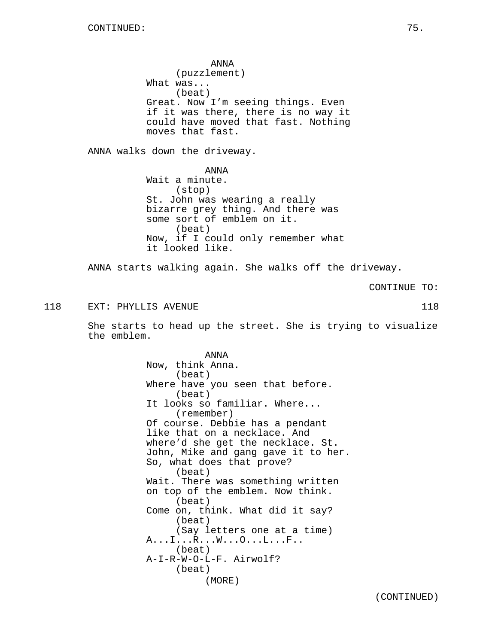ANNA (puzzlement) What was... (beat) Great. Now I'm seeing things. Even if it was there, there is no way it could have moved that fast. Nothing moves that fast. ANNA walks down the driveway. ANNA Wait a minute. (stop) St. John was wearing a really bizarre grey thing. And there was some sort of emblem on it. (beat) Now, if I could only remember what it looked like. ANNA starts walking again. She walks off the driveway. CONTINUE TO: 118 EXT: PHYLLIS AVENUE 118 She starts to head up the street. She is trying to visualize the emblem. ANNA Now, think Anna. (beat) Where have you seen that before. (beat) It looks so familiar. Where... (remember) Of course. Debbie has a pendant like that on a necklace. And where'd she get the necklace. St. John, Mike and gang gave it to her. So, what does that prove? (beat) Wait. There was something written on top of the emblem. Now think. (beat) Come on, think. What did it say? (beat) (Say letters one at a time) A...I...R...W...O...L...F.. (beat) A-I-R-W-O-L-F. Airwolf? (beat) (MORE)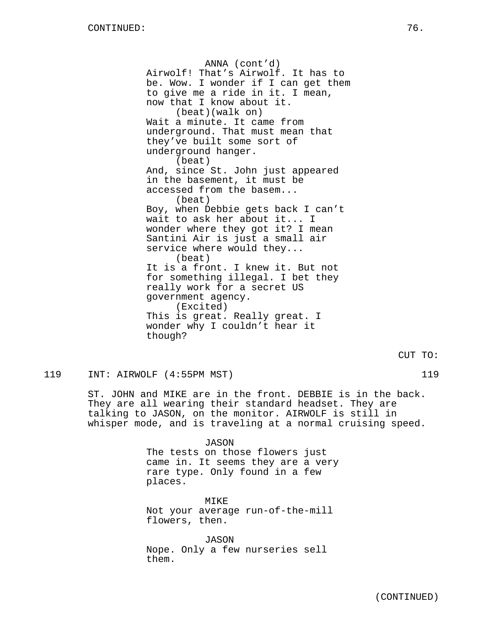ANNA (cont'd) Airwolf! That's Airwolf. It has to be. Wow. I wonder if I can get them to give me a ride in it. I mean, now that I know about it. (beat)(walk on) Wait a minute. It came from underground. That must mean that they've built some sort of underground hanger. (beat) And, since St. John just appeared in the basement, it must be accessed from the basem... (beat) Boy, when Debbie gets back I can't wait to ask her about it... I wonder where they got it? I mean Santini Air is just a small air service where would they... (beat) It is a front. I knew it. But not for something illegal. I bet they really work for a secret US government agency. (Excited) This is great. Really great. I wonder why I couldn't hear it though?

119 INT: AIRWOLF (4:55PM MST) 119

ST. JOHN and MIKE are in the front. DEBBIE is in the back. They are all wearing their standard headset. They are talking to JASON, on the monitor. AIRWOLF is still in whisper mode, and is traveling at a normal cruising speed.

> JASON The tests on those flowers just came in. It seems they are a very rare type. Only found in a few places.

MIKE Not your average run-of-the-mill flowers, then.

JASON Nope. Only a few nurseries sell them.

CUT TO: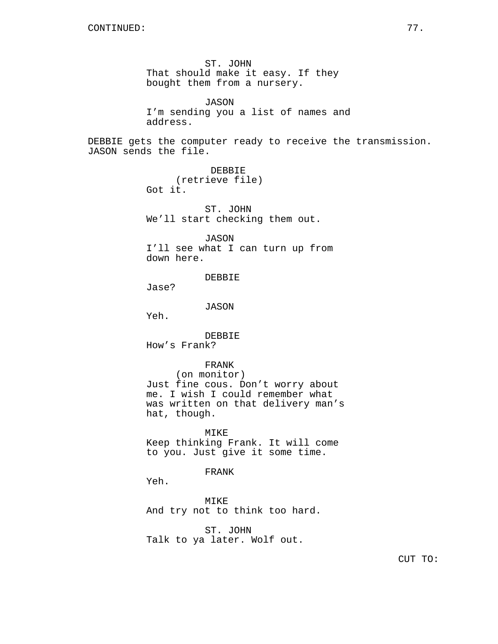ST. JOHN That should make it easy. If they bought them from a nursery. JASON I'm sending you a list of names and address. DEBBIE gets the computer ready to receive the transmission. JASON sends the file. DEBBIE (retrieve file) Got it. ST. JOHN We'll start checking them out. JASON I'll see what I can turn up from down here. DEBBIE Jase? JASON Yeh. DEBBIE How's Frank? FRANK (on monitor) Just fine cous. Don't worry about me. I wish I could remember what was written on that delivery man's hat, though. MIKE Keep thinking Frank. It will come to you. Just give it some time. FRANK Yeh.

> MIKE And try not to think too hard.

ST. JOHN Talk to ya later. Wolf out.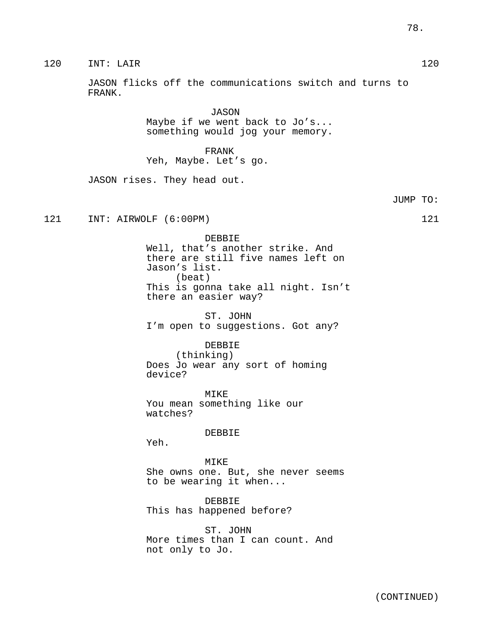JUMP TO:

120 INT: LAIR 120

JASON flicks off the communications switch and turns to FRANK.

> JASON Maybe if we went back to Jo's... something would jog your memory.

FRANK Yeh, Maybe. Let's go.

JASON rises. They head out.

121 INT: AIRWOLF (6:00PM) 121

DEBBIE Well, that's another strike. And there are still five names left on Jason's list. (beat) This is gonna take all night. Isn't there an easier way?

ST. JOHN I'm open to suggestions. Got any?

DEBBIE

(thinking) Does Jo wear any sort of homing device?

MIKE You mean something like our watches?

DEBBIE

Yeh.

MIKE She owns one. But, she never seems to be wearing it when...

DEBBIE This has happened before?

ST. JOHN More times than I can count. And not only to Jo.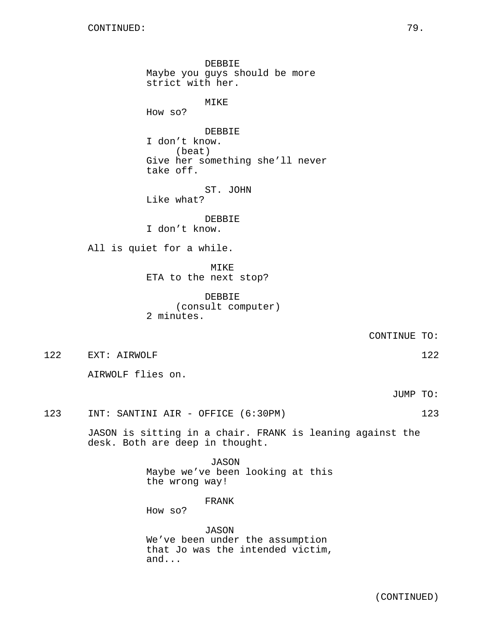DEBBIE Maybe you guys should be more strict with her. MIKE How so? DEBBIE I don't know. (beat) Give her something she'll never take off. ST. JOHN Like what? DEBBIE I don't know. All is quiet for a while. MIKE ETA to the next stop? DEBBIE (consult computer) 2 minutes. CONTINUE TO: 122 EXT: AIRWOLF 122 122 AIRWOLF flies on.

JUMP TO:

123 INT: SANTINI AIR - OFFICE (6:30PM) 123

JASON is sitting in a chair. FRANK is leaning against the desk. Both are deep in thought.

> JASON Maybe we've been looking at this the wrong way!

> > FRANK

How so?

JASON We've been under the assumption that Jo was the intended victim, and...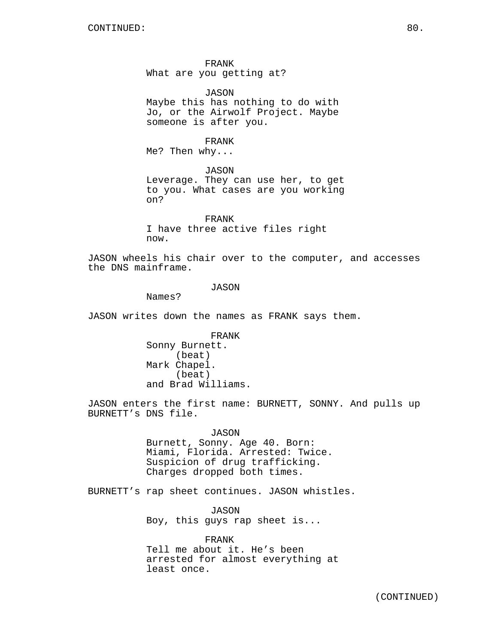FRANK What are you getting at?

JASON Maybe this has nothing to do with Jo, or the Airwolf Project. Maybe someone is after you.

FRANK Me? Then why...

JASON Leverage. They can use her, to get to you. What cases are you working on?

FRANK I have three active files right now.

JASON wheels his chair over to the computer, and accesses the DNS mainframe.

#### JASON

Names?

JASON writes down the names as FRANK says them.

FRANK Sonny Burnett. (beat) Mark Chapel. (beat) and Brad Williams.

JASON enters the first name: BURNETT, SONNY. And pulls up BURNETT's DNS file.

> JASON Burnett, Sonny. Age 40. Born: Miami, Florida. Arrested: Twice. Suspicion of drug trafficking. Charges dropped both times.

BURNETT's rap sheet continues. JASON whistles.

JASON Boy, this guys rap sheet is...

FRANK Tell me about it. He's been arrested for almost everything at least once.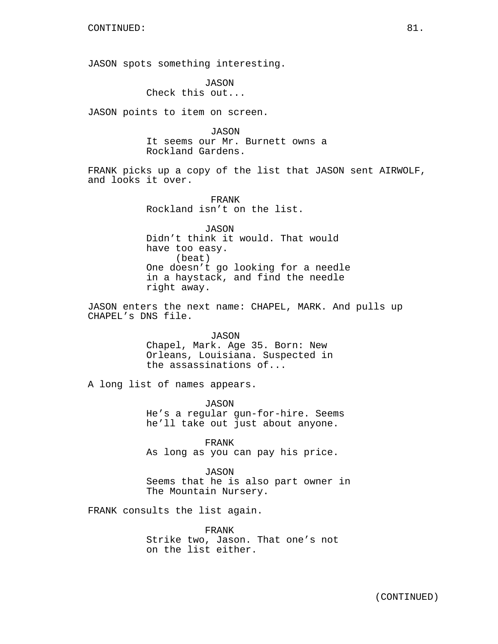JASON spots something interesting.

JASON Check this out...

JASON points to item on screen.

JASON It seems our Mr. Burnett owns a Rockland Gardens.

FRANK picks up a copy of the list that JASON sent AIRWOLF, and looks it over.

> FRANK Rockland isn't on the list.

JASON Didn't think it would. That would have too easy. (beat) One doesn't go looking for a needle in a haystack, and find the needle right away.

JASON enters the next name: CHAPEL, MARK. And pulls up CHAPEL's DNS file.

> JASON Chapel, Mark. Age 35. Born: New Orleans, Louisiana. Suspected in the assassinations of...

A long list of names appears.

JASON He's a regular gun-for-hire. Seems he'll take out just about anyone.

FRANK As long as you can pay his price.

JASON Seems that he is also part owner in The Mountain Nursery.

FRANK consults the list again.

FRANK Strike two, Jason. That one's not on the list either.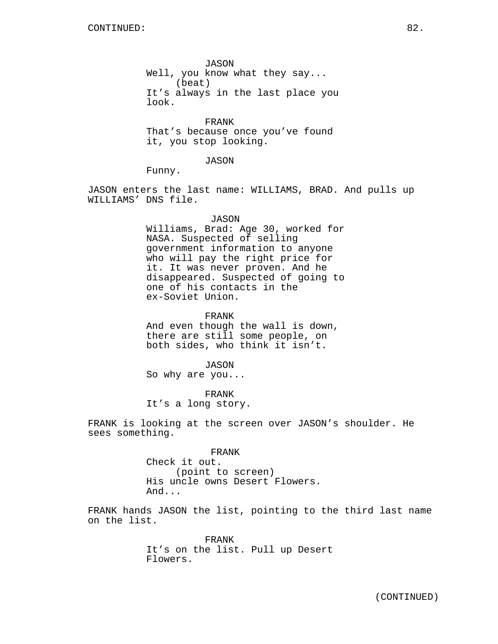JASON Well, you know what they say... (beat) It's always in the last place you look.

FRANK That's because once you've found it, you stop looking.

JASON

Funny.

JASON enters the last name: WILLIAMS, BRAD. And pulls up WILLIAMS' DNS file.

#### JASON

Williams, Brad: Age 30, worked for NASA. Suspected of selling government information to anyone who will pay the right price for it. It was never proven. And he disappeared. Suspected of going to one of his contacts in the ex-Soviet Union.

FRANK

And even though the wall is down, there are still some people, on both sides, who think it isn't.

JASON

So why are you...

FRANK It's a long story.

FRANK is looking at the screen over JASON's shoulder. He sees something.

> FRANK Check it out. (point to screen) His uncle owns Desert Flowers. And...

FRANK hands JASON the list, pointing to the third last name on the list.

> FRANK It's on the list. Pull up Desert Flowers.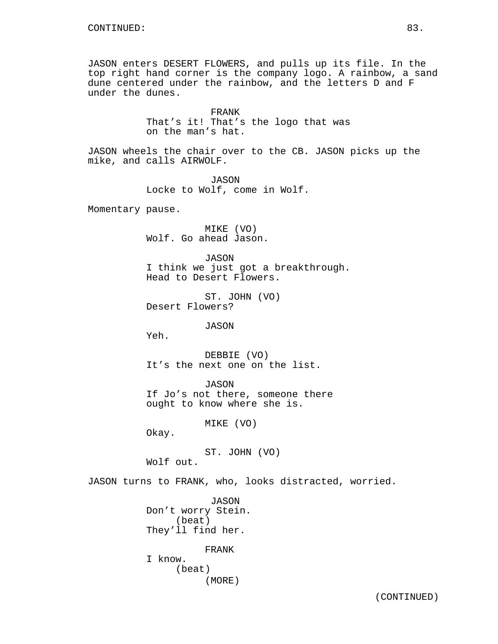JASON enters DESERT FLOWERS, and pulls up its file. In the top right hand corner is the company logo. A rainbow, a sand dune centered under the rainbow, and the letters D and F under the dunes.

> FRANK That's it! That's the logo that was on the man's hat.

JASON wheels the chair over to the CB. JASON picks up the mike, and calls AIRWOLF.

> JASON Locke to Wolf, come in Wolf.

Momentary pause.

MIKE (VO) Wolf. Go ahead Jason.

JASON I think we just got a breakthrough. Head to Desert Flowers.

ST. JOHN (VO) Desert Flowers?

JASON

Yeh.

DEBBIE (VO) It's the next one on the list.

JASON If Jo's not there, someone there ought to know where she is.

MIKE (VO)

Okay.

ST. JOHN (VO) Wolf out.

JASON turns to FRANK, who, looks distracted, worried.

JASON Don't worry Stein. (beat) They'll find her. FRANK I know. (beat)

(MORE)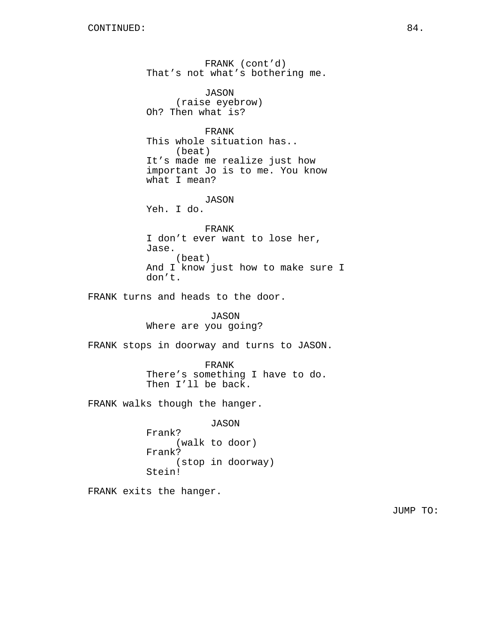FRANK (cont'd) That's not what's bothering me. JASON (raise eyebrow) Oh? Then what is? FRANK This whole situation has.. (beat) It's made me realize just how important Jo is to me. You know what I mean? JASON Yeh. I do. FRANK I don't ever want to lose her, Jase. (beat) And I know just how to make sure I don't. FRANK turns and heads to the door. JASON Where are you going? FRANK stops in doorway and turns to JASON. FRANK There's something I have to do. Then I'll be back. FRANK walks though the hanger. JASON Frank? (walk to door) Frank? (stop in doorway) Stein! FRANK exits the hanger.

JUMP TO: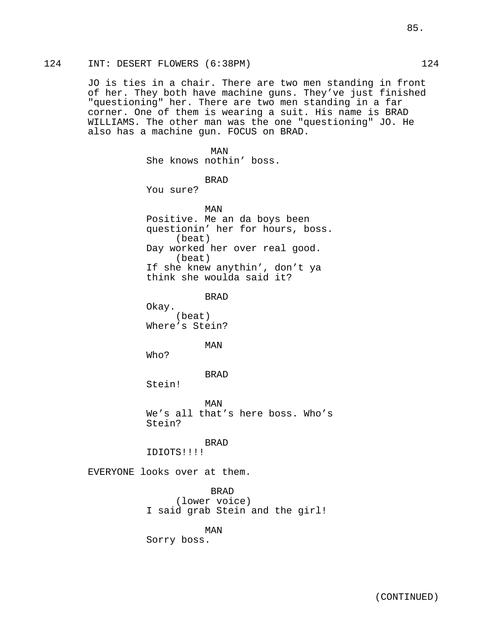## 124 INT: DESERT FLOWERS (6:38PM) 124

JO is ties in a chair. There are two men standing in front of her. They both have machine guns. They've just finished "questioning" her. There are two men standing in a far corner. One of them is wearing a suit. His name is BRAD WILLIAMS. The other man was the one "questioning" JO. He also has a machine gun. FOCUS on BRAD.

MAN She knows nothin' boss. BRAD You sure? MAN Positive. Me an da boys been questionin' her for hours, boss. (beat) Day worked her over real good. (beat) If she knew anythin', don't ya think she woulda said it? BRAD Okay. (beat) Where's Stein? MAN Who? BRAD Stein! MAN We's all that's here boss. Who's Stein? BRAD IDIOTS!!!! EVERYONE looks over at them. BRAD (lower voice) I said grab Stein and the girl!

MAN Sorry boss.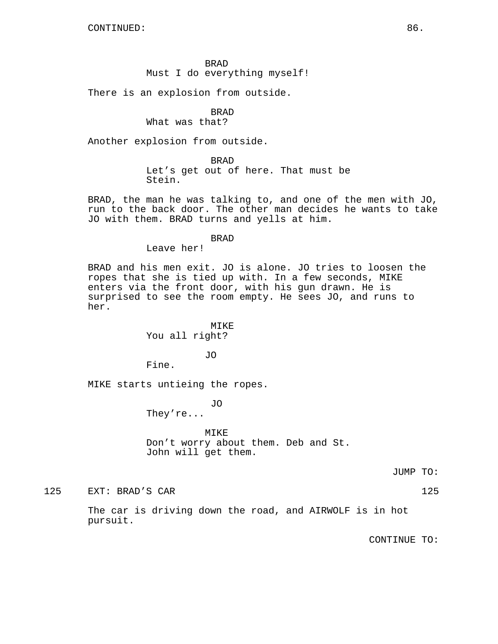## BRAD Must I do everything myself!

There is an explosion from outside.

# BRAD

## What was that?

Another explosion from outside.

BRAD Let's get out of here. That must be Stein.

BRAD, the man he was talking to, and one of the men with JO, run to the back door. The other man decides he wants to take JO with them. BRAD turns and yells at him.

#### BRAD

Leave her!

BRAD and his men exit. JO is alone. JO tries to loosen the ropes that she is tied up with. In a few seconds, MIKE enters via the front door, with his gun drawn. He is surprised to see the room empty. He sees JO, and runs to her.

> MIKE You all right?

> > JO

Fine.

MIKE starts untieing the ropes.

JO

They're...

MIKE Don't worry about them. Deb and St. John will get them.

JUMP TO:

125 EXT: BRAD'S CAR 125

The car is driving down the road, and AIRWOLF is in hot pursuit.

CONTINUE TO: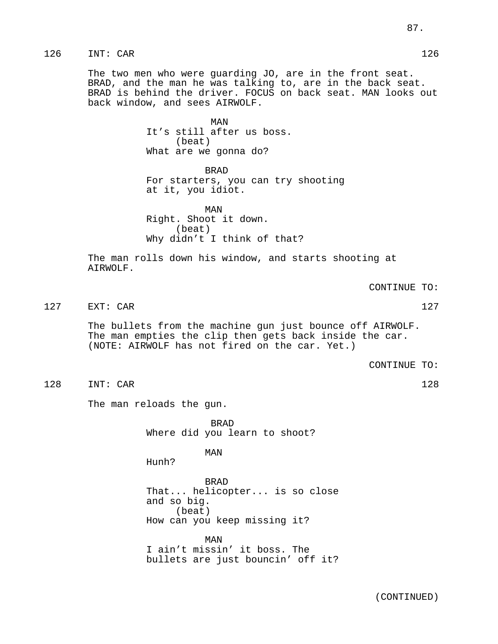The two men who were guarding JO, are in the front seat. BRAD, and the man he was talking to, are in the back seat. BRAD is behind the driver. FOCUS on back seat. MAN looks out back window, and sees AIRWOLF.

> MAN It's still after us boss. (beat) What are we gonna do?

BRAD For starters, you can try shooting at it, you idiot.

MAN Right. Shoot it down. (beat) Why didn't I think of that?

The man rolls down his window, and starts shooting at AIRWOLF.

CONTINUE TO:

127 EXT: CAR 127

The bullets from the machine gun just bounce off AIRWOLF. The man empties the clip then gets back inside the car. (NOTE: AIRWOLF has not fired on the car. Yet.)

CONTINUE TO:

128 INT: CAR 128

The man reloads the gun.

BRAD Where did you learn to shoot?

MAN

Hunh?

BRAD That... helicopter... is so close and so big. (beat) How can you keep missing it?

MAN I ain't missin' it boss. The bullets are just bouncin' off it?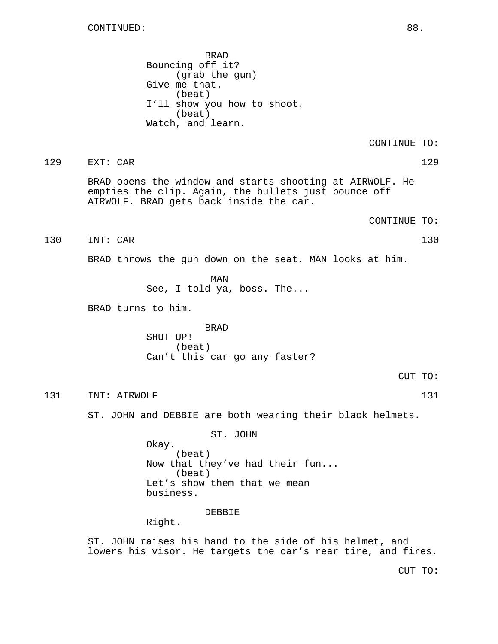BRAD Bouncing off it? (grab the gun) Give me that. (beat) I'll show you how to shoot. (beat) Watch, and learn.

CONTINUE TO:

### 129 EXT: CAR 129

BRAD opens the window and starts shooting at AIRWOLF. He empties the clip. Again, the bullets just bounce off AIRWOLF. BRAD gets back inside the car.

CONTINUE TO:

130 INT: CAR 130

BRAD throws the gun down on the seat. MAN looks at him.

MAN See, I told ya, boss. The...

BRAD turns to him.

BRAD SHUT UP! (beat) Can't this car go any faster?

CUT TO:

131 INT: AIRWOLF 131 131

ST. JOHN and DEBBIE are both wearing their black helmets.

ST. JOHN Okay. (beat) Now that they've had their fun... (beat) Let's show them that we mean business.

DEBBIE

Right.

ST. JOHN raises his hand to the side of his helmet, and lowers his visor. He targets the car's rear tire, and fires.

CUT TO: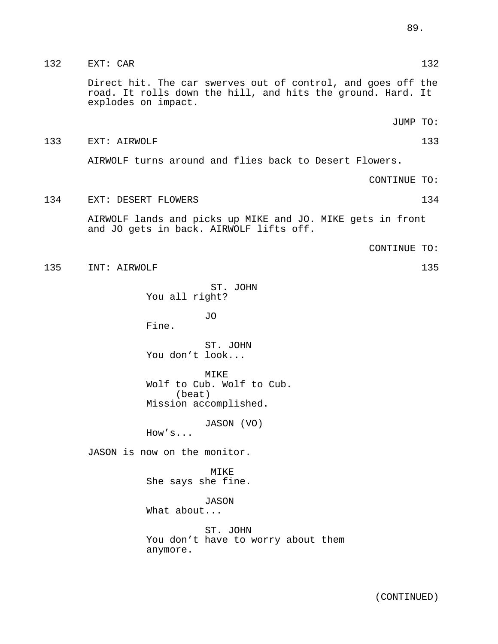132 EXT: CAR 132 EXT: CAR 132

Direct hit. The car swerves out of control, and goes off the road. It rolls down the hill, and hits the ground. Hard. It explodes on impact.

JUMP TO:

#### 133 EXT: AIRWOLF 133

AIRWOLF turns around and flies back to Desert Flowers.

CONTINUE TO:

#### 134 EXT: DESERT FLOWERS 134

AIRWOLF lands and picks up MIKE and JO. MIKE gets in front and JO gets in back. AIRWOLF lifts off.

CONTINUE TO:

135 INT: AIRWOLF 135

ST. JOHN You all right?

JO

Fine.

ST. JOHN You don't look...

MTKE. Wolf to Cub. Wolf to Cub. (beat) Mission accomplished.

JASON (VO)

How's...

JASON is now on the monitor.

MIKE She says she fine.

JASON What about...

ST. JOHN You don't have to worry about them anymore.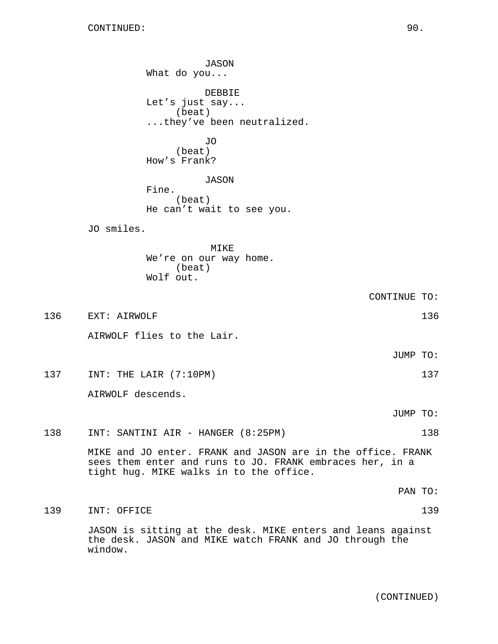JASON What do you... DEBBIE Let's just say... (beat) ...they've been neutralized. JO (beat) How's Frank? JASON Fine. (beat) He can't wait to see you. JO smiles. MIKE We're on our way home. (beat) Wolf out. CONTINUE TO: 136 EXT: AIRWOLF 136 AIRWOLF flies to the Lair. JUMP TO: 137 INT: THE LAIR (7:10PM) 137 137 AIRWOLF descends. JUMP TO: 138 INT: SANTINI AIR - HANGER (8:25PM) 138 MIKE and JO enter. FRANK and JASON are in the office. FRANK sees them enter and runs to JO. FRANK embraces her, in a tight hug. MIKE walks in to the office. PAN TO: 139 INT: OFFICE 139 JASON is sitting at the desk. MIKE enters and leans against the desk. JASON and MIKE watch FRANK and JO through the window.

(CONTINUED)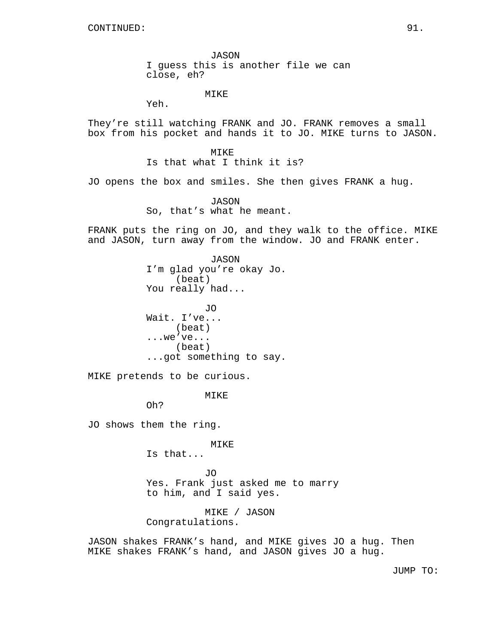JASON I guess this is another file we can close, eh?

MIKE

Yeh.

They're still watching FRANK and JO. FRANK removes a small box from his pocket and hands it to JO. MIKE turns to JASON.

> MIKE Is that what I think it is?

JO opens the box and smiles. She then gives FRANK a hug.

JASON So, that's what he meant.

FRANK puts the ring on JO, and they walk to the office. MIKE and JASON, turn away from the window. JO and FRANK enter.

> JASON I'm glad you're okay Jo. (beat) You really had...

JO Wait. I've... (beat) ...we've... (beat) ...got something to say.

MIKE pretends to be curious.

MIKE

Oh?

JO shows them the ring.

MIKE

Is that...

JO Yes. Frank just asked me to marry to him, and I said yes.

MIKE / JASON Congratulations.

JASON shakes FRANK's hand, and MIKE gives JO a hug. Then MIKE shakes FRANK's hand, and JASON gives JO a hug.

JUMP TO: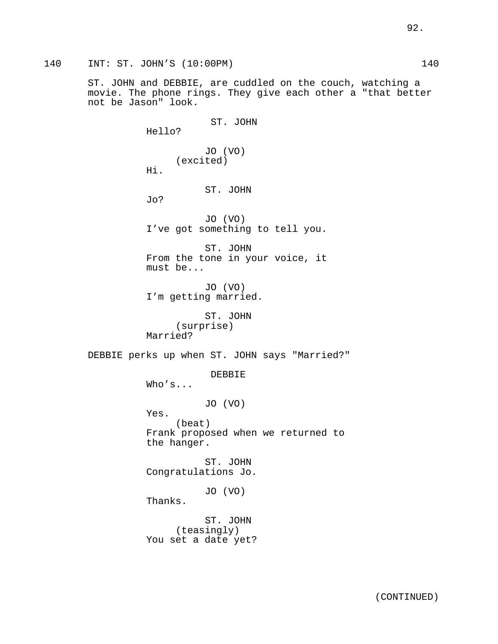ST. JOHN and DEBBIE, are cuddled on the couch, watching a movie. The phone rings. They give each other a "that better not be Jason" look.

ST. JOHN Hello? JO (VO) (excited) Hi. ST. JOHN Jo? JO (VO) I've got something to tell you. ST. JOHN From the tone in your voice, it must be... JO (VO) I'm getting married. ST. JOHN (surprise) Married? DEBBIE perks up when ST. JOHN says "Married?" DEBBIE Who's... JO (VO) Yes. (beat) Frank proposed when we returned to the hanger. ST. JOHN Congratulations Jo. JO (VO) Thanks. ST. JOHN (teasingly) You set a date yet?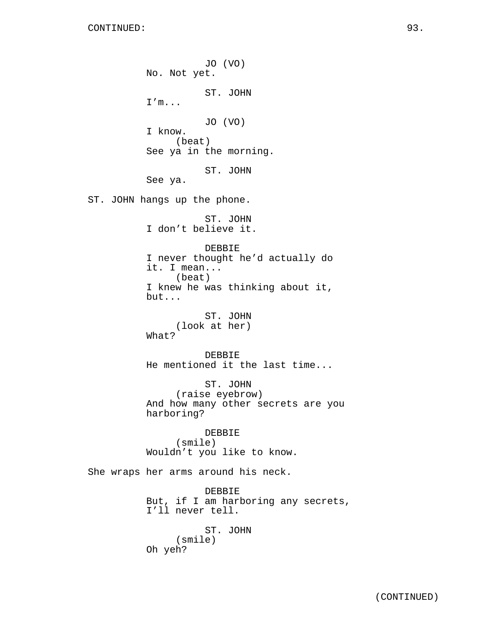JO (VO) No. Not yet. ST. JOHN I'm... JO (VO) I know. (beat) See ya in the morning. ST. JOHN See ya. ST. JOHN hangs up the phone. ST. JOHN I don't believe it. DEBBIE I never thought he'd actually do it. I mean... (beat) I knew he was thinking about it, but... ST. JOHN (look at her) What? DEBBIE He mentioned it the last time... ST. JOHN (raise eyebrow) And how many other secrets are you harboring? DEBBIE (smile) Wouldn't you like to know. She wraps her arms around his neck. DEBBIE But, if I am harboring any secrets, I'll never tell. ST. JOHN (smile) Oh yeh?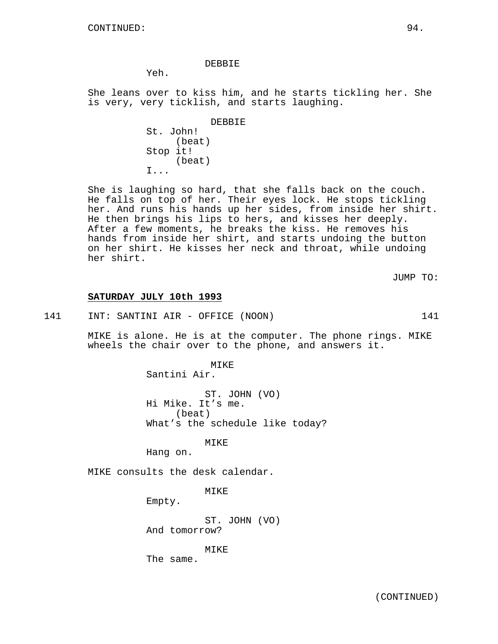#### DEBBIE

Yeh.

She leans over to kiss him, and he starts tickling her. She is very, very ticklish, and starts laughing.

> DEBBIE (beat)

Stop it! (beat) I...

St. John!

She is laughing so hard, that she falls back on the couch. He falls on top of her. Their eyes lock. He stops tickling her. And runs his hands up her sides, from inside her shirt. He then brings his lips to hers, and kisses her deeply. After a few moments, he breaks the kiss. He removes his hands from inside her shirt, and starts undoing the button on her shirt. He kisses her neck and throat, while undoing her shirt.

JUMP TO:

#### **SATURDAY JULY 10th 1993**

141 INT: SANTINI AIR - OFFICE (NOON) 141

MIKE is alone. He is at the computer. The phone rings. MIKE wheels the chair over to the phone, and answers it.

> MIKE Santini Air.

ST. JOHN (VO) Hi Mike. It's me. (beat) What's the schedule like today?

MIKE

Hang on.

MIKE consults the desk calendar.

MIKE

Empty.

ST. JOHN (VO) And tomorrow?

MIKE

The same.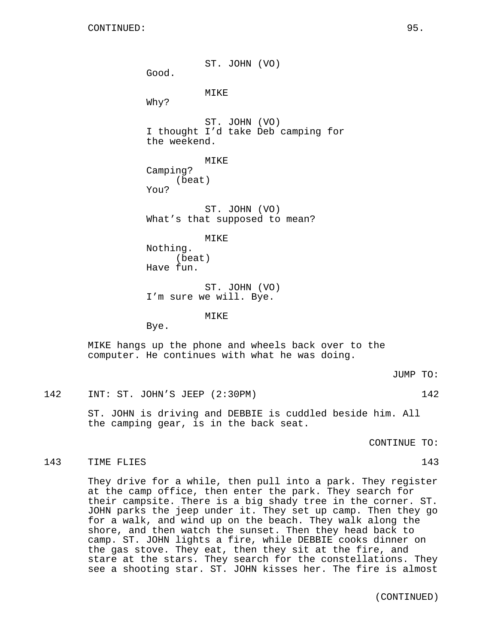ST. JOHN (VO) Good. MIKE Why? ST. JOHN (VO) I thought I'd take Deb camping for the weekend. MIKE Camping? (beat) You? ST. JOHN (VO) What's that supposed to mean? MIKE Nothing. (beat) Have fun. ST. JOHN (VO) I'm sure we will. Bye. MIKE Bye.

MIKE hangs up the phone and wheels back over to the computer. He continues with what he was doing.

JUMP TO:

142 INT: ST. JOHN'S JEEP (2:30PM) 142

ST. JOHN is driving and DEBBIE is cuddled beside him. All the camping gear, is in the back seat.

CONTINUE TO:

#### 143 TIME FLIES 2008 143

They drive for a while, then pull into a park. They register at the camp office, then enter the park. They search for their campsite. There is a big shady tree in the corner. ST. JOHN parks the jeep under it. They set up camp. Then they go for a walk, and wind up on the beach. They walk along the shore, and then watch the sunset. Then they head back to camp. ST. JOHN lights a fire, while DEBBIE cooks dinner on the gas stove. They eat, then they sit at the fire, and stare at the stars. They search for the constellations. They see a shooting star. ST. JOHN kisses her. The fire is almost

(CONTINUED)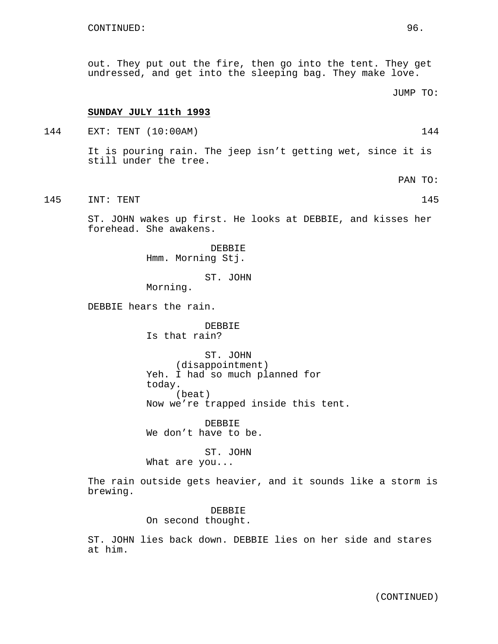out. They put out the fire, then go into the tent. They get undressed, and get into the sleeping bag. They make love.

JUMP TO:

#### **SUNDAY JULY 11th 1993**

144 EXT: TENT (10:00AM) 144

It is pouring rain. The jeep isn't getting wet, since it is still under the tree.

PAN TO:

145 INT: TENT 145

ST. JOHN wakes up first. He looks at DEBBIE, and kisses her forehead. She awakens.

> DEBBIE Hmm. Morning Stj.

> > ST. JOHN

Morning.

DEBBIE hears the rain.

# DEBBIE

Is that rain?

ST. JOHN (disappointment) Yeh. I had so much planned for today. (beat) Now we're trapped inside this tent.

DEBBIE We don't have to be.

ST. JOHN What are you...

The rain outside gets heavier, and it sounds like a storm is brewing.

> DEBBIE On second thought.

ST. JOHN lies back down. DEBBIE lies on her side and stares at him.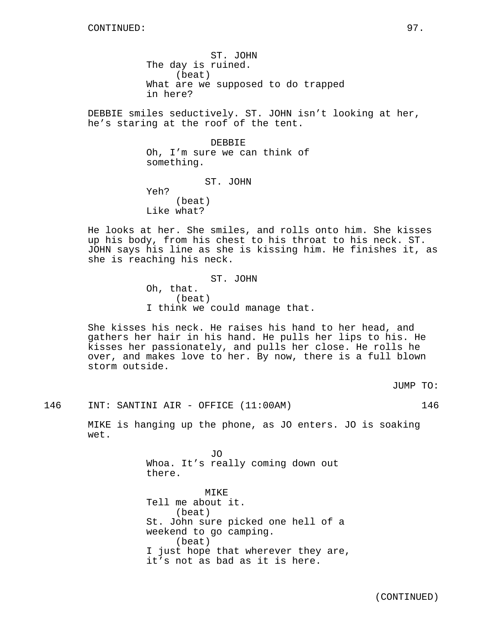ST. JOHN The day is ruined. (beat) What are we supposed to do trapped in here?

DEBBIE smiles seductively. ST. JOHN isn't looking at her, he's staring at the roof of the tent.

> DEBBIE Oh, I'm sure we can think of something.

ST. JOHN Yeh? (beat) Like what?

He looks at her. She smiles, and rolls onto him. She kisses up his body, from his chest to his throat to his neck. ST. JOHN says his line as she is kissing him. He finishes it, as she is reaching his neck.

> ST. JOHN Oh, that. (beat) I think we could manage that.

She kisses his neck. He raises his hand to her head, and gathers her hair in his hand. He pulls her lips to his. He kisses her passionately, and pulls her close. He rolls he over, and makes love to her. By now, there is a full blown storm outside.

JUMP TO:

146 INT: SANTINI AIR - OFFICE (11:00AM) 146

MIKE is hanging up the phone, as JO enters. JO is soaking wet.

> JO Whoa. It's really coming down out there.

MIKE Tell me about it. (beat) St. John sure picked one hell of a weekend to go camping. (beat) I just hope that wherever they are, it's not as bad as it is here.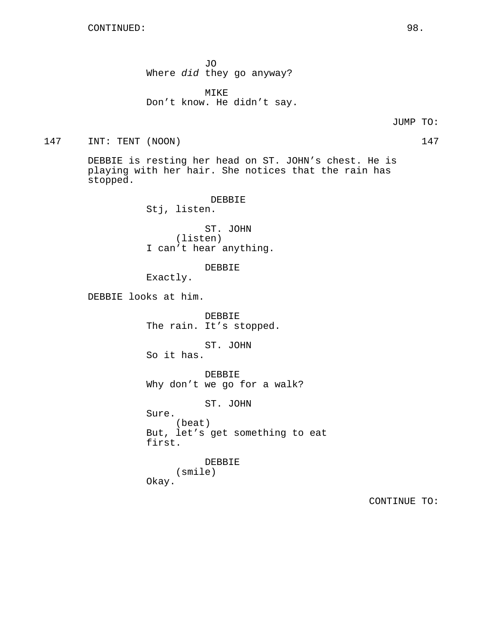JO Where did they go anyway?

MIKE Don't know. He didn't say.

JUMP TO:

147 INT: TENT (NOON) 147

DEBBIE is resting her head on ST. JOHN's chest. He is playing with her hair. She notices that the rain has stopped.

> DEBBIE Stj, listen.

ST. JOHN (listen) I can't hear anything.

DEBBIE

Exactly.

Sure.

DEBBIE looks at him.

DEBBIE The rain. It's stopped.

ST. JOHN So it has.

DEBBIE Why don't we go for a walk?

ST. JOHN

(beat) But, let's get something to eat first.

DEBBIE (smile) Okay.

CONTINUE TO: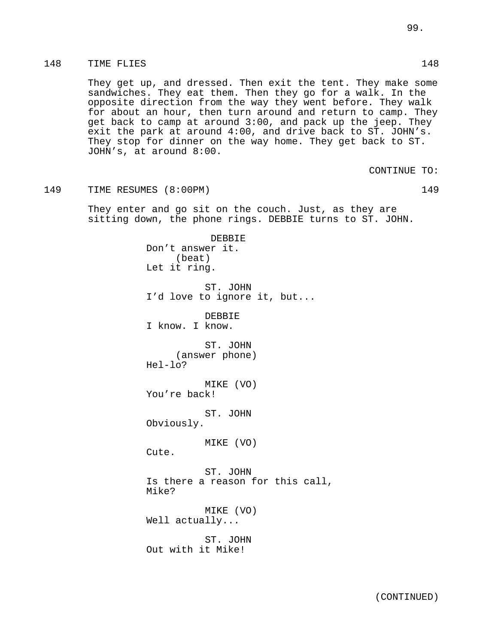## 148 TIME FLIES 148

They get up, and dressed. Then exit the tent. They make some sandwiches. They eat them. Then they go for a walk. In the opposite direction from the way they went before. They walk for about an hour, then turn around and return to camp. They get back to camp at around 3:00, and pack up the jeep. They exit the park at around 4:00, and drive back to ST. JOHN's. They stop for dinner on the way home. They get back to ST. JOHN's, at around 8:00.

CONTINUE TO:

149 TIME RESUMES (8:00PM) 149

They enter and go sit on the couch. Just, as they are sitting down, the phone rings. DEBBIE turns to ST. JOHN.

> DEBBIE Don't answer it. (beat) Let it ring. ST. JOHN I'd love to ignore it, but... DEBBIE I know. I know. ST. JOHN (answer phone) Hel-lo? MIKE (VO) You're back! ST. JOHN Obviously. MIKE (VO) Cute. ST. JOHN Is there a reason for this call, Mike? MIKE (VO) Well actually... ST. JOHN Out with it Mike!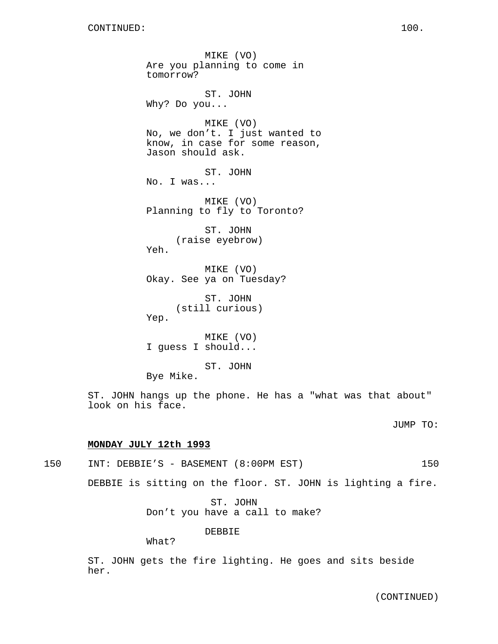MIKE (VO) Are you planning to come in tomorrow? ST. JOHN Why? Do you... MIKE (VO) No, we don't. I just wanted to know, in case for some reason, Jason should ask. ST. JOHN No. I was... MIKE (VO) Planning to fly to Toronto? ST. JOHN (raise eyebrow) Yeh. MIKE (VO) Okay. See ya on Tuesday? ST. JOHN (still curious) Yep. MIKE (VO) I guess I should... ST. JOHN Bye Mike.

ST. JOHN hangs up the phone. He has a "what was that about" look on his face.

JUMP TO:

#### **MONDAY JULY 12th 1993**

150 INT: DEBBIE'S - BASEMENT (8:00PM EST) 150

DEBBIE is sitting on the floor. ST. JOHN is lighting a fire.

ST. JOHN Don't you have a call to make?

DEBBIE

What?

ST. JOHN gets the fire lighting. He goes and sits beside her.

(CONTINUED)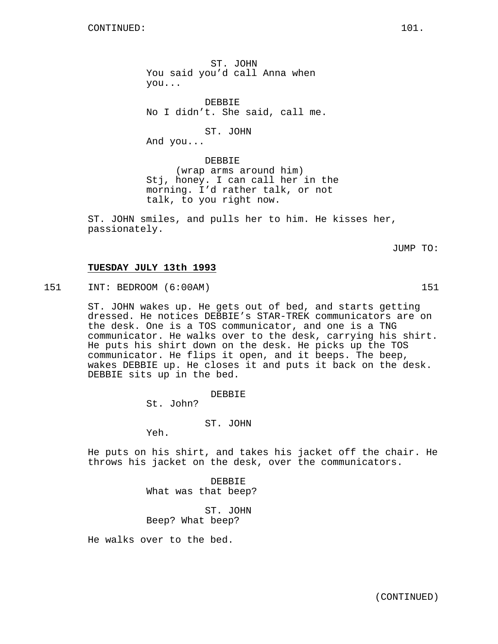ST. JOHN You said you'd call Anna when you...

DEBBIE No I didn't. She said, call me.

ST. JOHN

And you...

DEBBIE (wrap arms around him) Stj, honey. I can call her in the morning. I'd rather talk, or not talk, to you right now.

ST. JOHN smiles, and pulls her to him. He kisses her, passionately.

JUMP TO:

## **TUESDAY JULY 13th 1993**

151 INT: BEDROOM (6:00AM) 151

ST. JOHN wakes up. He gets out of bed, and starts getting dressed. He notices DEBBIE's STAR-TREK communicators are on the desk. One is a TOS communicator, and one is a TNG communicator. He walks over to the desk, carrying his shirt. He puts his shirt down on the desk. He picks up the TOS communicator. He flips it open, and it beeps. The beep, wakes DEBBIE up. He closes it and puts it back on the desk. DEBBIE sits up in the bed.

> DEBBIE St. John?

> > ST. JOHN

Yeh.

He puts on his shirt, and takes his jacket off the chair. He throws his jacket on the desk, over the communicators.

> DEBBIE What was that beep?

ST. JOHN Beep? What beep?

He walks over to the bed.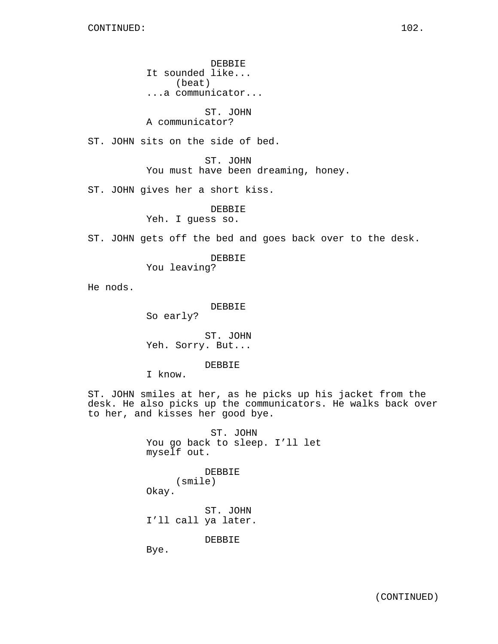DEBBIE It sounded like... (beat) ...a communicator...

ST. JOHN A communicator?

ST. JOHN sits on the side of bed.

ST. JOHN You must have been dreaming, honey.

ST. JOHN gives her a short kiss.

DEBBIE Yeh. I guess so.

ST. JOHN gets off the bed and goes back over to the desk.

DEBBIE

You leaving?

He nods.

DEBBIE

So early?

ST. JOHN Yeh. Sorry. But...

DEBBIE

I know.

ST. JOHN smiles at her, as he picks up his jacket from the desk. He also picks up the communicators. He walks back over to her, and kisses her good bye.

> ST. JOHN You go back to sleep. I'll let myself out.

> > DEBBIE (smile)

Okay.

ST. JOHN I'll call ya later.

DEBBIE

Bye.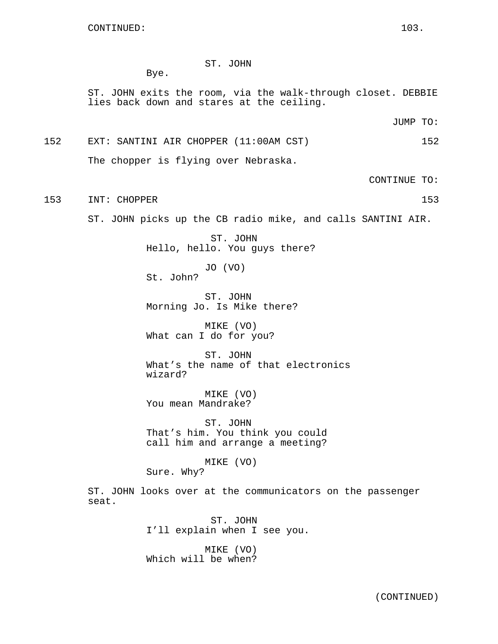## ST. JOHN

Bye.

ST. JOHN exits the room, via the walk-through closet. DEBBIE lies back down and stares at the ceiling.

JUMP TO:

152 EXT: SANTINI AIR CHOPPER (11:00AM CST) 152 The chopper is flying over Nebraska.

CONTINUE TO:

153 INT: CHOPPER 153 153

ST. JOHN picks up the CB radio mike, and calls SANTINI AIR.

ST. JOHN Hello, hello. You guys there?

JO (VO) St. John?

ST. JOHN Morning Jo. Is Mike there?

MIKE (VO) What can I do for you?

ST. JOHN What's the name of that electronics wizard?

MIKE (VO) You mean Mandrake?

ST. JOHN That's him. You think you could call him and arrange a meeting?

MIKE (VO) Sure. Why?

ST. JOHN looks over at the communicators on the passenger seat.

> ST. JOHN I'll explain when I see you.

MIKE (VO) Which will be when?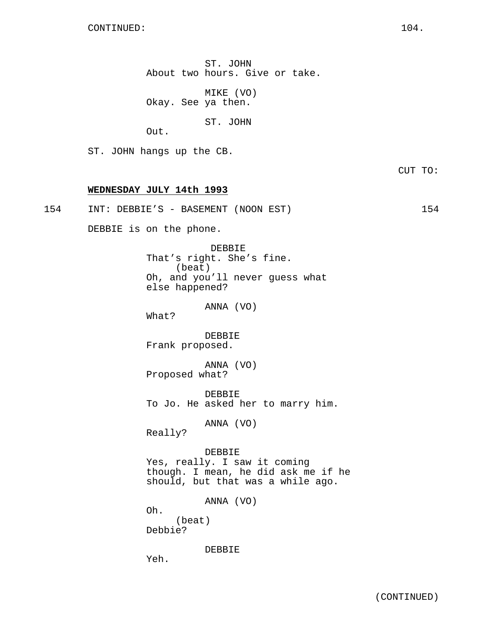ST. JOHN About two hours. Give or take.

MIKE (VO) Okay. See ya then.

ST. JOHN

Out.

ST. JOHN hangs up the CB.

CUT TO:

#### **WEDNESDAY JULY 14th 1993**

| 154 | INT: | DEBBIE'S - BASEMENT | . (NOON EST` |  |
|-----|------|---------------------|--------------|--|
|     |      |                     |              |  |

DEBBIE is on the phone.

DEBBIE That's right. She's fine. (beat) Oh, and you'll never guess what else happened?

ANNA (VO)

What?

DEBBIE Frank proposed.

ANNA (VO) Proposed what?

DEBBIE To Jo. He asked her to marry him.

ANNA (VO)

Really?

DEBBIE Yes, really. I saw it coming though. I mean, he did ask me if he should, but that was a while ago.

ANNA (VO)

Oh. (beat) Debbie?

DEBBIE

Yeh.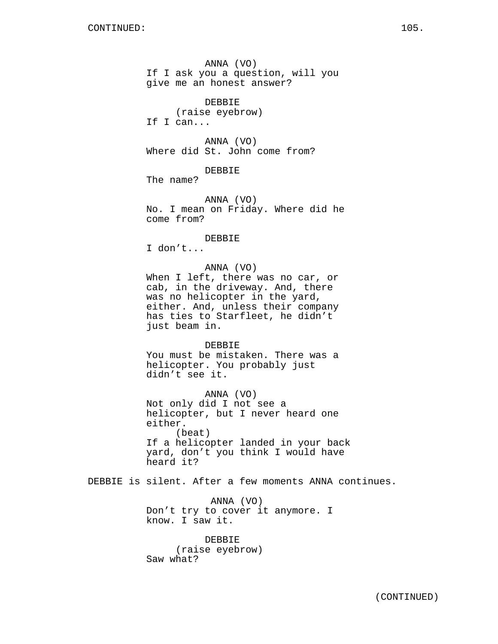ANNA (VO) If I ask you a question, will you give me an honest answer? DEBBIE (raise eyebrow) If I can... ANNA (VO) Where did St. John come from? DEBBIE The name? ANNA (VO) No. I mean on Friday. Where did he come from? DEBBIE I don't... ANNA (VO) When I left, there was no car, or cab, in the driveway. And, there was no helicopter in the yard, either. And, unless their company has ties to Starfleet, he didn't just beam in. DEBBIE You must be mistaken. There was a helicopter. You probably just didn't see it. ANNA (VO) Not only did I not see a helicopter, but I never heard one either. (beat) If a helicopter landed in your back yard, don't you think I would have heard it? DEBBIE is silent. After a few moments ANNA continues. ANNA (VO) Don't try to cover it anymore. I know. I saw it. DEBBIE (raise eyebrow)

Saw what?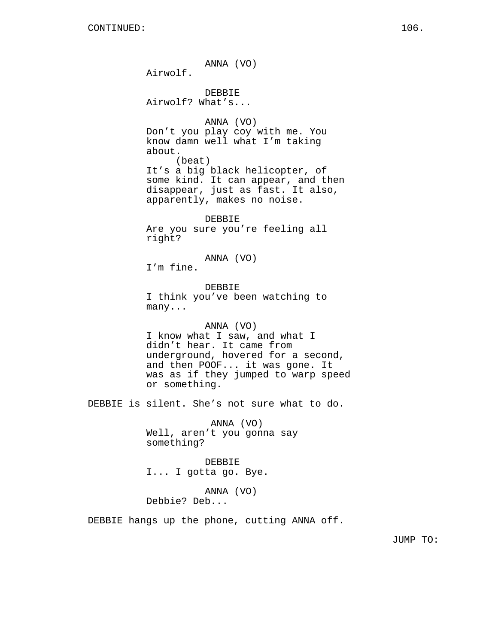ANNA (VO) Airwolf. DEBBIE Airwolf? What's... ANNA (VO) Don't you play coy with me. You know damn well what I'm taking about. (beat) It's a big black helicopter, of some kind. It can appear, and then disappear, just as fast. It also, apparently, makes no noise. DEBBIE Are you sure you're feeling all right? ANNA (VO) I'm fine. DEBBIE I think you've been watching to many... ANNA (VO) I know what I saw, and what I didn't hear. It came from underground, hovered for a second, and then POOF... it was gone. It was as if they jumped to warp speed or something. DEBBIE is silent. She's not sure what to do. ANNA (VO) Well, aren't you gonna say something? DEBBIE I... I gotta go. Bye.

> ANNA (VO) Debbie? Deb...

DEBBIE hangs up the phone, cutting ANNA off.

JUMP TO: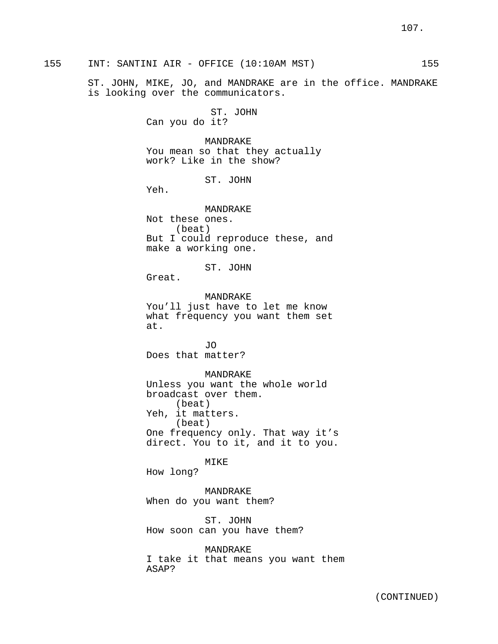ST. JOHN, MIKE, JO, and MANDRAKE are in the office. MANDRAKE is looking over the communicators.

> ST. JOHN Can you do it?

MANDRAKE You mean so that they actually work? Like in the show?

#### ST. JOHN

Yeh.

MANDRAKE Not these ones. (beat) But I could reproduce these, and make a working one.

ST. JOHN

Great.

MANDRAKE You'll just have to let me know what frequency you want them set at.

JO Does that matter?

MANDRAKE

Unless you want the whole world broadcast over them. (beat) Yeh, it matters. (beat) One frequency only. That way it's direct. You to it, and it to you.

MIKE

How long?

MANDRAKE When do you want them?

ST. JOHN How soon can you have them?

MANDRAKE I take it that means you want them ASAP?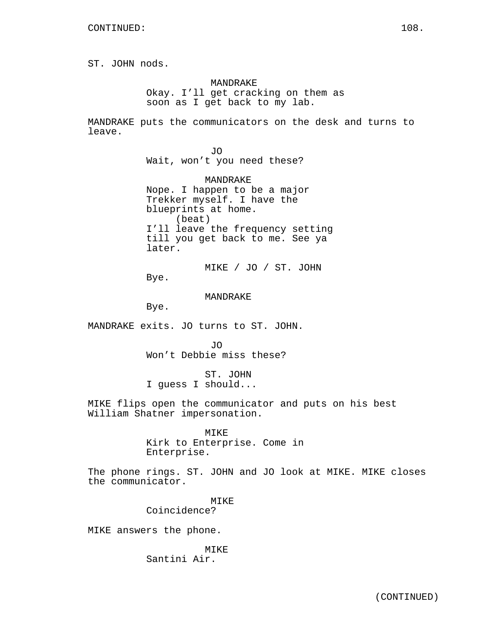ST. JOHN nods.

MANDRAKE Okay. I'll get cracking on them as soon as I get back to my lab.

MANDRAKE puts the communicators on the desk and turns to leave.

> JO Wait, won't you need these?

MANDRAKE Nope. I happen to be a major Trekker myself. I have the blueprints at home. (beat) I'll leave the frequency setting till you get back to me. See ya later.

MIKE / JO / ST. JOHN Bye.

MANDRAKE

Bye.

MANDRAKE exits. JO turns to ST. JOHN.

JO Won't Debbie miss these?

ST. JOHN I guess I should...

MIKE flips open the communicator and puts on his best William Shatner impersonation.

> MIKE Kirk to Enterprise. Come in Enterprise.

The phone rings. ST. JOHN and JO look at MIKE. MIKE closes the communicator.

> MIKE Coincidence?

MIKE answers the phone.

MIKE Santini Air.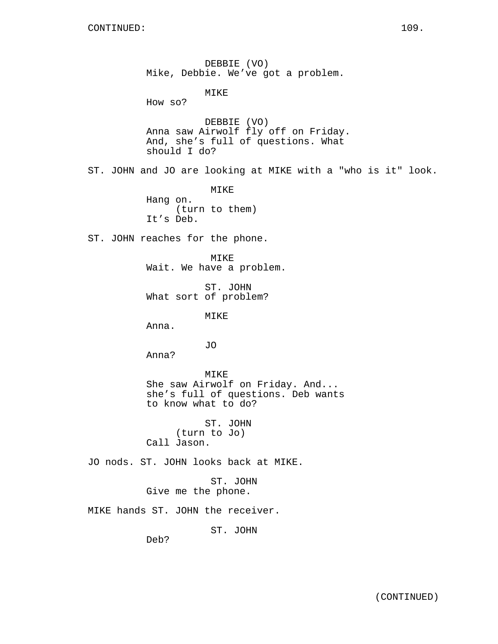DEBBIE (VO) Mike, Debbie. We've got a problem. MIKE How so? DEBBIE (VO) Anna saw Airwolf fly off on Friday. And, she's full of questions. What should I do? ST. JOHN and JO are looking at MIKE with a "who is it" look. MIKE Hang on. (turn to them) It's Deb. ST. JOHN reaches for the phone. MIKE Wait. We have a problem. ST. JOHN What sort of problem? MIKE Anna. JO Anna? MIKE She saw Airwolf on Friday. And... she's full of questions. Deb wants to know what to do? ST. JOHN (turn to Jo) Call Jason. JO nods. ST. JOHN looks back at MIKE. ST. JOHN Give me the phone. MIKE hands ST. JOHN the receiver. ST. JOHN

Deb?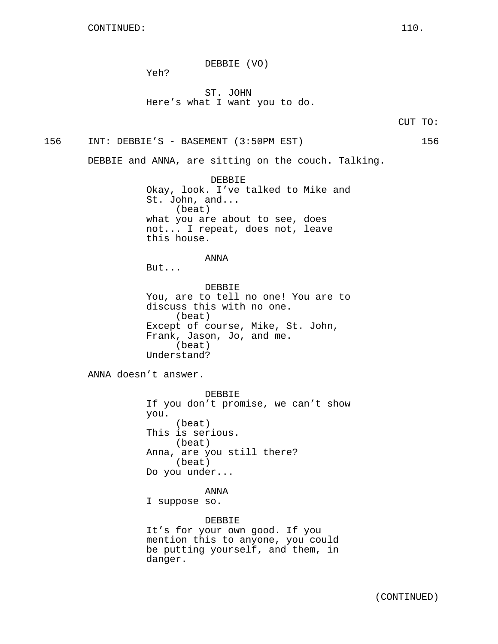DEBBIE (VO)

Yeh?

ST. JOHN Here's what I want you to do.

CUT TO:

156 INT: DEBBIE'S - BASEMENT (3:50PM EST) 156

DEBBIE and ANNA, are sitting on the couch. Talking.

DEBBIE Okay, look. I've talked to Mike and St. John, and... (beat) what you are about to see, does not... I repeat, does not, leave this house.

ANNA

But...

DEBBIE You, are to tell no one! You are to discuss this with no one. (beat) Except of course, Mike, St. John, Frank, Jason, Jo, and me. (beat) Understand?

ANNA doesn't answer.

DEBBIE If you don't promise, we can't show you. (beat) This is serious. (beat) Anna, are you still there? (beat) Do you under...

ANNA I suppose so.

DEBBIE It's for your own good. If you mention this to anyone, you could be putting yourself, and them, in danger.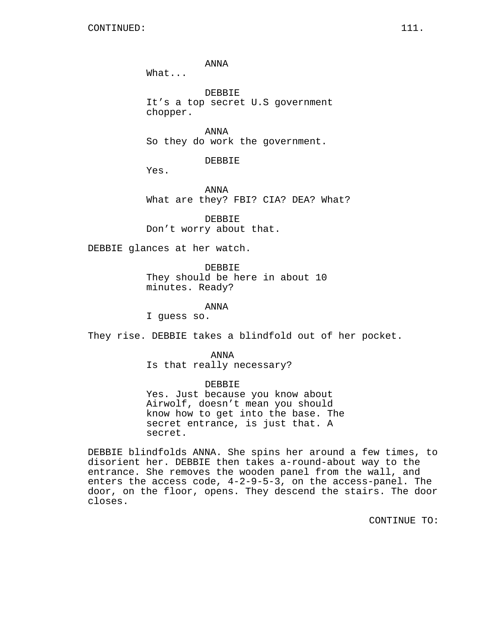ANNA

What...

DEBBIE It's a top secret U.S government chopper.

ANNA So they do work the government.

DEBBIE

Yes.

ANNA What are they? FBI? CIA? DEA? What?

DEBBIE Don't worry about that.

DEBBIE glances at her watch.

DEBBIE They should be here in about 10 minutes. Ready?

ANNA

I guess so.

They rise. DEBBIE takes a blindfold out of her pocket.

ANNA Is that really necessary?

## DEBBIE

Yes. Just because you know about Airwolf, doesn't mean you should know how to get into the base. The secret entrance, is just that. A secret.

DEBBIE blindfolds ANNA. She spins her around a few times, to disorient her. DEBBIE then takes a-round-about way to the entrance. She removes the wooden panel from the wall, and enters the access code, 4-2-9-5-3, on the access-panel. The door, on the floor, opens. They descend the stairs. The door closes.

CONTINUE TO: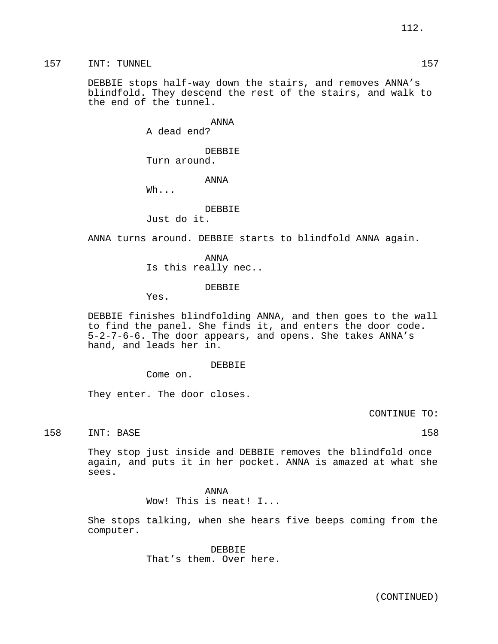157 INT: TUNNEL 157

DEBBIE stops half-way down the stairs, and removes ANNA's blindfold. They descend the rest of the stairs, and walk to the end of the tunnel.

ANNA

A dead end?

DEBBIE Turn around.

ANNA

Wh...

DEBBIE

Just do it.

ANNA turns around. DEBBIE starts to blindfold ANNA again.

ANNA Is this really nec..

#### DEBBIE

Yes.

DEBBIE finishes blindfolding ANNA, and then goes to the wall to find the panel. She finds it, and enters the door code. 5-2-7-6-6. The door appears, and opens. She takes ANNA's hand, and leads her in.

DEBBIE

Come on.

They enter. The door closes.

CONTINUE TO:

158 INT: BASE 158 158

They stop just inside and DEBBIE removes the blindfold once again, and puts it in her pocket. ANNA is amazed at what she sees.

ANNA

Wow! This is neat! I...

She stops talking, when she hears five beeps coming from the computer.

> DEBBIE That's them. Over here.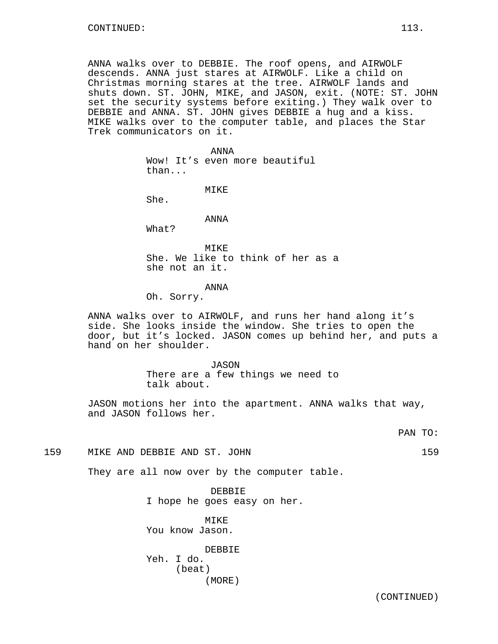ANNA walks over to DEBBIE. The roof opens, and AIRWOLF descends. ANNA just stares at AIRWOLF. Like a child on Christmas morning stares at the tree. AIRWOLF lands and shuts down. ST. JOHN, MIKE, and JASON, exit. (NOTE: ST. JOHN set the security systems before exiting.) They walk over to DEBBIE and ANNA. ST. JOHN gives DEBBIE a hug and a kiss. MIKE walks over to the computer table, and places the Star Trek communicators on it.

> ANNA Wow! It's even more beautiful than...

> > MIKE

She.

ANNA

What?

MIKE She. We like to think of her as a she not an it.

#### ANNA

Oh. Sorry.

ANNA walks over to AIRWOLF, and runs her hand along it's side. She looks inside the window. She tries to open the door, but it's locked. JASON comes up behind her, and puts a hand on her shoulder.

> JASON There are a few things we need to talk about.

JASON motions her into the apartment. ANNA walks that way, and JASON follows her.

PAN TO:

159 MIKE AND DEBBIE AND ST. JOHN 159

They are all now over by the computer table.

DEBBIE I hope he goes easy on her.

MIKE You know Jason.

DEBBIE Yeh. I do. (beat) (MORE)

(CONTINUED)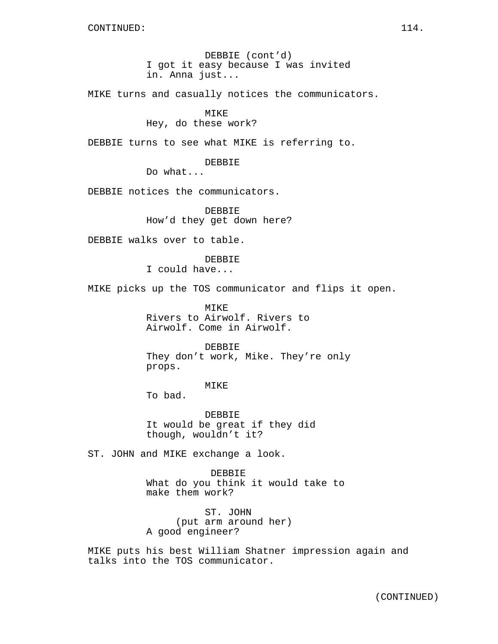DEBBIE (cont'd) I got it easy because I was invited in. Anna just...

MIKE turns and casually notices the communicators.

## MIKE

Hey, do these work?

DEBBIE turns to see what MIKE is referring to.

DEBBIE

Do what...

DEBBIE notices the communicators.

DEBBIE How'd they get down here?

DEBBIE walks over to table.

DEBBIE I could have...

MIKE picks up the TOS communicator and flips it open.

MIKE Rivers to Airwolf. Rivers to Airwolf. Come in Airwolf.

DEBBIE They don't work, Mike. They're only props.

MIKE

To bad.

DEBBIE It would be great if they did though, wouldn't it?

ST. JOHN and MIKE exchange a look.

DEBBIE What do you think it would take to make them work?

ST. JOHN (put arm around her) A good engineer?

MIKE puts his best William Shatner impression again and talks into the TOS communicator.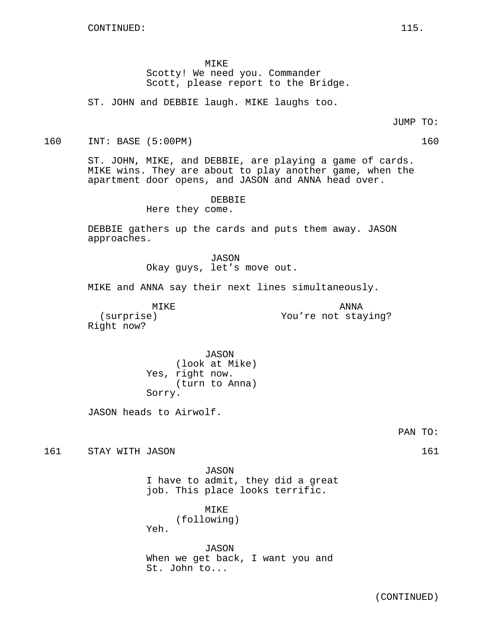MIKE

Scotty! We need you. Commander Scott, please report to the Bridge.

ST. JOHN and DEBBIE laugh. MIKE laughs too.

JUMP TO:

160 INT: BASE (5:00PM) 160

ST. JOHN, MIKE, and DEBBIE, are playing a game of cards. MIKE wins. They are about to play another game, when the apartment door opens, and JASON and ANNA head over.

DEBBIE

Here they come.

DEBBIE gathers up the cards and puts them away. JASON approaches.

> JASON Okay guys, let's move out.

MIKE and ANNA say their next lines simultaneously.

MIKE

ANNA You're not staying?

(surprise) Right now?

> JASON (look at Mike) Yes, right now. (turn to Anna) Sorry.

JASON heads to Airwolf.

PAN TO:

161 STAY WITH JASON 161

JASON I have to admit, they did a great job. This place looks terrific.

MIKE

(following)

Yeh.

JASON When we get back, I want you and St. John to...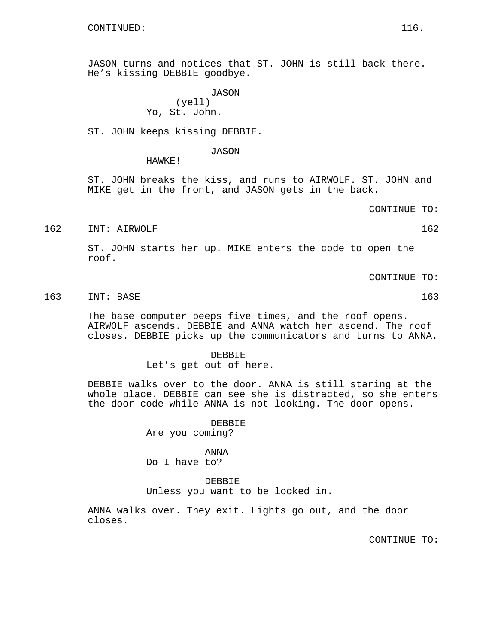JASON turns and notices that ST. JOHN is still back there. He's kissing DEBBIE goodbye.

> JASON (yell) Yo, St. John.

ST. JOHN keeps kissing DEBBIE.

JASON

HAWKE!

ST. JOHN breaks the kiss, and runs to AIRWOLF. ST. JOHN and MIKE get in the front, and JASON gets in the back.

CONTINUE TO:

162 INT: AIRWOLF 162 162

ST. JOHN starts her up. MIKE enters the code to open the roof.

CONTINUE TO:

163 INT: BASE 163

The base computer beeps five times, and the roof opens. AIRWOLF ascends. DEBBIE and ANNA watch her ascend. The roof closes. DEBBIE picks up the communicators and turns to ANNA.

DEBBIE

Let's get out of here.

DEBBIE walks over to the door. ANNA is still staring at the whole place. DEBBIE can see she is distracted, so she enters the door code while ANNA is not looking. The door opens.

DEBBIE

Are you coming?

ANNA

Do I have to?

DEBBIE

Unless you want to be locked in.

ANNA walks over. They exit. Lights go out, and the door closes.

CONTINUE TO: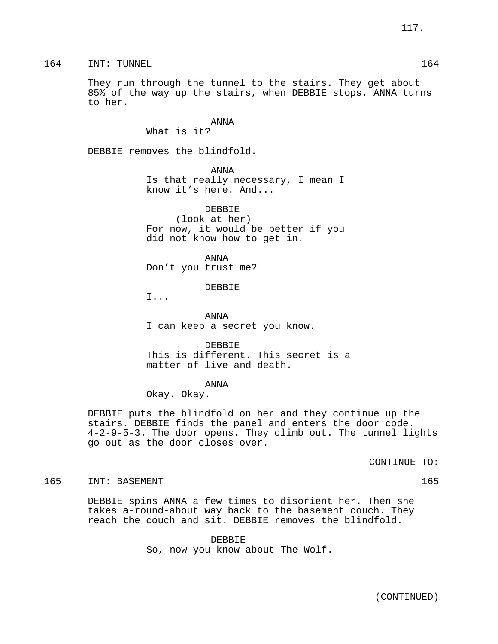164 INT: TUNNEL 164 164

They run through the tunnel to the stairs. They get about 85% of the way up the stairs, when DEBBIE stops. ANNA turns to her.

#### ANNA

What is it?

DEBBIE removes the blindfold.

ANNA

Is that really necessary, I mean I know it's here. And...

DEBBIE (look at her) For now, it would be better if you did not know how to get in.

ANNA Don't you trust me?

DEBBIE

I...

ANNA I can keep a secret you know.

DEBBIE This is different. This secret is a matter of live and death.

#### ANNA

Okay. Okay.

DEBBIE puts the blindfold on her and they continue up the stairs. DEBBIE finds the panel and enters the door code. 4-2-9-5-3. The door opens. They climb out. The tunnel lights go out as the door closes over.

CONTINUE TO:

165 INT: BASEMENT 165

DEBBIE spins ANNA a few times to disorient her. Then she takes a-round-about way back to the basement couch. They reach the couch and sit. DEBBIE removes the blindfold.

> DEBBIE So, now you know about The Wolf.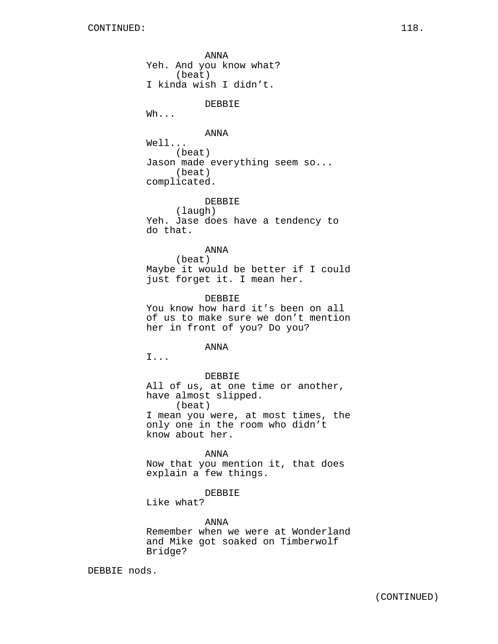ANNA Yeh. And you know what? (beat) I kinda wish I didn't. DEBBIE Wh... ANNA Well... (beat) Jason made everything seem so... (beat) complicated. DEBBIE (laugh) Yeh. Jase does have a tendency to do that. ANNA (beat) Maybe it would be better if I could just forget it. I mean her. DEBBIE You know how hard it's been on all of us to make sure we don't mention her in front of you? Do you? ANNA I... DEBBIE All of us, at one time or another, have almost slipped. (beat) I mean you were, at most times, the only one in the room who didn't know about her. ANNA Now that you mention it, that does explain a few things. DEBBIE Like what?

#### ANNA

Remember when we were at Wonderland and Mike got soaked on Timberwolf Bridge?

DEBBIE nods.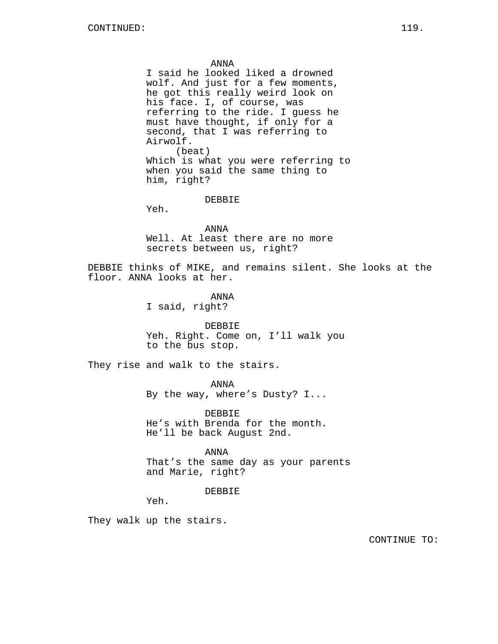ANNA

I said he looked liked a drowned wolf. And just for a few moments, he got this really weird look on his face. I, of course, was referring to the ride. I guess he must have thought, if only for a second, that I was referring to Airwolf. (beat) Which is what you were referring to when you said the same thing to him, right?

DEBBIE

Yeh.

ANNA Well. At least there are no more secrets between us, right?

DEBBIE thinks of MIKE, and remains silent. She looks at the floor. ANNA looks at her.

> ANNA I said, right?

DEBBIE Yeh. Right. Come on, I'll walk you to the bus stop.

They rise and walk to the stairs.

ANNA

By the way, where's Dusty? I...

DEBBIE He's with Brenda for the month. He'll be back August 2nd.

ANNA That's the same day as your parents and Marie, right?

DEBBIE

Yeh.

They walk up the stairs.

CONTINUE TO: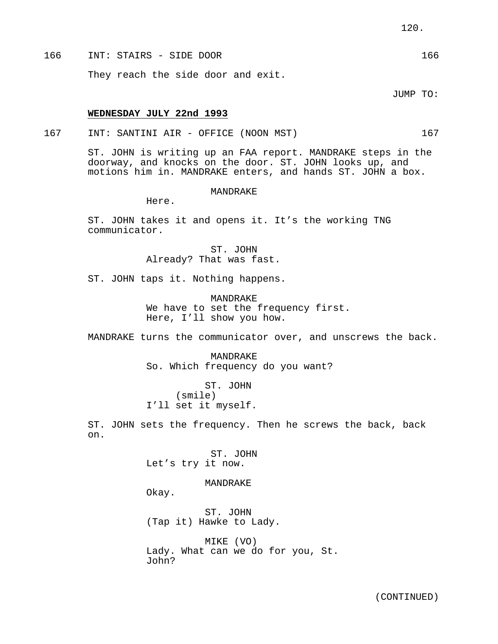166 INT: STAIRS - SIDE DOOR 166 They reach the side door and exit.

JUMP TO:

#### **WEDNESDAY JULY 22nd 1993**

167 INT: SANTINI AIR - OFFICE (NOON MST) 167

ST. JOHN is writing up an FAA report. MANDRAKE steps in the doorway, and knocks on the door. ST. JOHN looks up, and motions him in. MANDRAKE enters, and hands ST. JOHN a box.

#### **MANDRAKE**

Here.

ST. JOHN takes it and opens it. It's the working TNG communicator.

> ST. JOHN Already? That was fast.

ST. JOHN taps it. Nothing happens.

MANDRAKE We have to set the frequency first. Here, I'll show you how.

MANDRAKE turns the communicator over, and unscrews the back.

MANDRAKE So. Which frequency do you want?

ST. JOHN (smile) I'll set it myself.

ST. JOHN sets the frequency. Then he screws the back, back on.

> ST. JOHN Let's try it now.

## MANDRAKE

Okay.

ST. JOHN (Tap it) Hawke to Lady.

MIKE (VO) Lady. What can we do for you, St. John?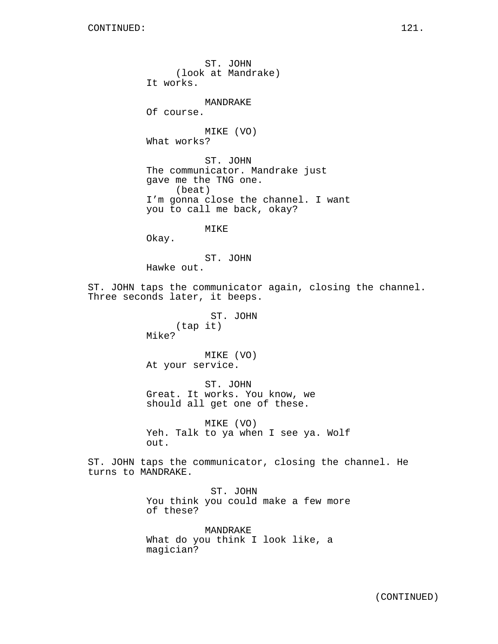ST. JOHN (look at Mandrake) It works. MANDRAKE Of course. MIKE (VO) What works? ST. JOHN The communicator. Mandrake just gave me the TNG one. (beat) I'm gonna close the channel. I want you to call me back, okay? MIKE Okay. ST. JOHN Hawke out. ST. JOHN taps the communicator again, closing the channel. Three seconds later, it beeps. ST. JOHN (tap it) Mike? MIKE (VO) At your service. ST. JOHN Great. It works. You know, we should all get one of these. MIKE (VO) Yeh. Talk to ya when I see ya. Wolf out. ST. JOHN taps the communicator, closing the channel. He turns to MANDRAKE. ST. JOHN You think you could make a few more of these? MANDRAKE

What do you think I look like, a magician?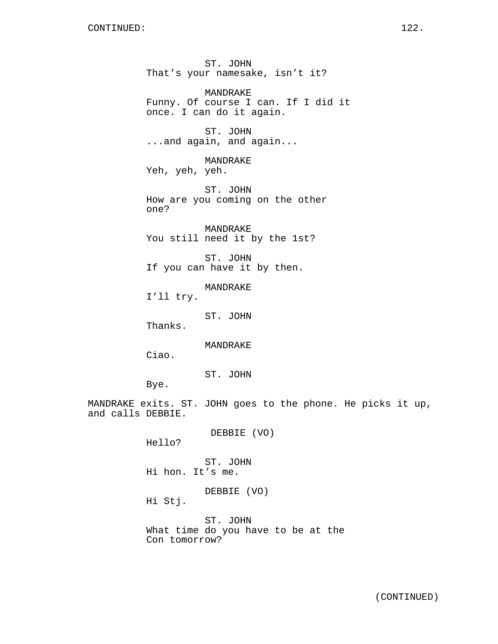ST. JOHN That's your namesake, isn't it? MANDRAKE Funny. Of course I can. If I did it once. I can do it again. ST. JOHN ...and again, and again... MANDRAKE Yeh, yeh, yeh. ST. JOHN How are you coming on the other one? MANDRAKE You still need it by the 1st? ST. JOHN If you can have it by then. MANDRAKE I'll try. ST. JOHN Thanks. MANDRAKE Ciao. ST. JOHN Bye. MANDRAKE exits. ST. JOHN goes to the phone. He picks it up, and calls DEBBIE. DEBBIE (VO) Hello? ST. JOHN Hi hon. It's me. DEBBIE (VO) Hi Stj.

> ST. JOHN What time do you have to be at the Con tomorrow?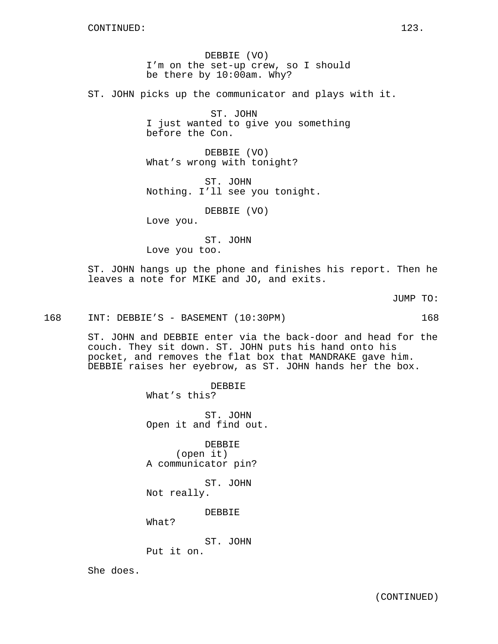DEBBIE (VO) I'm on the set-up crew, so I should be there by 10:00am. Why?

ST. JOHN picks up the communicator and plays with it.

ST. JOHN I just wanted to give you something before the Con.

DEBBIE (VO) What's wrong with tonight?

ST. JOHN Nothing. I'll see you tonight.

DEBBIE (VO)

Love you.

ST. JOHN Love you too.

ST. JOHN hangs up the phone and finishes his report. Then he leaves a note for MIKE and JO, and exits.

JUMP TO:

168 INT: DEBBIE'S - BASEMENT (10:30PM) 168

ST. JOHN and DEBBIE enter via the back-door and head for the couch. They sit down. ST. JOHN puts his hand onto his pocket, and removes the flat box that MANDRAKE gave him. DEBBIE raises her eyebrow, as ST. JOHN hands her the box.

DEBBIE

What's this?

ST. JOHN Open it and find out.

DEBBIE (open it) A communicator pin?

ST. JOHN Not really.

DEBBIE

What?

ST. JOHN

Put it on.

She does.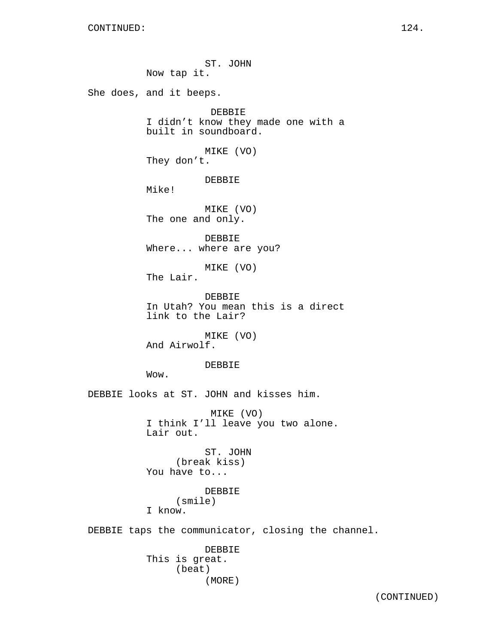ST. JOHN Now tap it. She does, and it beeps. DEBBIE I didn't know they made one with a built in soundboard. MIKE (VO) They don't. DEBBIE Mike! MIKE (VO) The one and only. DEBBIE Where... where are you? MIKE (VO) The Lair. DEBBIE In Utah? You mean this is a direct link to the Lair? MIKE (VO) And Airwolf. DEBBIE Wow. DEBBIE looks at ST. JOHN and kisses him. MIKE (VO) I think I'll leave you two alone. Lair out. ST. JOHN (break kiss) You have to... DEBBIE (smile) I know. DEBBIE taps the communicator, closing the channel. DEBBIE This is great. (beat) (MORE)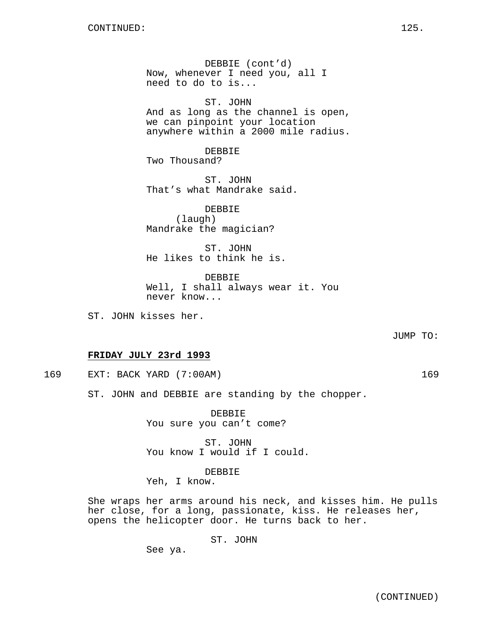DEBBIE (cont'd) Now, whenever I need you, all I need to do to is...

ST. JOHN And as long as the channel is open, we can pinpoint your location anywhere within a 2000 mile radius.

DEBBIE Two Thousand?

ST. JOHN That's what Mandrake said.

DEBBIE (laugh) Mandrake the magician?

ST. JOHN He likes to think he is.

DEBBIE Well, I shall always wear it. You never know...

ST. JOHN kisses her.

JUMP TO:

### **FRIDAY JULY 23rd 1993**

169 EXT: BACK YARD (7:00AM) 169

ST. JOHN and DEBBIE are standing by the chopper.

DEBBIE You sure you can't come?

ST. JOHN You know I would if I could.

## DEBBIE

Yeh, I know.

She wraps her arms around his neck, and kisses him. He pulls her close, for a long, passionate, kiss. He releases her, opens the helicopter door. He turns back to her.

ST. JOHN

See ya.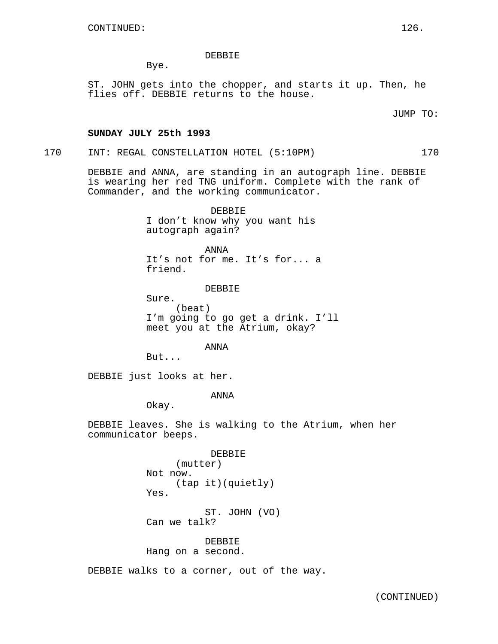DEBBIE

Bye.

ST. JOHN gets into the chopper, and starts it up. Then, he flies off. DEBBIE returns to the house.

JUMP TO:

## **SUNDAY JULY 25th 1993**

170 INT: REGAL CONSTELLATION HOTEL (5:10PM) 170

DEBBIE and ANNA, are standing in an autograph line. DEBBIE

is wearing her red TNG uniform. Complete with the rank of Commander, and the working communicator.

> DEBBIE I don't know why you want his autograph again?

ANNA It's not for me. It's for... a friend.

DEBBIE

Sure. (beat) I'm going to go get a drink. I'll meet you at the Atrium, okay?

ANNA

But...

DEBBIE just looks at her.

ANNA

Okay.

DEBBIE leaves. She is walking to the Atrium, when her communicator beeps.

> DEBBIE (mutter) Not now. (tap it)(quietly) Yes.

ST. JOHN (VO) Can we talk?

DEBBIE

Hang on a second.

DEBBIE walks to a corner, out of the way.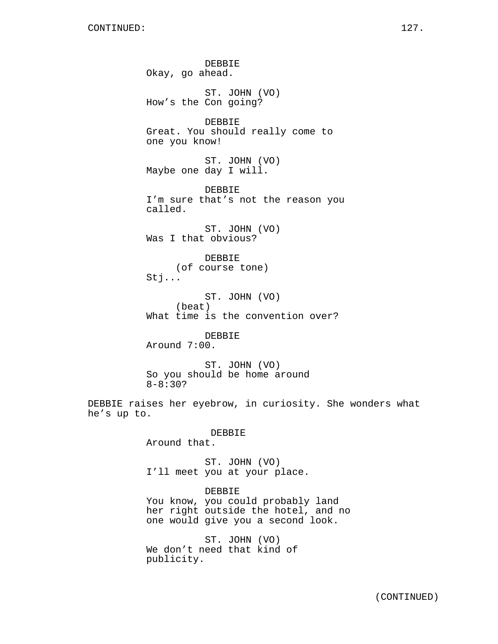DEBBIE Okay, go ahead. ST. JOHN (VO) How's the Con going? DEBBIE Great. You should really come to one you know! ST. JOHN (VO) Maybe one day I will. DEBBIE I'm sure that's not the reason you called. ST. JOHN (VO) Was I that obvious? DEBBIE (of course tone) Stj... ST. JOHN (VO) (beat) What time is the convention over? DEBBIE Around 7:00. ST. JOHN (VO) So you should be home around 8-8:30? DEBBIE raises her eyebrow, in curiosity. She wonders what he's up to. DEBBIE Around that. ST. JOHN (VO) I'll meet you at your place. DEBBIE You know, you could probably land her right outside the hotel, and no one would give you a second look. ST. JOHN (VO)

We don't need that kind of publicity.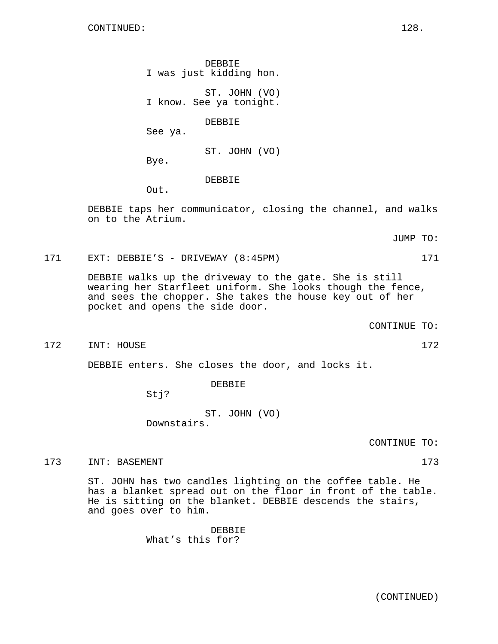DEBBIE I was just kidding hon.

ST. JOHN (VO) I know. See ya tonight.

DEBBIE

See ya.

ST. JOHN (VO)

DEBBIE

Out.

Bye.

DEBBIE taps her communicator, closing the channel, and walks on to the Atrium.

JUMP TO:

171 EXT: DEBBIE'S - DRIVEWAY (8:45PM) 171

DEBBIE walks up the driveway to the gate. She is still wearing her Starfleet uniform. She looks though the fence, and sees the chopper. She takes the house key out of her pocket and opens the side door.

CONTINUE TO:

172 INT: HOUSE 172

DEBBIE enters. She closes the door, and locks it.

DEBBIE

Stj?

ST. JOHN (VO) Downstairs.

CONTINUE TO:

173 INT: BASEMENT 173

ST. JOHN has two candles lighting on the coffee table. He has a blanket spread out on the floor in front of the table. He is sitting on the blanket. DEBBIE descends the stairs, and goes over to him.

> DEBBIE What's this for?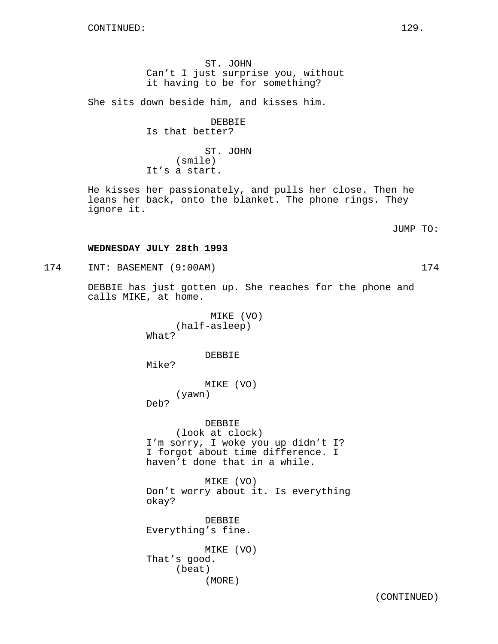ST. JOHN Can't I just surprise you, without it having to be for something?

She sits down beside him, and kisses him.

DEBBIE Is that better?

ST. JOHN (smile) It's a start.

He kisses her passionately, and pulls her close. Then he leans her back, onto the blanket. The phone rings. They ignore it.

JUMP TO:

## **WEDNESDAY JULY 28th 1993**

174 INT: BASEMENT (9:00AM) 174

DEBBIE has just gotten up. She reaches for the phone and calls MIKE, at home.

> MIKE (VO) (half-asleep) What?

> > DEBBIE

Mike?

MIKE (VO) (yawn)

Deb?

DEBBIE (look at clock) I'm sorry, I woke you up didn't I? I forgot about time difference. I haven't done that in a while.

MIKE (VO) Don't worry about it. Is everything okay?

DEBBIE Everything's fine.

MIKE (VO) That's good. (beat) (MORE)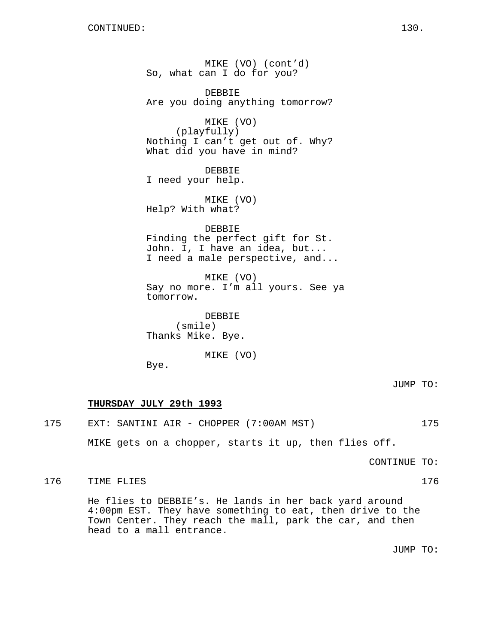MIKE (VO) (cont'd) So, what can I do for you? DEBBIE Are you doing anything tomorrow? MIKE (VO) (playfully) Nothing I can't get out of. Why? What did you have in mind? DEBBIE I need your help. MIKE (VO) Help? With what? DEBBIE Finding the perfect gift for St. John. I, I have an idea, but... I need a male perspective, and... MIKE (VO) Say no more. I'm all yours. See ya tomorrow. DEBBIE (smile) Thanks Mike. Bye. MIKE (VO)

Bye.

JUMP TO:

## **THURSDAY JULY 29th 1993**

175 EXT: SANTINI AIR - CHOPPER (7:00AM MST) 175

MIKE gets on a chopper, starts it up, then flies off.

CONTINUE TO:

176 TIME FLIES 2008 176

He flies to DEBBIE's. He lands in her back yard around 4:00pm EST. They have something to eat, then drive to the Town Center. They reach the mall, park the car, and then head to a mall entrance.

JUMP TO: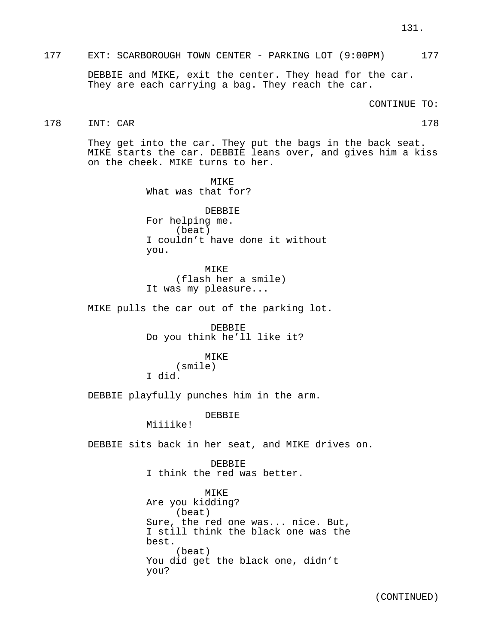## 177 EXT: SCARBOROUGH TOWN CENTER - PARKING LOT (9:00PM) 177

DEBBIE and MIKE, exit the center. They head for the car. They are each carrying a bag. They reach the car.

CONTINUE TO:

# 178 INT: CAR 178

They get into the car. They put the bags in the back seat. MIKE starts the car. DEBBIE leans over, and gives him a kiss on the cheek. MIKE turns to her.

> **MTKE** What was that for? DEBBIE For helping me. (beat) I couldn't have done it without you.

MIKE (flash her a smile) It was my pleasure...

MIKE pulls the car out of the parking lot.

DEBBIE Do you think he'll like it?

## MIKE

(smile) I did.

DEBBIE playfully punches him in the arm.

DEBBIE

Miiiike!

DEBBIE sits back in her seat, and MIKE drives on.

DEBBIE I think the red was better.

MIKE Are you kidding? (beat) Sure, the red one was... nice. But, I still think the black one was the best. (beat) You did get the black one, didn't you?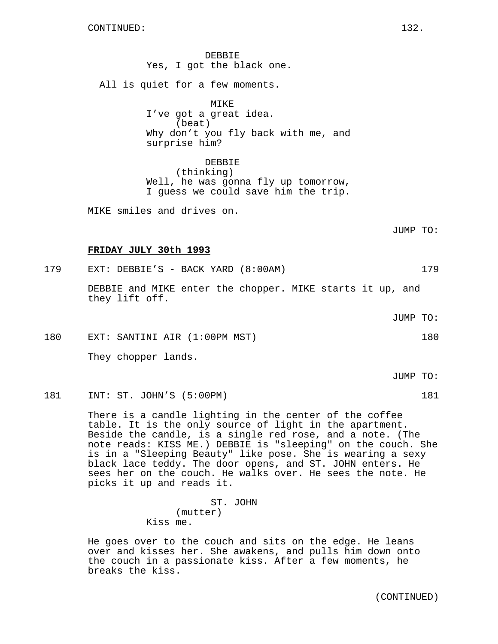DEBBIE Yes, I got the black one. All is quiet for a few moments. MIKE I've got a great idea. (beat) Why don't you fly back with me, and surprise him? DEBBIE (thinking)

Well, he was gonna fly up tomorrow, I guess we could save him the trip.

MIKE smiles and drives on.

JUMP TO:

## **FRIDAY JULY 30th 1993**

179 EXT: DEBBIE'S - BACK YARD (8:00AM) 179 DEBBIE and MIKE enter the chopper. MIKE starts it up, and

they lift off.

JUMP TO:

180 EXT: SANTINI AIR (1:00PM MST) 180

They chopper lands.

JUMP TO:

181 INT: ST. JOHN'S (5:00PM) 181

There is a candle lighting in the center of the coffee table. It is the only source of light in the apartment. Beside the candle, is a single red rose, and a note. (The note reads: KISS ME.) DEBBIE is "sleeping" on the couch. She is in a "Sleeping Beauty" like pose. She is wearing a sexy black lace teddy. The door opens, and ST. JOHN enters. He sees her on the couch. He walks over. He sees the note. He picks it up and reads it.

> ST. JOHN (mutter) Kiss me.

He goes over to the couch and sits on the edge. He leans over and kisses her. She awakens, and pulls him down onto the couch in a passionate kiss. After a few moments, he breaks the kiss.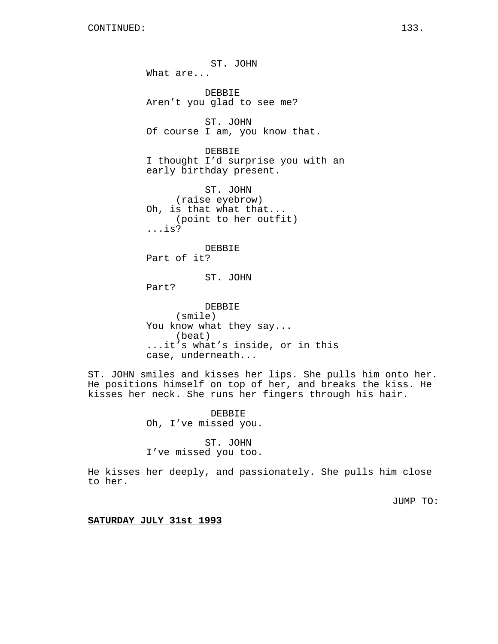ST. JOHN What are... DEBBIE Aren't you glad to see me? ST. JOHN Of course I am, you know that. DEBBIE I thought I'd surprise you with an early birthday present. ST. JOHN (raise eyebrow) Oh, is that what that... (point to her outfit) ...is? DEBBIE Part of it? ST. JOHN Part? DEBBIE (smile) You know what they say... (beat)

...it's what's inside, or in this case, underneath...

ST. JOHN smiles and kisses her lips. She pulls him onto her. He positions himself on top of her, and breaks the kiss. He kisses her neck. She runs her fingers through his hair.

> DEBBIE Oh, I've missed you.

> ST. JOHN I've missed you too.

He kisses her deeply, and passionately. She pulls him close to her.

JUMP TO:

**SATURDAY JULY 31st 1993**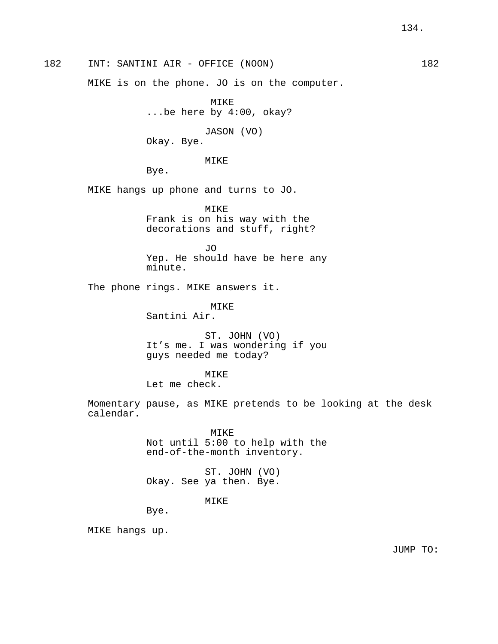182 INT: SANTINI AIR - OFFICE (NOON) 182

MIKE is on the phone. JO is on the computer.

MIKE ...be here by 4:00, okay?

JASON (VO) Okay. Bye.

MIKE

Bye.

MIKE hangs up phone and turns to JO.

MIKE Frank is on his way with the decorations and stuff, right?

JO Yep. He should have be here any minute.

The phone rings. MIKE answers it.

MIKE Santini Air.

ST. JOHN (VO) It's me. I was wondering if you guys needed me today?

MIKE

Let me check.

Momentary pause, as MIKE pretends to be looking at the desk calendar.

> MIKE Not until 5:00 to help with the end-of-the-month inventory.

ST. JOHN (VO) Okay. See ya then. Bye.

MIKE

Bye.

MIKE hangs up.

JUMP TO: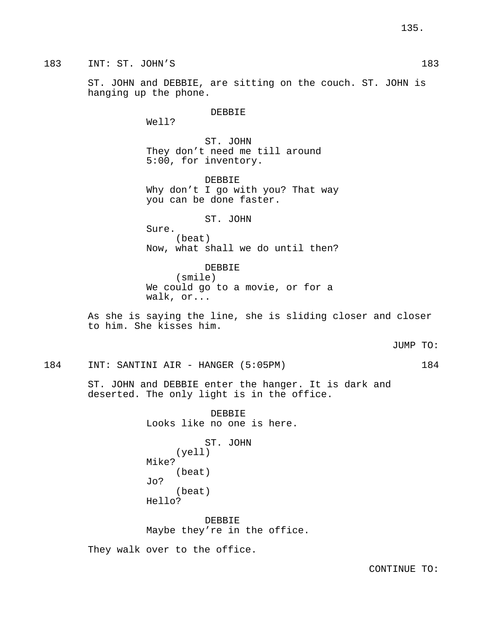183 INT: ST. JOHN'S 183

ST. JOHN and DEBBIE, are sitting on the couch. ST. JOHN is hanging up the phone.

## DEBBIE

Well?

ST. JOHN They don't need me till around 5:00, for inventory.

DEBBIE Why don't I go with you? That way you can be done faster.

ST. JOHN

Sure. (beat) Now, what shall we do until then?

DEBBIE (smile) We could go to a movie, or for a walk, or...

As she is saying the line, she is sliding closer and closer to him. She kisses him.

184 INT: SANTINI AIR - HANGER (5:05PM) 184

ST. JOHN and DEBBIE enter the hanger. It is dark and deserted. The only light is in the office.

> DEBBIE Looks like no one is here.

ST. JOHN (yell) Mike? (beat) Jo? (beat) Hello?

DEBBIE Maybe they're in the office.

They walk over to the office.

CONTINUE TO: